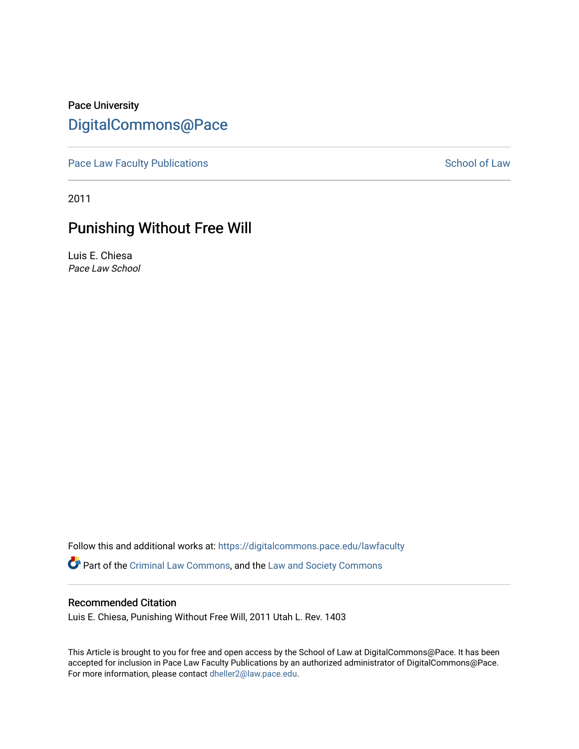# Pace University [DigitalCommons@Pace](https://digitalcommons.pace.edu/)

[Pace Law Faculty Publications](https://digitalcommons.pace.edu/lawfaculty) **School of Law** School of Law

2011

# Punishing Without Free Will

Luis E. Chiesa Pace Law School

Follow this and additional works at: [https://digitalcommons.pace.edu/lawfaculty](https://digitalcommons.pace.edu/lawfaculty?utm_source=digitalcommons.pace.edu%2Flawfaculty%2F852&utm_medium=PDF&utm_campaign=PDFCoverPages) Part of the [Criminal Law Commons,](http://network.bepress.com/hgg/discipline/912?utm_source=digitalcommons.pace.edu%2Flawfaculty%2F852&utm_medium=PDF&utm_campaign=PDFCoverPages) and the [Law and Society Commons](http://network.bepress.com/hgg/discipline/853?utm_source=digitalcommons.pace.edu%2Flawfaculty%2F852&utm_medium=PDF&utm_campaign=PDFCoverPages) 

# Recommended Citation

Luis E. Chiesa, Punishing Without Free Will, 2011 Utah L. Rev. 1403

This Article is brought to you for free and open access by the School of Law at DigitalCommons@Pace. It has been accepted for inclusion in Pace Law Faculty Publications by an authorized administrator of DigitalCommons@Pace. For more information, please contact [dheller2@law.pace.edu](mailto:dheller2@law.pace.edu).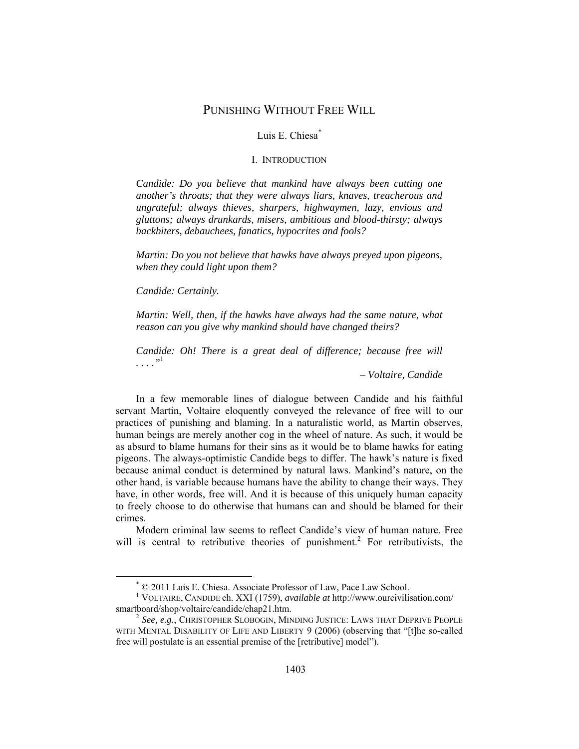# PUNISHING WITHOUT FREE WILL

# Luis E. Chiesa*\**

#### I. INTRODUCTION

*Candide: Do you believe that mankind have always been cutting one another's throats; that they were always liars, knaves, treacherous and ungrateful; always thieves, sharpers, highwaymen, lazy, envious and gluttons; always drunkards, misers, ambitious and blood-thirsty; always backbiters, debauchees, fanatics, hypocrites and fools?* 

*Martin: Do you not believe that hawks have always preyed upon pigeons, when they could light upon them?* 

*Candide: Certainly.* 

*Martin: Well, then, if the hawks have always had the same nature, what reason can you give why mankind should have changed theirs?* 

*Candide: Oh! There is a great deal of difference; because free will . . . ."*<sup>1</sup>

*– Voltaire, Candide* 

In a few memorable lines of dialogue between Candide and his faithful servant Martin, Voltaire eloquently conveyed the relevance of free will to our practices of punishing and blaming. In a naturalistic world, as Martin observes, human beings are merely another cog in the wheel of nature. As such, it would be as absurd to blame humans for their sins as it would be to blame hawks for eating pigeons. The always-optimistic Candide begs to differ. The hawk's nature is fixed because animal conduct is determined by natural laws. Mankind's nature, on the other hand, is variable because humans have the ability to change their ways. They have, in other words, free will. And it is because of this uniquely human capacity to freely choose to do otherwise that humans can and should be blamed for their crimes.

Modern criminal law seems to reflect Candide's view of human nature. Free will is central to retributive theories of punishment.<sup>2</sup> For retributivists, the

 <sup>\*</sup> © 2011 Luis E. Chiesa. Associate Professor of Law, Pace Law School. <sup>1</sup>

VOLTAIRE, CANDIDE ch. XXI (1759), *available at* http://www.ourcivilisation.com/

<sup>&</sup>lt;sup>2</sup> See, e.g., CHRISTOPHER SLOBOGIN, MINDING JUSTICE: LAWS THAT DEPRIVE PEOPLE WITH MENTAL DISABILITY OF LIFE AND LIBERTY 9 (2006) (observing that "[t]he so-called free will postulate is an essential premise of the [retributive] model").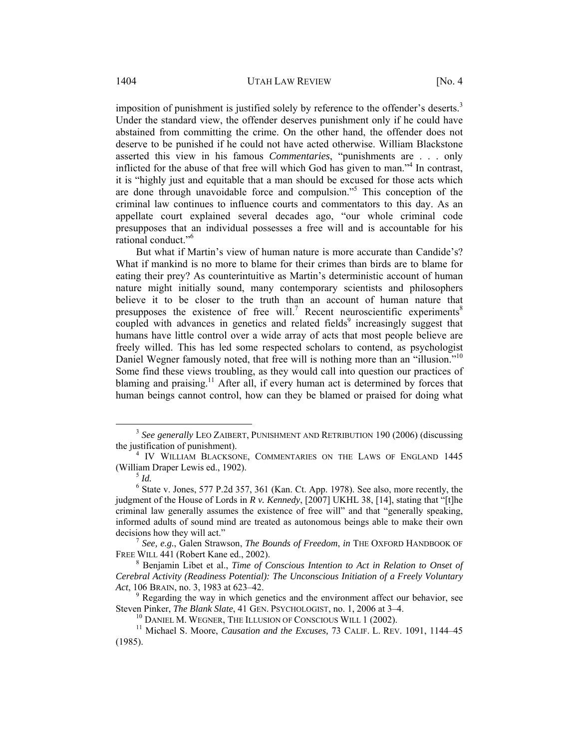imposition of punishment is justified solely by reference to the offender's deserts.<sup>3</sup> Under the standard view, the offender deserves punishment only if he could have abstained from committing the crime. On the other hand, the offender does not deserve to be punished if he could not have acted otherwise. William Blackstone asserted this view in his famous *Commentaries*, "punishments are . . . only inflicted for the abuse of that free will which God has given to man."4 In contrast, it is "highly just and equitable that a man should be excused for those acts which are done through unavoidable force and compulsion."5 This conception of the criminal law continues to influence courts and commentators to this day. As an appellate court explained several decades ago, "our whole criminal code presupposes that an individual possesses a free will and is accountable for his rational conduct."6

But what if Martin's view of human nature is more accurate than Candide's? What if mankind is no more to blame for their crimes than birds are to blame for eating their prey? As counterintuitive as Martin's deterministic account of human nature might initially sound, many contemporary scientists and philosophers believe it to be closer to the truth than an account of human nature that presupposes the existence of free will.<sup>7</sup> Recent neuroscientific experiments<sup>8</sup> coupled with advances in genetics and related fields $9$  increasingly suggest that humans have little control over a wide array of acts that most people believe are freely willed. This has led some respected scholars to contend, as psychologist Daniel Wegner famously noted, that free will is nothing more than an "illusion."<sup>10</sup> Some find these views troubling, as they would call into question our practices of blaming and praising.<sup>11</sup> After all, if every human act is determined by forces that human beings cannot control, how can they be blamed or praised for doing what

<sup>&</sup>lt;sup>3</sup> See generally LEO ZAIBERT, PUNISHMENT AND RETRIBUTION 190 (2006) (discussing the justification of punishment). 4

<sup>&</sup>lt;sup>4</sup> IV WILLIAM BLACKSONE, COMMENTARIES ON THE LAWS OF ENGLAND 1445 (William Draper Lewis ed., 1902). 5 *Id.*

 $6$  State v. Jones, 577 P.2d 357, 361 (Kan. Ct. App. 1978). See also, more recently, the judgment of the House of Lords in *R v. Kennedy*, [2007] UKHL 38, [14], stating that "[t]he criminal law generally assumes the existence of free will" and that "generally speaking, informed adults of sound mind are treated as autonomous beings able to make their own decisions how they will act." 7 *See, e.g.*, Galen Strawson, *The Bounds of Freedom*, *in* THE OXFORD HANDBOOK OF

FREE WILL 441 (Robert Kane ed., 2002).

Benjamin Libet et al., *Time of Conscious Intention to Act in Relation to Onset of Cerebral Activity (Readiness Potential): The Unconscious Initiation of a Freely Voluntary Act*, 106 BRAIN, no. 3, 1983 at 623–42.

 $9$  Regarding the way in which genetics and the environment affect our behavior, see Steven Pinker, *The Blank Slate*, 41 GEN. PSYCHOLOGIST, no. 1, 2006 at  $3-4$ .

<sup>&</sup>lt;sup>10</sup> DANIEL M. WEGNER, THE ILLUSION OF CONSCIOUS WILL 1 (2002).<br><sup>11</sup> Michael S. Moore, *Causation and the Excuses*, 73 CALIF. L. REV. 1091, 1144–45 (1985).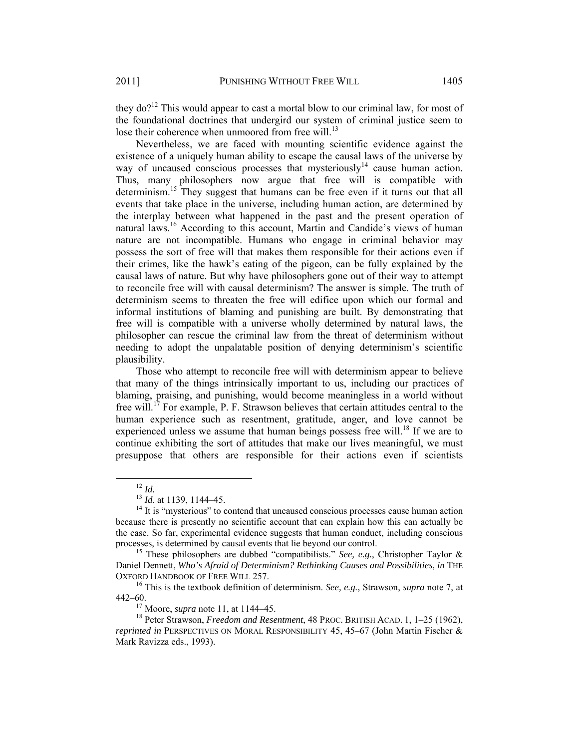they  $do?$ <sup>12</sup> This would appear to cast a mortal blow to our criminal law, for most of the foundational doctrines that undergird our system of criminal justice seem to lose their coherence when unmoored from free will. $^{13}$ 

Nevertheless, we are faced with mounting scientific evidence against the existence of a uniquely human ability to escape the causal laws of the universe by way of uncaused conscious processes that mysteriously<sup>14</sup> cause human action. Thus, many philosophers now argue that free will is compatible with determinism.<sup>15</sup> They suggest that humans can be free even if it turns out that all events that take place in the universe, including human action, are determined by the interplay between what happened in the past and the present operation of natural laws.<sup>16</sup> According to this account, Martin and Candide's views of human nature are not incompatible. Humans who engage in criminal behavior may possess the sort of free will that makes them responsible for their actions even if their crimes, like the hawk's eating of the pigeon, can be fully explained by the causal laws of nature. But why have philosophers gone out of their way to attempt to reconcile free will with causal determinism? The answer is simple. The truth of determinism seems to threaten the free will edifice upon which our formal and informal institutions of blaming and punishing are built. By demonstrating that free will is compatible with a universe wholly determined by natural laws, the philosopher can rescue the criminal law from the threat of determinism without needing to adopt the unpalatable position of denying determinism's scientific plausibility.

Those who attempt to reconcile free will with determinism appear to believe that many of the things intrinsically important to us, including our practices of blaming, praising, and punishing, would become meaningless in a world without free will.<sup>17</sup> For example, P. F. Strawson believes that certain attitudes central to the human experience such as resentment, gratitude, anger, and love cannot be experienced unless we assume that human beings possess free will.<sup>18</sup> If we are to continue exhibiting the sort of attitudes that make our lives meaningful, we must presuppose that others are responsible for their actions even if scientists

<sup>&</sup>lt;sup>12</sup> *Id.* 13 *Id.* at 1139, 1144–45.<br><sup>13</sup> *Id.* at 1139, 1144–45.<br><sup>14</sup> It is "mysterious" to contend that uncaused conscious processes cause human action because there is presently no scientific account that can explain how this can actually be the case. So far, experimental evidence suggests that human conduct, including conscious processes, is determined by causal events that lie beyond our control. 15 These philosophers are dubbed "compatibilists." *See, e.g.*, Christopher Taylor &

Daniel Dennett, *Who's Afraid of Determinism? Rethinking Causes and Possibilities*, *in* THE OXFORD HANDBOOK OF FREE WILL 257. 16 This is the textbook definition of determinism. *See, e.g.*, Strawson, *supra* note 7, at

<sup>442–60.&</sup>lt;br><sup>17</sup> Moore, *supra* note 11, at 1144–45.<br><sup>18</sup> Peter Strawson, *Freedom and Resentment*, 48 PROC. BRITISH ACAD. 1, 1–25 (1962),

*reprinted in* PERSPECTIVES ON MORAL RESPONSIBILITY 45, 45–67 (John Martin Fischer & Mark Ravizza eds., 1993).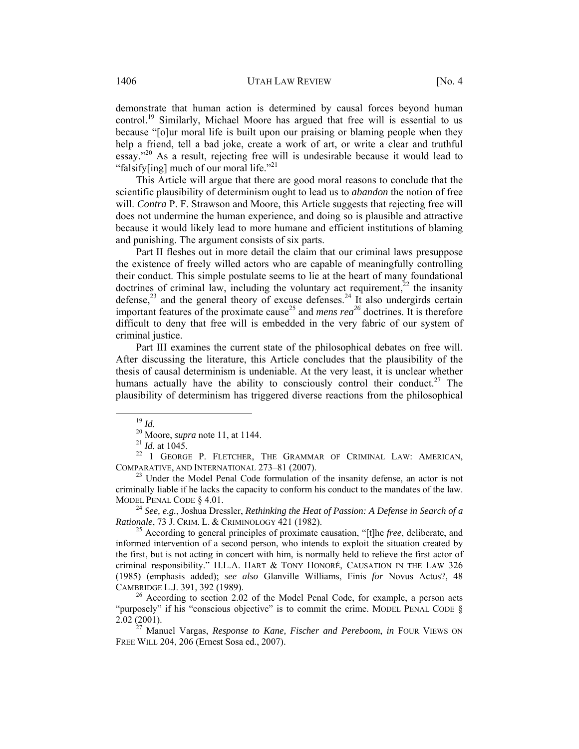demonstrate that human action is determined by causal forces beyond human control.<sup>19</sup> Similarly, Michael Moore has argued that free will is essential to us because "[o]ur moral life is built upon our praising or blaming people when they help a friend, tell a bad joke, create a work of art, or write a clear and truthful essay."20 As a result, rejecting free will is undesirable because it would lead to "falsify[ing] much of our moral life."<sup>21</sup>

This Article will argue that there are good moral reasons to conclude that the scientific plausibility of determinism ought to lead us to *abandon* the notion of free will. *Contra* P. F. Strawson and Moore, this Article suggests that rejecting free will does not undermine the human experience, and doing so is plausible and attractive because it would likely lead to more humane and efficient institutions of blaming and punishing. The argument consists of six parts.

Part II fleshes out in more detail the claim that our criminal laws presuppose the existence of freely willed actors who are capable of meaningfully controlling their conduct. This simple postulate seems to lie at the heart of many foundational doctrines of criminal law, including the voluntary act requirement,  $^{22}$  the insanity defense,<sup>23</sup> and the general theory of excuse defenses.<sup>24</sup> It also undergirds certain important features of the proximate cause<sup>25</sup> and *mens rea*<sup>26</sup> doctrines. It is therefore difficult to deny that free will is embedded in the very fabric of our system of criminal justice.

Part III examines the current state of the philosophical debates on free will. After discussing the literature, this Article concludes that the plausibility of the thesis of causal determinism is undeniable. At the very least, it is unclear whether humans actually have the ability to consciously control their conduct.<sup>27</sup> The plausibility of determinism has triggered diverse reactions from the philosophical

<sup>19</sup> *Id.* 20 Moore, *supra* note 11, at 1144.<br><sup>21</sup> *Id.* at 1045.<br><sup>22</sup> 1 GEORGE P. FLETCHER, THE GRAMMAR OF CRIMINAL LAW: AMERICAN, COMPARATIVE, AND INTERNATIONAL 273–81 (2007). 23 Under the Model Penal Code formulation of the insanity defense, an actor is not

criminally liable if he lacks the capacity to conform his conduct to the mandates of the law.

MODEL PENAL CODE § 4.01.<br><sup>24</sup> *See, e.g.*, Joshua Dressler, *Rethinking the Heat of Passion: A Defense in Search of a Rationale.* 73 J. CRIM. L. & CRIMINOLOGY 421 (1982).

<sup>25</sup> According to general principles of proximate causation, "[t]he *free*, deliberate, and informed intervention of a second person, who intends to exploit the situation created by the first, but is not acting in concert with him, is normally held to relieve the first actor of criminal responsibility." H.L.A. HART & TONY HONORÉ, CAUSATION IN THE LAW 326 (1985) (emphasis added); *see also* Glanville Williams, Finis *for* Novus Actus?, 48 CAMBRIDGE L.J. 391, 392 (1989).<br><sup>26</sup> According to section 2.02 of the Model Penal Code, for example, a person acts

<sup>&</sup>quot;purposely" if his "conscious objective" is to commit the crime. MODEL PENAL CODE § 2.02 (2001). 27 Manuel Vargas, *Response to Kane, Fischer and Pereboom*, *in* FOUR VIEWS ON

FREE WILL 204, 206 (Ernest Sosa ed., 2007).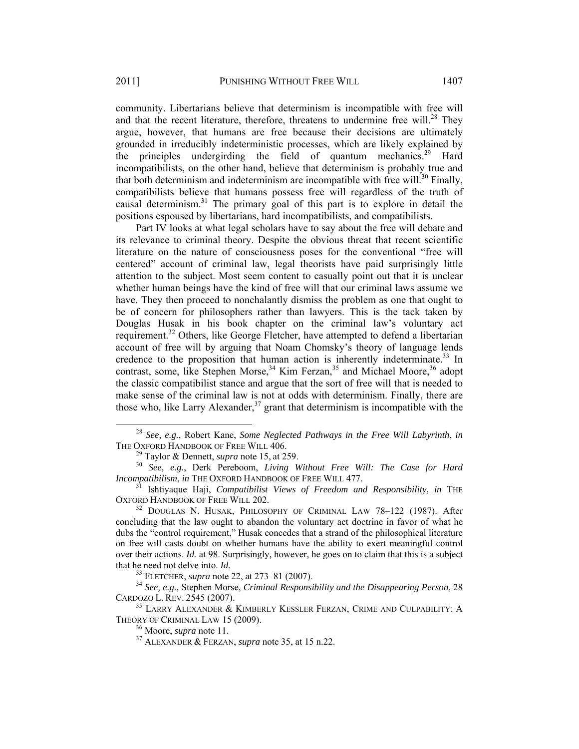community. Libertarians believe that determinism is incompatible with free will and that the recent literature, therefore, threatens to undermine free will.<sup>28</sup> They argue, however, that humans are free because their decisions are ultimately grounded in irreducibly indeterministic processes, which are likely explained by the principles undergirding the field of quantum mechanics.<sup>29</sup> Hard incompatibilists, on the other hand, believe that determinism is probably true and that both determinism and indeterminism are incompatible with free will.<sup>30</sup> Finally, compatibilists believe that humans possess free will regardless of the truth of causal determinism.31 The primary goal of this part is to explore in detail the positions espoused by libertarians, hard incompatibilists, and compatibilists.

Part IV looks at what legal scholars have to say about the free will debate and its relevance to criminal theory. Despite the obvious threat that recent scientific literature on the nature of consciousness poses for the conventional "free will centered" account of criminal law, legal theorists have paid surprisingly little attention to the subject. Most seem content to casually point out that it is unclear whether human beings have the kind of free will that our criminal laws assume we have. They then proceed to nonchalantly dismiss the problem as one that ought to be of concern for philosophers rather than lawyers. This is the tack taken by Douglas Husak in his book chapter on the criminal law's voluntary act requirement.<sup>32</sup> Others, like George Fletcher, have attempted to defend a libertarian account of free will by arguing that Noam Chomsky's theory of language lends credence to the proposition that human action is inherently indeterminate.<sup>33</sup> In contrast, some, like Stephen Morse,<sup>34</sup> Kim Ferzan,<sup>35</sup> and Michael Moore,<sup>36</sup> adopt the classic compatibilist stance and argue that the sort of free will that is needed to make sense of the criminal law is not at odds with determinism. Finally, there are those who, like Larry Alexander,  $37$  grant that determinism is incompatible with the

 <sup>28</sup> *See, e.g.*, Robert Kane, *Some Neglected Pathways in the Free Will Labyrinth*, *in*

<sup>&</sup>lt;sup>29</sup> Taylor & Dennett, *supra* note 15, at 259.<br><sup>30</sup> *See, e.g.*, Derk Pereboom, *Living Without Free Will: The Case for Hard Incompatibilism, in* THE OXFORD HANDBOOK OF FREE WILL 477.

*Ishtiyaque Haji, Compatibilist Views of Freedom and Responsibility, in THE* OXFORD HANDBOOK OF FREE WILL 202.<br><sup>32</sup> DOUGLAS N. HUSAK, PHILOSOPHY OF CRIMINAL LAW 78-122 (1987). After

concluding that the law ought to abandon the voluntary act doctrine in favor of what he dubs the "control requirement," Husak concedes that a strand of the philosophical literature on free will casts doubt on whether humans have the ability to exert meaningful control over their actions. *Id.* at 98. Surprisingly, however, he goes on to claim that this is a subject that he need not delve into. *Id.* 33 FLETCHER, *supra* note 22, at 273–81 (2007). 34 *See, e.g.*, Stephen Morse, *Criminal Responsibility and the Disappearing Person*, 28

CARDOZO L. REV. 2545 (2007). 35 LARRY ALEXANDER & KIMBERLY KESSLER FERZAN, CRIME AND CULPABILITY: A

THEORY OF CRIMINAL LAW 15 (2009).<br><sup>36</sup> Moore, *supra* note 11.<br><sup>37</sup> ALEXANDER & FERZAN, *supra* note 35, at 15 n.22.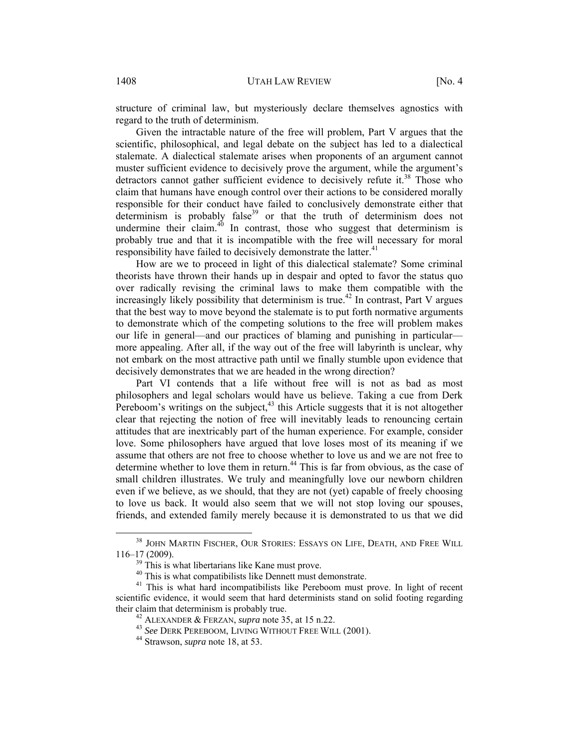structure of criminal law, but mysteriously declare themselves agnostics with regard to the truth of determinism.

Given the intractable nature of the free will problem, Part V argues that the scientific, philosophical, and legal debate on the subject has led to a dialectical stalemate. A dialectical stalemate arises when proponents of an argument cannot muster sufficient evidence to decisively prove the argument, while the argument's detractors cannot gather sufficient evidence to decisively refute it.<sup>38</sup> Those who claim that humans have enough control over their actions to be considered morally responsible for their conduct have failed to conclusively demonstrate either that determinism is probably false<sup>39</sup> or that the truth of determinism does not undermine their claim. $40$  In contrast, those who suggest that determinism is probably true and that it is incompatible with the free will necessary for moral responsibility have failed to decisively demonstrate the latter.<sup>41</sup>

How are we to proceed in light of this dialectical stalemate? Some criminal theorists have thrown their hands up in despair and opted to favor the status quo over radically revising the criminal laws to make them compatible with the increasingly likely possibility that determinism is true.<sup>42</sup> In contrast, Part V argues that the best way to move beyond the stalemate is to put forth normative arguments to demonstrate which of the competing solutions to the free will problem makes our life in general—and our practices of blaming and punishing in particular more appealing. After all, if the way out of the free will labyrinth is unclear, why not embark on the most attractive path until we finally stumble upon evidence that decisively demonstrates that we are headed in the wrong direction?

Part VI contends that a life without free will is not as bad as most philosophers and legal scholars would have us believe. Taking a cue from Derk Pereboom's writings on the subject,  $43$  this Article suggests that it is not altogether clear that rejecting the notion of free will inevitably leads to renouncing certain attitudes that are inextricably part of the human experience. For example, consider love. Some philosophers have argued that love loses most of its meaning if we assume that others are not free to choose whether to love us and we are not free to determine whether to love them in return.<sup>44</sup> This is far from obvious, as the case of small children illustrates. We truly and meaningfully love our newborn children even if we believe, as we should, that they are not (yet) capable of freely choosing to love us back. It would also seem that we will not stop loving our spouses, friends, and extended family merely because it is demonstrated to us that we did

<sup>&</sup>lt;sup>38</sup> JOHN MARTIN FISCHER, OUR STORIES: ESSAYS ON LIFE, DEATH, AND FREE WILL 116–17 (2009).<br> $39$  This is what libertarians like Kane must prove.

<sup>&</sup>lt;sup>40</sup> This is what compatibilists like Dennett must demonstrate.

<sup>&</sup>lt;sup>41</sup> This is what hard incompatibilists like Pereboom must prove. In light of recent scientific evidence, it would seem that hard determinists stand on solid footing regarding their claim that determinism is probably true.<br><sup>42</sup> ALEXANDER & FERZAN, *supra* note 35, at 15 n.22.<br><sup>43</sup> *See* DERK PEREBOOM, LIVING WITHOUT FREE WILL (2001).<br><sup>44</sup> Strawson, *supra* note 18, at 53.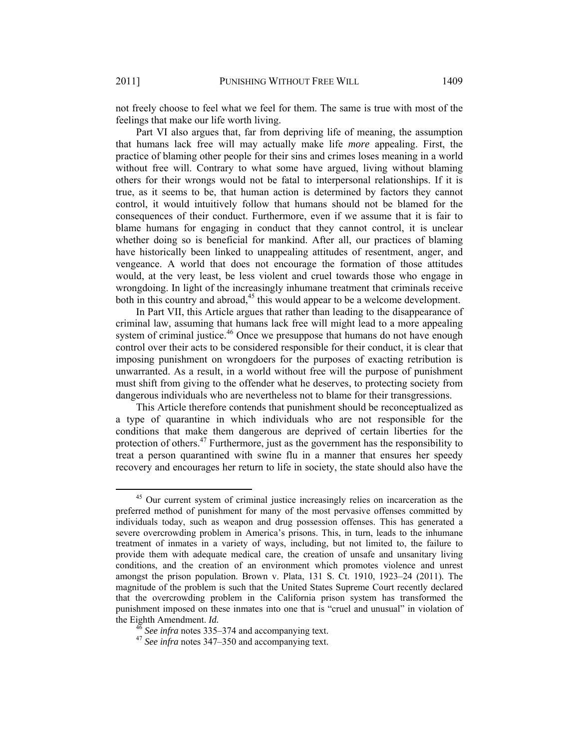not freely choose to feel what we feel for them. The same is true with most of the feelings that make our life worth living.

Part VI also argues that, far from depriving life of meaning, the assumption that humans lack free will may actually make life *more* appealing. First, the practice of blaming other people for their sins and crimes loses meaning in a world without free will. Contrary to what some have argued, living without blaming others for their wrongs would not be fatal to interpersonal relationships. If it is true, as it seems to be, that human action is determined by factors they cannot control, it would intuitively follow that humans should not be blamed for the consequences of their conduct. Furthermore, even if we assume that it is fair to blame humans for engaging in conduct that they cannot control, it is unclear whether doing so is beneficial for mankind. After all, our practices of blaming have historically been linked to unappealing attitudes of resentment, anger, and vengeance. A world that does not encourage the formation of those attitudes would, at the very least, be less violent and cruel towards those who engage in wrongdoing. In light of the increasingly inhumane treatment that criminals receive both in this country and abroad,<sup>45</sup> this would appear to be a welcome development.

In Part VII, this Article argues that rather than leading to the disappearance of criminal law, assuming that humans lack free will might lead to a more appealing system of criminal justice.<sup>46</sup> Once we presuppose that humans do not have enough control over their acts to be considered responsible for their conduct, it is clear that imposing punishment on wrongdoers for the purposes of exacting retribution is unwarranted. As a result, in a world without free will the purpose of punishment must shift from giving to the offender what he deserves, to protecting society from dangerous individuals who are nevertheless not to blame for their transgressions.

This Article therefore contends that punishment should be reconceptualized as a type of quarantine in which individuals who are not responsible for the conditions that make them dangerous are deprived of certain liberties for the protection of others.<sup>47</sup> Furthermore, just as the government has the responsibility to treat a person quarantined with swine flu in a manner that ensures her speedy recovery and encourages her return to life in society, the state should also have the

<sup>&</sup>lt;sup>45</sup> Our current system of criminal justice increasingly relies on incarceration as the preferred method of punishment for many of the most pervasive offenses committed by individuals today, such as weapon and drug possession offenses. This has generated a severe overcrowding problem in America's prisons. This, in turn, leads to the inhumane treatment of inmates in a variety of ways, including, but not limited to, the failure to provide them with adequate medical care, the creation of unsafe and unsanitary living conditions, and the creation of an environment which promotes violence and unrest amongst the prison population. Brown v. Plata, 131 S. Ct. 1910, 1923–24 (2011)*.* The magnitude of the problem is such that the United States Supreme Court recently declared that the overcrowding problem in the California prison system has transformed the punishment imposed on these inmates into one that is "cruel and unusual" in violation of the Eighth Amendment. *Id.*<br><sup>46</sup> *See infra* notes 335–374 and accompanying text.<br><sup>47</sup> *See infra* notes 347–350 and accompanying text.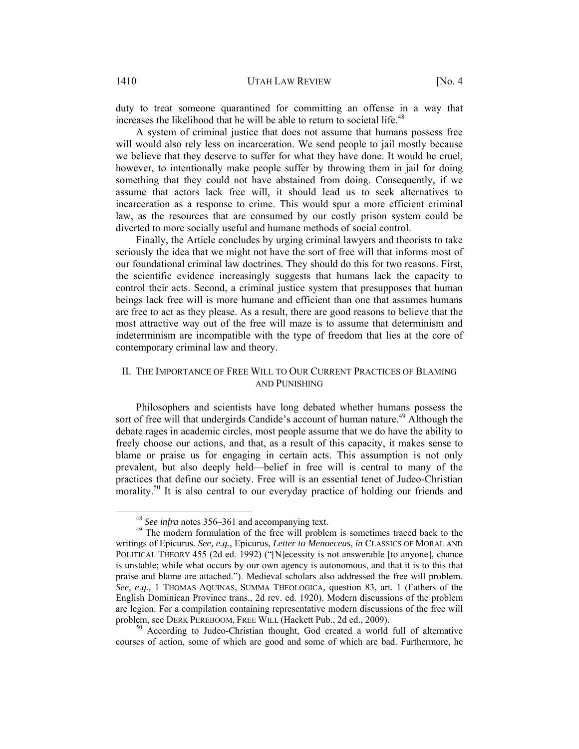duty to treat someone quarantined for committing an offense in a way that increases the likelihood that he will be able to return to societal life.<sup>48</sup>

A system of criminal justice that does not assume that humans possess free will would also rely less on incarceration. We send people to jail mostly because we believe that they deserve to suffer for what they have done. It would be cruel, however, to intentionally make people suffer by throwing them in jail for doing something that they could not have abstained from doing. Consequently, if we assume that actors lack free will, it should lead us to seek alternatives to incarceration as a response to crime. This would spur a more efficient criminal law, as the resources that are consumed by our costly prison system could be diverted to more socially useful and humane methods of social control.

Finally, the Article concludes by urging criminal lawyers and theorists to take seriously the idea that we might not have the sort of free will that informs most of our foundational criminal law doctrines. They should do this for two reasons. First, the scientific evidence increasingly suggests that humans lack the capacity to control their acts. Second, a criminal justice system that presupposes that human beings lack free will is more humane and efficient than one that assumes humans are free to act as they please. As a result, there are good reasons to believe that the most attractive way out of the free will maze is to assume that determinism and indeterminism are incompatible with the type of freedom that lies at the core of contemporary criminal law and theory.

# II. THE IMPORTANCE OF FREE WILL TO OUR CURRENT PRACTICES OF BLAMING AND PUNISHING

Philosophers and scientists have long debated whether humans possess the sort of free will that undergirds Candide's account of human nature.<sup>49</sup> Although the debate rages in academic circles, most people assume that we do have the ability to freely choose our actions, and that, as a result of this capacity, it makes sense to blame or praise us for engaging in certain acts. This assumption is not only prevalent, but also deeply held—belief in free will is central to many of the practices that define our society. Free will is an essential tenet of Judeo-Christian morality.<sup>50</sup> It is also central to our everyday practice of holding our friends and

courses of action, some of which are good and some of which are bad. Furthermore, he

<sup>&</sup>lt;sup>48</sup> *See infra* notes 356–361 and accompanying text.<br><sup>49</sup> The modern formulation of the free will problem is sometimes traced back to the writings of Epicurus. *See, e.g.*, Epicurus, *Letter to Menoeceus*, *in* CLASSICS OF MORAL AND POLITICAL THEORY 455 (2d ed. 1992) ("[N]ecessity is not answerable [to anyone], chance is unstable; while what occurs by our own agency is autonomous, and that it is to this that praise and blame are attached."). Medieval scholars also addressed the free will problem. *See, e.g.*, 1 THOMAS AQUINAS, SUMMA THEOLOGICA*,* question 83, art. 1 (Fathers of the English Dominican Province trans., 2d rev. ed. 1920). Modern discussions of the problem are legion. For a compilation containing representative modern discussions of the free will problem, see DERK PEREBOOM, FREE WILL (Hackett Pub., 2d ed., 2009).<br><sup>50</sup> According to Judeo-Christian thought, God created a world full of alternative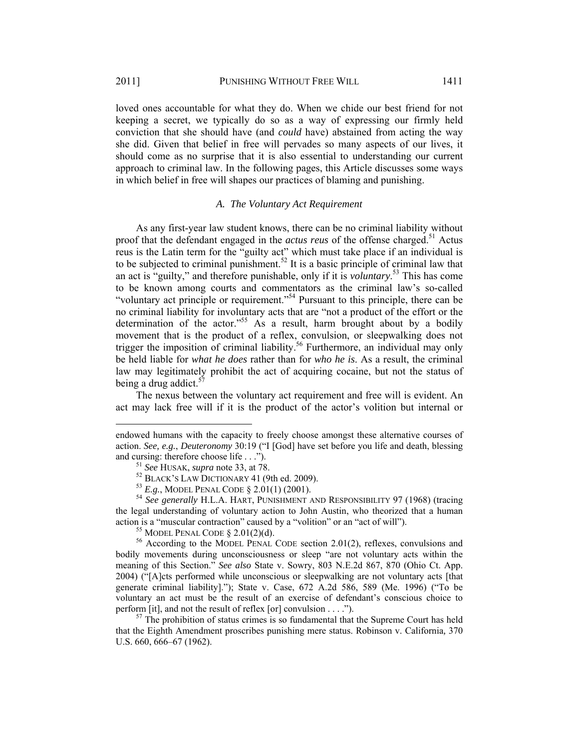$\overline{a}$ 

loved ones accountable for what they do. When we chide our best friend for not keeping a secret, we typically do so as a way of expressing our firmly held conviction that she should have (and *could* have) abstained from acting the way she did. Given that belief in free will pervades so many aspects of our lives, it should come as no surprise that it is also essential to understanding our current approach to criminal law. In the following pages, this Article discusses some ways in which belief in free will shapes our practices of blaming and punishing.

#### *A. The Voluntary Act Requirement*

As any first-year law student knows, there can be no criminal liability without proof that the defendant engaged in the *actus reus* of the offense charged.<sup>51</sup> Actus reus is the Latin term for the "guilty act" which must take place if an individual is to be subjected to criminal punishment.<sup>52</sup> It is a basic principle of criminal law that an act is "guilty," and therefore punishable, only if it is *voluntary*. 53 This has come to be known among courts and commentators as the criminal law's so-called "voluntary act principle or requirement."54 Pursuant to this principle, there can be no criminal liability for involuntary acts that are "not a product of the effort or the determination of the actor."<sup>55</sup> As a result, harm brought about by a bodily movement that is the product of a reflex, convulsion, or sleepwalking does not trigger the imposition of criminal liability.<sup>56</sup> Furthermore, an individual may only be held liable for *what he does* rather than for *who he is*. As a result, the criminal law may legitimately prohibit the act of acquiring cocaine, but not the status of being a drug addict. $57$ 

The nexus between the voluntary act requirement and free will is evident. An act may lack free will if it is the product of the actor's volition but internal or

endowed humans with the capacity to freely choose amongst these alternative courses of action. *See, e.g.*, *Deuteronomy* 30:19 ("I [God] have set before you life and death, blessing and cursing: therefore choose life . . .").<br>
<sup>51</sup> See HUSAK, supra note 33, at 78.<br>
<sup>52</sup> BLACK'S LAW DICTIONARY 41 (9th ed. 2009).<br>
<sup>53</sup> E.g., MODEL PENAL CODE § 2.01(1) (2001).<br>
<sup>54</sup> See generally H.L.A. HART, PUNISHMENT

the legal understanding of voluntary action to John Austin, who theorized that a human action is a "muscular contraction" caused by a "volition" or an "act of will").<br><sup>55</sup> MODEL PENAL CODE § 2.01(2)(d).<br><sup>56</sup> According to the MODEL PENAL CODE section 2.01(2), reflexes, convulsions and

bodily movements during unconsciousness or sleep "are not voluntary acts within the meaning of this Section." *See also* State v. Sowry, 803 N.E.2d 867, 870 (Ohio Ct. App. 2004) ("[A]cts performed while unconscious or sleepwalking are not voluntary acts [that generate criminal liability]."); State v. Case, 672 A.2d 586, 589 (Me. 1996) ("To be voluntary an act must be the result of an exercise of defendant's conscious choice to perform [it], and not the result of reflex [or] convulsion  $\dots$ .").

 $57$  The prohibition of status crimes is so fundamental that the Supreme Court has held that the Eighth Amendment proscribes punishing mere status. Robinson v. California*,* 370 U.S. 660, 666–67 (1962).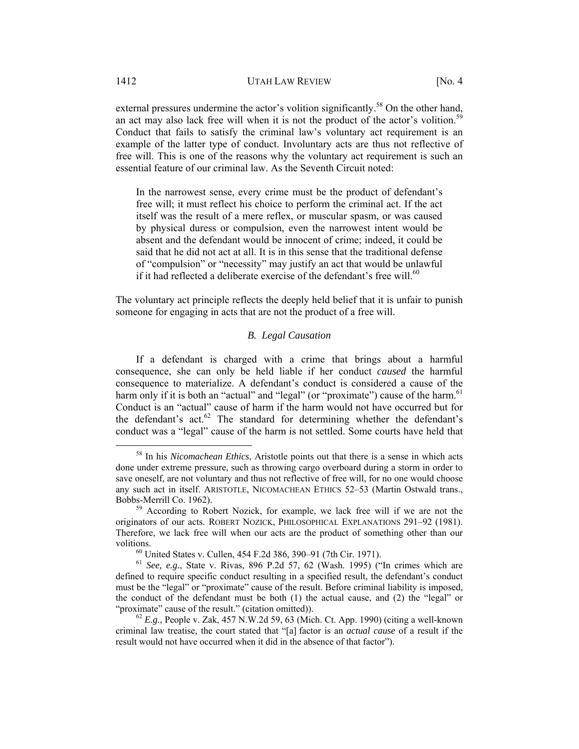external pressures undermine the actor's volition significantly.<sup>58</sup> On the other hand, an act may also lack free will when it is not the product of the actor's volition.<sup>5</sup> Conduct that fails to satisfy the criminal law's voluntary act requirement is an example of the latter type of conduct. Involuntary acts are thus not reflective of free will. This is one of the reasons why the voluntary act requirement is such an essential feature of our criminal law. As the Seventh Circuit noted:

In the narrowest sense, every crime must be the product of defendant's free will; it must reflect his choice to perform the criminal act. If the act itself was the result of a mere reflex, or muscular spasm, or was caused by physical duress or compulsion, even the narrowest intent would be absent and the defendant would be innocent of crime; indeed, it could be said that he did not act at all. It is in this sense that the traditional defense of "compulsion" or "necessity" may justify an act that would be unlawful if it had reflected a deliberate exercise of the defendant's free will.<sup>60</sup>

The voluntary act principle reflects the deeply held belief that it is unfair to punish someone for engaging in acts that are not the product of a free will.

# *B. Legal Causation*

If a defendant is charged with a crime that brings about a harmful consequence, she can only be held liable if her conduct *caused* the harmful consequence to materialize. A defendant's conduct is considered a cause of the harm only if it is both an "actual" and "legal" (or "proximate") cause of the harm.<sup>61</sup> Conduct is an "actual" cause of harm if the harm would not have occurred but for the defendant's act. $62$  The standard for determining whether the defendant's conduct was a "legal" cause of the harm is not settled. Some courts have held that

 <sup>58</sup> In his *Nicomachean Ethics*, Aristotle points out that there is a sense in which acts done under extreme pressure, such as throwing cargo overboard during a storm in order to save oneself, are not voluntary and thus not reflective of free will, for no one would choose any such act in itself. ARISTOTLE, NICOMACHEAN ETHICS 52–53 (Martin Ostwald trans., Bobbs-Merrill Co. 1962). 59 According to Robert Nozick, for example, we lack free will if we are not the

originators of our acts. ROBERT NOZICK, PHILOSOPHICAL EXPLANATIONS 291–92 (1981). Therefore, we lack free will when our acts are the product of something other than our volitions. 60 United States v. Cullen, 454 F.2d 386, 390–91 (7th Cir. 1971).

<sup>61</sup> *See, e.g.*, State v. Rivas, 896 P.2d 57, 62 (Wash. 1995) ("In crimes which are defined to require specific conduct resulting in a specified result, the defendant's conduct must be the "legal" or "proximate" cause of the result. Before criminal liability is imposed, the conduct of the defendant must be both (1) the actual cause, and (2) the "legal" or "proximate" cause of the result." (citation omitted)). 62 *E.g.*, People v. Zak, 457 N.W.2d 59, 63 (Mich. Ct. App. 1990) (citing a well-known

criminal law treatise, the court stated that "[a] factor is an *actual cause* of a result if the result would not have occurred when it did in the absence of that factor").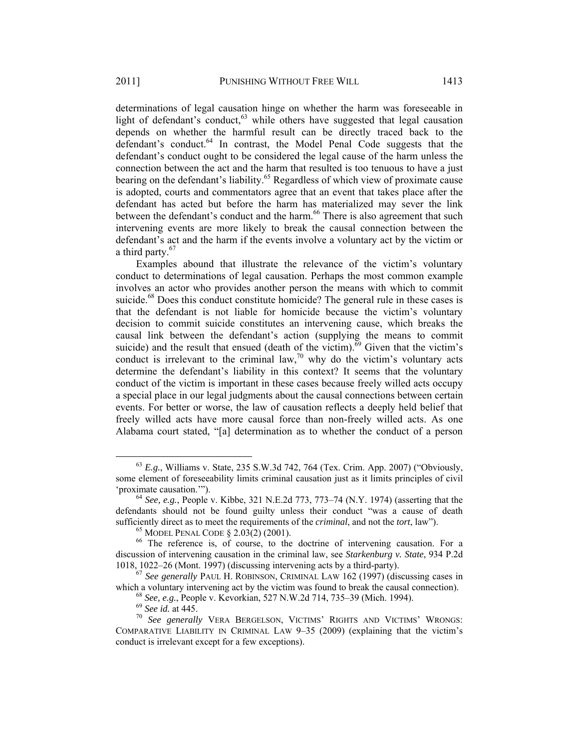determinations of legal causation hinge on whether the harm was foreseeable in light of defendant's conduct, $63$  while others have suggested that legal causation depends on whether the harmful result can be directly traced back to the defendant's conduct.<sup>64</sup> In contrast, the Model Penal Code suggests that the defendant's conduct ought to be considered the legal cause of the harm unless the connection between the act and the harm that resulted is too tenuous to have a just bearing on the defendant's liability.<sup>65</sup> Regardless of which view of proximate cause is adopted, courts and commentators agree that an event that takes place after the

defendant has acted but before the harm has materialized may sever the link between the defendant's conduct and the harm.<sup>66</sup> There is also agreement that such intervening events are more likely to break the causal connection between the defendant's act and the harm if the events involve a voluntary act by the victim or a third party.<sup>67</sup>

Examples abound that illustrate the relevance of the victim's voluntary conduct to determinations of legal causation. Perhaps the most common example involves an actor who provides another person the means with which to commit suicide.<sup>68</sup> Does this conduct constitute homicide? The general rule in these cases is that the defendant is not liable for homicide because the victim's voluntary decision to commit suicide constitutes an intervening cause, which breaks the causal link between the defendant's action (supplying the means to commit suicide) and the result that ensued (death of the victim).<sup>69</sup> Given that the victim's conduct is irrelevant to the criminal law,<sup>70</sup> why do the victim's voluntary acts determine the defendant's liability in this context? It seems that the voluntary conduct of the victim is important in these cases because freely willed acts occupy a special place in our legal judgments about the causal connections between certain events. For better or worse, the law of causation reflects a deeply held belief that freely willed acts have more causal force than non-freely willed acts. As one Alabama court stated, "[a] determination as to whether the conduct of a person

 <sup>63</sup> *E.g.*, Williams v. State, 235 S.W.3d 742, 764 (Tex. Crim. App. 2007) ("Obviously, some element of foreseeability limits criminal causation just as it limits principles of civil<br>'proximate causation.'").

<sup>&</sup>lt;sup>64</sup> *See, e.g.*, People v. Kibbe, 321 N.E.2d 773, 773–74 (N.Y. 1974) (asserting that the defendants should not be found guilty unless their conduct "was a cause of death sufficiently direct as to meet the requirements of the *criminal*, and not the *tort*, law").<br><sup>65</sup> MODEL PENAL CODE § 2.03(2) (2001).<br><sup>66</sup> The reference is, of course, to the doctrine of intervening causation. For a

discussion of intervening causation in the criminal law, see *Starkenburg v. State*, 934 P.2d 1018, 1022–26 (Mont. 1997) (discussing intervening acts by a third-party). 67 *See generally* PAUL H. ROBINSON, CRIMINAL LAW 162 (1997) (discussing cases in

which a voluntary intervening act by the victim was found to break the causal connection).<br>
<sup>68</sup> See, e.g., People v. Kevorkian, 527 N.W.2d 714, 735–39 (Mich. 1994).<br>
<sup>69</sup> See id. at 445.<br>
<sup>70</sup> See generally VERA BERGELSO

COMPARATIVE LIABILITY IN CRIMINAL LAW 9–35 (2009) (explaining that the victim's conduct is irrelevant except for a few exceptions).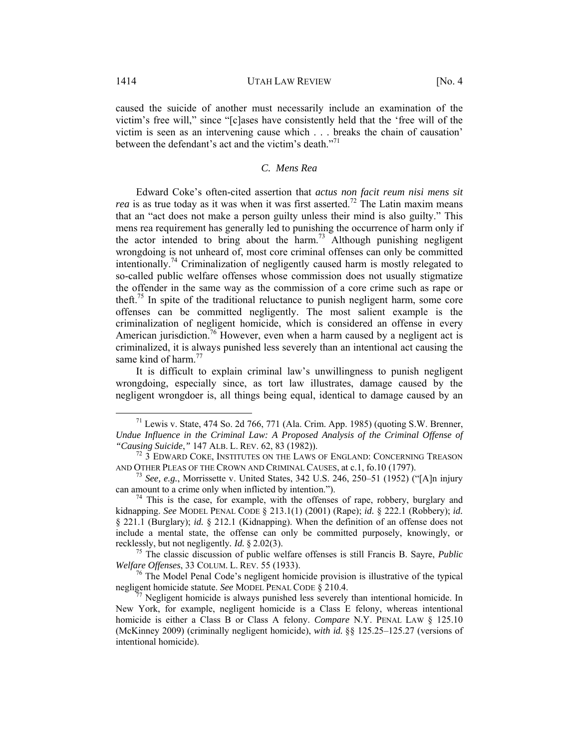caused the suicide of another must necessarily include an examination of the victim's free will," since "[c]ases have consistently held that the 'free will of the victim is seen as an intervening cause which . . . breaks the chain of causation' between the defendant's act and the victim's death."<sup>71</sup>

# *C. Mens Rea*

Edward Coke's often-cited assertion that *actus non facit reum nisi mens sit rea* is as true today as it was when it was first asserted.<sup>72</sup> The Latin maxim means that an "act does not make a person guilty unless their mind is also guilty." This mens rea requirement has generally led to punishing the occurrence of harm only if the actor intended to bring about the harm.<sup>73</sup> Although punishing negligent wrongdoing is not unheard of, most core criminal offenses can only be committed intentionally.<sup>74</sup> Criminalization of negligently caused harm is mostly relegated to so-called public welfare offenses whose commission does not usually stigmatize the offender in the same way as the commission of a core crime such as rape or theft.<sup>75</sup> In spite of the traditional reluctance to punish negligent harm, some core offenses can be committed negligently. The most salient example is the criminalization of negligent homicide, which is considered an offense in every American jurisdiction.<sup>76</sup> However, even when a harm caused by a negligent act is criminalized, it is always punished less severely than an intentional act causing the same kind of harm.<sup>77</sup>

It is difficult to explain criminal law's unwillingness to punish negligent wrongdoing, especially since, as tort law illustrates, damage caused by the negligent wrongdoer is, all things being equal, identical to damage caused by an

recklessly, but not negligently*. Id.* § 2.02(3).<br><sup>75</sup> The classic discussion of public welfare offenses is still Francis B. Sayre, *Public Welfare Offenses*, 33 COLUM. L. REV. 55 (1933).

<sup>76</sup> The Model Penal Code's negligent homicide provision is illustrative of the typical negligent homicide statute. *See* MODEL PENAL CODE § 210.4.

 $^{71}$  Lewis v. State, 474 So. 2d 766, 771 (Ala. Crim. App. 1985) (quoting S.W. Brenner, *Undue Influence in the Criminal Law: A Proposed Analysis of the Criminal Offense of* "*Causing Suicide*," 147 ALB. L. REV. 62, 83 (1982)).

<sup>&</sup>lt;sup>72</sup> 3 EDWARD COKE, INSTITUTES ON THE LAWS OF ENGLAND: CONCERNING TREASON

AND OTHER PLEAS OF THE CROWN AND CRIMINAL CAUSES, at c.1, fo.10 (1797).<br><sup>73</sup> *See, e.g.*, Morrissette v. United States, 342 U.S. 246, 250–51 (1952) ("[A]n injury can amount to a crime only when inflicted by intention.").

 $74$  This is the case, for example, with the offenses of rape, robbery, burglary and kidnapping. *See* MODEL PENAL CODE § 213.1(1) (2001) (Rape); *id.* § 222.1 (Robbery); *id.* § 221.1 (Burglary); *id.* § 212.1 (Kidnapping). When the definition of an offense does not include a mental state, the offense can only be committed purposely, knowingly, or

 $\alpha$ <sup>7</sup> Negligent homicide is always punished less severely than intentional homicide. In New York, for example, negligent homicide is a Class E felony, whereas intentional homicide is either a Class B or Class A felony. *Compare* N.Y. PENAL LAW § 125.10 (McKinney 2009) (criminally negligent homicide), *with id.* §§ 125.25–125.27 (versions of intentional homicide).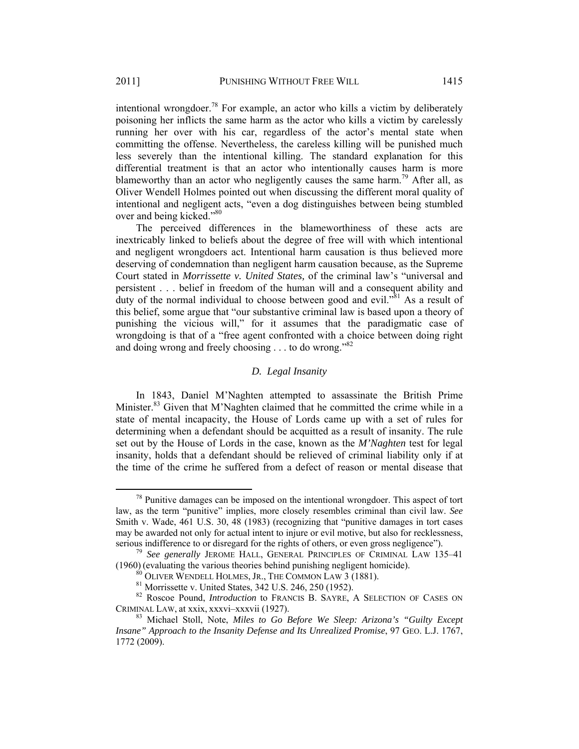intentional wrongdoer.<sup>78</sup> For example, an actor who kills a victim by deliberately poisoning her inflicts the same harm as the actor who kills a victim by carelessly running her over with his car, regardless of the actor's mental state when committing the offense. Nevertheless, the careless killing will be punished much less severely than the intentional killing. The standard explanation for this differential treatment is that an actor who intentionally causes harm is more blameworthy than an actor who negligently causes the same harm.<sup>79</sup> After all, as Oliver Wendell Holmes pointed out when discussing the different moral quality of intentional and negligent acts, "even a dog distinguishes between being stumbled over and being kicked."<sup>80</sup>

The perceived differences in the blameworthiness of these acts are inextricably linked to beliefs about the degree of free will with which intentional and negligent wrongdoers act. Intentional harm causation is thus believed more deserving of condemnation than negligent harm causation because, as the Supreme Court stated in *Morrissette v. United States,* of the criminal law's "universal and persistent . . . belief in freedom of the human will and a consequent ability and duty of the normal individual to choose between good and evil.<sup> $381$ </sup> As a result of this belief, some argue that "our substantive criminal law is based upon a theory of punishing the vicious will," for it assumes that the paradigmatic case of wrongdoing is that of a "free agent confronted with a choice between doing right and doing wrong and freely choosing  $\dots$  to do wrong.<sup>382</sup>

# *D. Legal Insanity*

In 1843, Daniel M'Naghten attempted to assassinate the British Prime Minister.<sup>83</sup> Given that M'Naghten claimed that he committed the crime while in a state of mental incapacity, the House of Lords came up with a set of rules for determining when a defendant should be acquitted as a result of insanity. The rule set out by the House of Lords in the case, known as the *M'Naghten* test for legal insanity, holds that a defendant should be relieved of criminal liability only if at the time of the crime he suffered from a defect of reason or mental disease that

 $78$  Punitive damages can be imposed on the intentional wrongdoer. This aspect of tort law, as the term "punitive" implies, more closely resembles criminal than civil law. *See* Smith v. Wade, 461 U.S. 30, 48 (1983) (recognizing that "punitive damages in tort cases may be awarded not only for actual intent to injure or evil motive, but also for recklessness, serious indifference to or disregard for the rights of others, or even gross negligence").

<sup>&</sup>lt;sup>79</sup> See generally JEROME HALL, GENERAL PRINCIPLES OF CRIMINAL LAW 135–41 (1960) (evaluating the various theories behind punishing negligent homicide). 80 OLIVER WENDELL HOLMES, JR., THE COMMON LAW 3 (1881). 81 Morrissette v. United States, 342 U.S. 246, 250 (1952).

<sup>&</sup>lt;sup>82</sup> Roscoe Pound, *Introduction* to FRANCIS B. SAYRE, A SELECTION OF CASES ON CRIMINAL LAW, at xxix, xxxvi–xxxvii (1927).

<sup>&</sup>lt;sup>83</sup> Michael Stoll, Note, *Miles to Go Before We Sleep: Arizona's "Guilty Except Insane" Approach to the Insanity Defense and Its Unrealized Promise*, 97 GEO. L.J. 1767, 1772 (2009).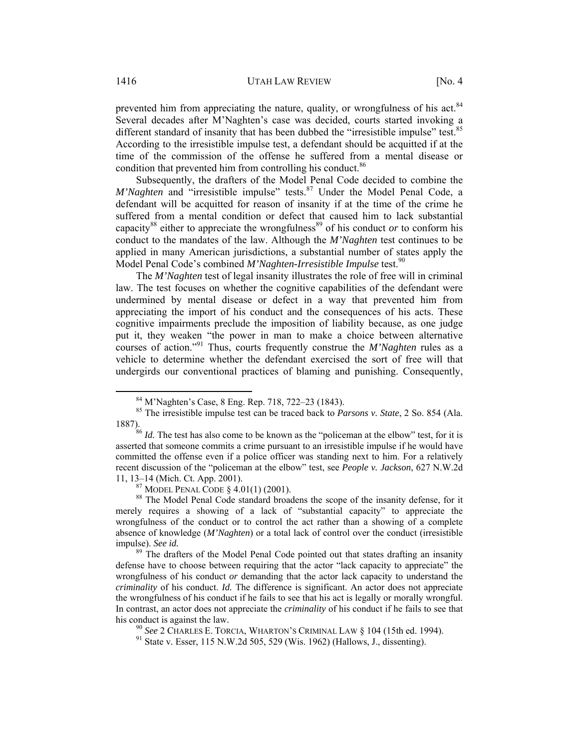prevented him from appreciating the nature, quality, or wrongfulness of his act.<sup>84</sup> Several decades after M'Naghten's case was decided, courts started invoking a different standard of insanity that has been dubbed the "irresistible impulse" test.<sup>85</sup> According to the irresistible impulse test, a defendant should be acquitted if at the time of the commission of the offense he suffered from a mental disease or condition that prevented him from controlling his conduct.<sup>86</sup>

Subsequently, the drafters of the Model Penal Code decided to combine the *M'Naghten* and "irresistible impulse" tests.<sup>87</sup> Under the Model Penal Code, a defendant will be acquitted for reason of insanity if at the time of the crime he suffered from a mental condition or defect that caused him to lack substantial capacity<sup>88</sup> either to appreciate the wrongfulness<sup>89</sup> of his conduct *or* to conform his conduct to the mandates of the law. Although the *M'Naghten* test continues to be applied in many American jurisdictions, a substantial number of states apply the Model Penal Code's combined *M'Naghten-Irresistible Impulse* test.<sup>90</sup>

The *M'Naghten* test of legal insanity illustrates the role of free will in criminal law. The test focuses on whether the cognitive capabilities of the defendant were undermined by mental disease or defect in a way that prevented him from appreciating the import of his conduct and the consequences of his acts. These cognitive impairments preclude the imposition of liability because, as one judge put it, they weaken "the power in man to make a choice between alternative courses of action."91 Thus, courts frequently construe the *M'Naghten* rules as a vehicle to determine whether the defendant exercised the sort of free will that undergirds our conventional practices of blaming and punishing. Consequently,

 <sup>84</sup> M'Naghten's Case, 8 Eng. Rep. 718, 722–23 (1843).

<sup>85</sup> The irresistible impulse test can be traced back to *Parsons v. State*, 2 So. 854 (Ala.

<sup>1887). 86</sup> *Id.* The test has also come to be known as the "policeman at the elbow" test, for it is asserted that someone commits a crime pursuant to an irresistible impulse if he would have committed the offense even if a police officer was standing next to him. For a relatively recent discussion of the "policeman at the elbow" test, see *People v. Jackson*, 627 N.W.2d 11, 13–14 (Mich. Ct. App. 2001).<br><sup>87</sup> MODEL PENAL CODE § 4.01(1) (2001).<br><sup>88</sup> The Model Penal Code standard broadens the scope of the insanity defense, for it

merely requires a showing of a lack of "substantial capacity" to appreciate the wrongfulness of the conduct or to control the act rather than a showing of a complete absence of knowledge (*M'Naghten*) or a total lack of control over the conduct (irresistible impulse). *See id.* <sup>89</sup> The drafters of the Model Penal Code pointed out that states drafting an insanity

defense have to choose between requiring that the actor "lack capacity to appreciate" the wrongfulness of his conduct *or* demanding that the actor lack capacity to understand the *criminality* of his conduct. *Id.* The difference is significant. An actor does not appreciate the wrongfulness of his conduct if he fails to see that his act is legally or morally wrongful. In contrast, an actor does not appreciate the *criminality* of his conduct if he fails to see that his conduct is against the law.<br><sup>90</sup> *See* 2 CHARLES E. TORCIA, WHARTON'S CRIMINAL LAW § 104 (15th ed. 1994).<br><sup>91</sup> State v. Esser, 115 N.W.2d 505, 529 (Wis. 1962) (Hallows, J., dissenting).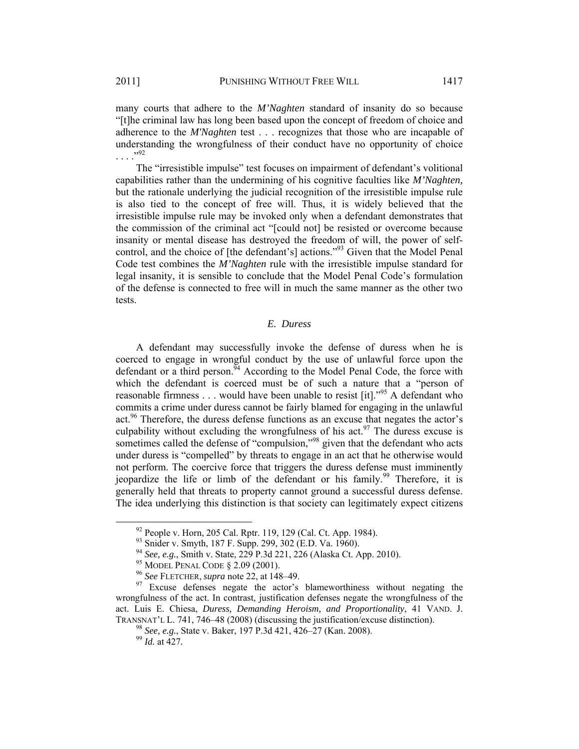many courts that adhere to the *M'Naghten* standard of insanity do so because "[t]he criminal law has long been based upon the concept of freedom of choice and adherence to the *M'Naghten* test . . . recognizes that those who are incapable of understanding the wrongfulness of their conduct have no opportunity of choice . . . ."92

The "irresistible impulse" test focuses on impairment of defendant's volitional capabilities rather than the undermining of his cognitive faculties like *M'Naghten,*  but the rationale underlying the judicial recognition of the irresistible impulse rule is also tied to the concept of free will. Thus, it is widely believed that the irresistible impulse rule may be invoked only when a defendant demonstrates that the commission of the criminal act "[could not] be resisted or overcome because insanity or mental disease has destroyed the freedom of will, the power of selfcontrol, and the choice of [the defendant's] actions."93 Given that the Model Penal Code test combines the *M'Naghten* rule with the irresistible impulse standard for legal insanity, it is sensible to conclude that the Model Penal Code's formulation of the defense is connected to free will in much the same manner as the other two tests.

# *E. Duress*

A defendant may successfully invoke the defense of duress when he is coerced to engage in wrongful conduct by the use of unlawful force upon the defendant or a third person.<sup>94</sup> According to the Model Penal Code, the force with which the defendant is coerced must be of such a nature that a "person of reasonable firmness  $\dots$  would have been unable to resist [it].<sup> $35$ </sup> A defendant who commits a crime under duress cannot be fairly blamed for engaging in the unlawful act.96 Therefore, the duress defense functions as an excuse that negates the actor's culpability without excluding the wrongfulness of his act.<sup>97</sup> The duress excuse is sometimes called the defense of "compulsion,"<sup>98</sup> given that the defendant who acts under duress is "compelled" by threats to engage in an act that he otherwise would not perform. The coercive force that triggers the duress defense must imminently jeopardize the life or limb of the defendant or his family.<sup>99</sup> Therefore, it is generally held that threats to property cannot ground a successful duress defense. The idea underlying this distinction is that society can legitimately expect citizens

<sup>&</sup>lt;sup>92</sup> People v. Horn, 205 Cal. Rptr. 119, 129 (Cal. Ct. App. 1984).<br><sup>93</sup> Snider v. Smyth, 187 F. Supp. 299, 302 (E.D. Va. 1960).<br><sup>94</sup> See, e.g., Smith v. State, 229 P.3d 221, 226 (Alaska Ct. App. 2010).<br><sup>95</sup> MODEL PENAL CO wrongfulness of the act. In contrast, justification defenses negate the wrongfulness of the act. Luis E. Chiesa, *Duress, Demanding Heroism, and Proportionality*, 41 VAND. J. TRANSNAT'L L. 741, 746–48 (2008) (discussing the justification/excuse distinction). 98 *See, e.g.*, State v. Baker, 197 P.3d 421, 426–27 (Kan. 2008). 99 *Id.* at 427*.*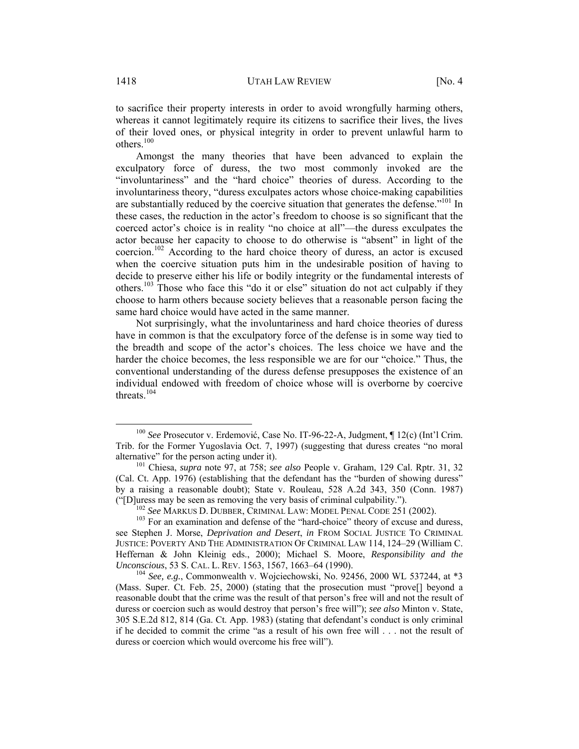to sacrifice their property interests in order to avoid wrongfully harming others, whereas it cannot legitimately require its citizens to sacrifice their lives, the lives of their loved ones, or physical integrity in order to prevent unlawful harm to others.<sup>100</sup>

Amongst the many theories that have been advanced to explain the exculpatory force of duress, the two most commonly invoked are the "involuntariness" and the "hard choice" theories of duress. According to the involuntariness theory, "duress exculpates actors whose choice-making capabilities are substantially reduced by the coercive situation that generates the defense.<sup>"101</sup> In these cases, the reduction in the actor's freedom to choose is so significant that the coerced actor's choice is in reality "no choice at all"—the duress exculpates the actor because her capacity to choose to do otherwise is "absent" in light of the coercion.<sup>102</sup> According to the hard choice theory of duress, an actor is excused when the coercive situation puts him in the undesirable position of having to decide to preserve either his life or bodily integrity or the fundamental interests of others.103 Those who face this "do it or else" situation do not act culpably if they choose to harm others because society believes that a reasonable person facing the same hard choice would have acted in the same manner.

Not surprisingly, what the involuntariness and hard choice theories of duress have in common is that the exculpatory force of the defense is in some way tied to the breadth and scope of the actor's choices. The less choice we have and the harder the choice becomes, the less responsible we are for our "choice." Thus, the conventional understanding of the duress defense presupposes the existence of an individual endowed with freedom of choice whose will is overborne by coercive threats. $104$ 

 <sup>100</sup> *See* Prosecutor v. Erdemović, Case No. IT-96-22-A, Judgment, ¶ 12(c) (Int'l Crim. Trib. for the Former Yugoslavia Oct. 7, 1997) (suggesting that duress creates "no moral alternative" for the person acting under it). 101 Chiesa, *supra* note 97, at 758; *see also* People v. Graham, 129 Cal. Rptr. 31, 32

<sup>(</sup>Cal. Ct. App. 1976) (establishing that the defendant has the "burden of showing duress" by a raising a reasonable doubt); State v. Rouleau, 528 A.2d 343, 350 (Conn. 1987) ("[D]uress may be seen as removing the very basis of criminal culpability.").<br>  $^{102}$  See MARKUS D. DUBBER, CRIMINAL LAW: MODEL PENAL CODE 251 (2002).<br>  $^{103}$  For an examination and defense of the "hard-choice" theory o

see Stephen J. Morse, *Deprivation and Desert*, *in* FROM SOCIAL JUSTICE TO CRIMINAL JUSTICE: POVERTY AND THE ADMINISTRATION OF CRIMINAL LAW 114, 124–29 (William C. Heffernan & John Kleinig eds., 2000); Michael S. Moore, *Responsibility and the Unconscious*, 53 S. CAL. L. REV. 1563, 1567, 1663–64 (1990).<br><sup>104</sup> *See, e.g.*, Commonwealth v. Wojciechowski, No. 92456, 2000 WL 537244, at \*3

<sup>(</sup>Mass. Super. Ct. Feb. 25, 2000) (stating that the prosecution must "prove[] beyond a reasonable doubt that the crime was the result of that person's free will and not the result of duress or coercion such as would destroy that person's free will"); *see also* Minton v. State, 305 S.E.2d 812, 814 (Ga. Ct. App. 1983) (stating that defendant's conduct is only criminal if he decided to commit the crime "as a result of his own free will . . . not the result of duress or coercion which would overcome his free will").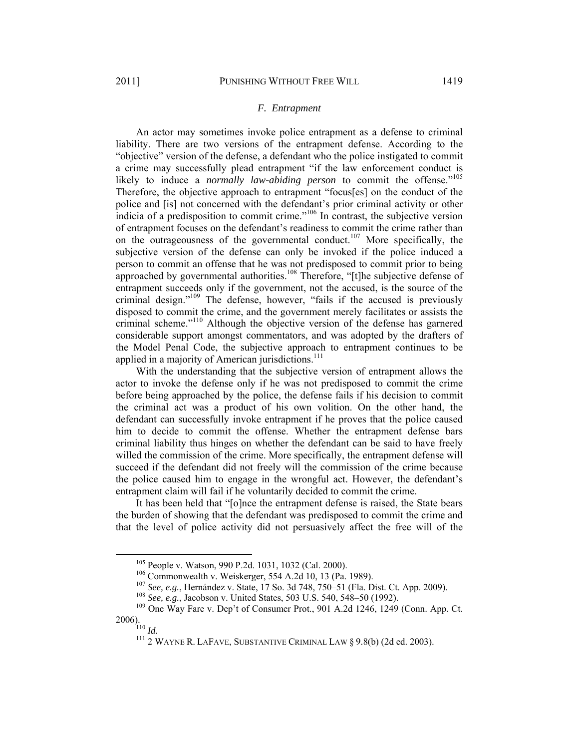# *F. Entrapment*

An actor may sometimes invoke police entrapment as a defense to criminal liability. There are two versions of the entrapment defense. According to the "objective" version of the defense, a defendant who the police instigated to commit a crime may successfully plead entrapment "if the law enforcement conduct is likely to induce a *normally law-abiding person* to commit the offense."<sup>105</sup> Therefore, the objective approach to entrapment "focus[es] on the conduct of the police and [is] not concerned with the defendant's prior criminal activity or other indicia of a predisposition to commit crime.<sup>"106</sup> In contrast, the subjective version of entrapment focuses on the defendant's readiness to commit the crime rather than on the outrageousness of the governmental conduct.<sup>107</sup> More specifically, the subjective version of the defense can only be invoked if the police induced a person to commit an offense that he was not predisposed to commit prior to being approached by governmental authorities.<sup>108</sup> Therefore, "[t]he subjective defense of entrapment succeeds only if the government, not the accused, is the source of the criminal design."109 The defense, however, "fails if the accused is previously disposed to commit the crime, and the government merely facilitates or assists the criminal scheme."110 Although the objective version of the defense has garnered considerable support amongst commentators, and was adopted by the drafters of the Model Penal Code, the subjective approach to entrapment continues to be applied in a majority of American jurisdictions.<sup>111</sup>

With the understanding that the subjective version of entrapment allows the actor to invoke the defense only if he was not predisposed to commit the crime before being approached by the police, the defense fails if his decision to commit the criminal act was a product of his own volition. On the other hand, the defendant can successfully invoke entrapment if he proves that the police caused him to decide to commit the offense. Whether the entrapment defense bars criminal liability thus hinges on whether the defendant can be said to have freely willed the commission of the crime. More specifically, the entrapment defense will succeed if the defendant did not freely will the commission of the crime because the police caused him to engage in the wrongful act. However, the defendant's entrapment claim will fail if he voluntarily decided to commit the crime.

It has been held that "[o]nce the entrapment defense is raised, the State bears the burden of showing that the defendant was predisposed to commit the crime and that the level of police activity did not persuasively affect the free will of the

<sup>&</sup>lt;sup>105</sup> People v. Watson, 990 P.2d. 1031, 1032 (Cal. 2000).<br>
<sup>106</sup> Commonwealth v. Weiskerger, 554 A.2d 10, 13 (Pa. 1989).<br>
<sup>107</sup> See, e.g., Hernández v. State, 17 So. 3d 748, 750–51 (Fla. Dist. Ct. App. 2009).<br>
<sup>108</sup> See,

<sup>&</sup>lt;sup>111</sup> 2 WAYNE R. LAFAVE, SUBSTANTIVE CRIMINAL LAW § 9.8(b) (2d ed. 2003).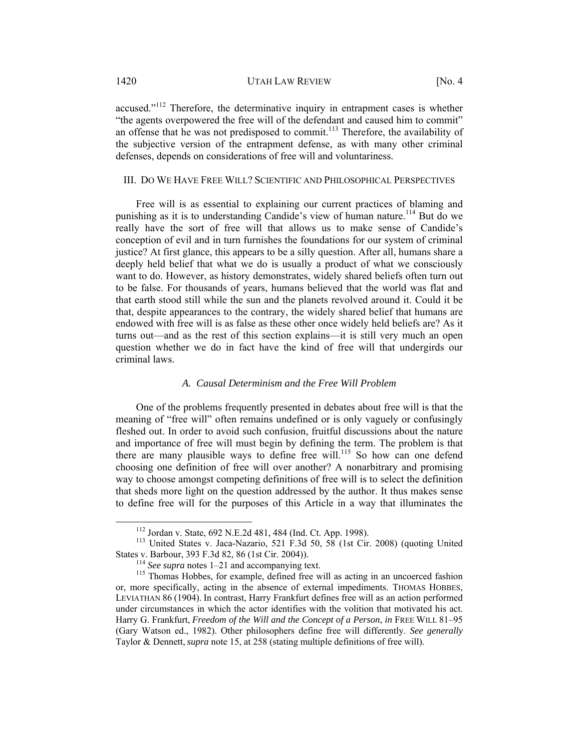accused."<sup>112</sup> Therefore, the determinative inquiry in entrapment cases is whether "the agents overpowered the free will of the defendant and caused him to commit" an offense that he was not predisposed to commit.<sup>113</sup> Therefore, the availability of the subjective version of the entrapment defense, as with many other criminal defenses, depends on considerations of free will and voluntariness.

#### III. DO WE HAVE FREE WILL? SCIENTIFIC AND PHILOSOPHICAL PERSPECTIVES

Free will is as essential to explaining our current practices of blaming and punishing as it is to understanding Candide's view of human nature.<sup>114</sup> But do we really have the sort of free will that allows us to make sense of Candide's conception of evil and in turn furnishes the foundations for our system of criminal justice? At first glance, this appears to be a silly question. After all, humans share a deeply held belief that what we do is usually a product of what we consciously want to do. However, as history demonstrates, widely shared beliefs often turn out to be false. For thousands of years, humans believed that the world was flat and that earth stood still while the sun and the planets revolved around it. Could it be that, despite appearances to the contrary, the widely shared belief that humans are endowed with free will is as false as these other once widely held beliefs are? As it turns out—and as the rest of this section explains—it is still very much an open question whether we do in fact have the kind of free will that undergirds our criminal laws.

# *A. Causal Determinism and the Free Will Problem*

One of the problems frequently presented in debates about free will is that the meaning of "free will" often remains undefined or is only vaguely or confusingly fleshed out. In order to avoid such confusion, fruitful discussions about the nature and importance of free will must begin by defining the term. The problem is that there are many plausible ways to define free will.<sup>115</sup> So how can one defend choosing one definition of free will over another? A nonarbitrary and promising way to choose amongst competing definitions of free will is to select the definition that sheds more light on the question addressed by the author. It thus makes sense to define free will for the purposes of this Article in a way that illuminates the

<sup>&</sup>lt;sup>112</sup> Jordan v. State,  $692$  N.E.2d  $481$ ,  $484$  (Ind. Ct. App. 1998).<br><sup>113</sup> United States v. Jaca-Nazario, 521 F.3d 50, 58 (1st Cir. 2008) (quoting United States v. Barbour, 393 F.3d 82, 86 (1st Cir. 2004)).

<sup>&</sup>lt;sup>114</sup> See supra notes 1–21 and accompanying text.<br><sup>115</sup> Thomas Hobbes, for example, defined free will as acting in an uncoerced fashion or, more specifically, acting in the absence of external impediments. THOMAS HOBBES, LEVIATHAN 86 (1904). In contrast, Harry Frankfurt defines free will as an action performed under circumstances in which the actor identifies with the volition that motivated his act. Harry G. Frankfurt, *Freedom of the Will and the Concept of a Person*, *in* FREE WILL 81–95 (Gary Watson ed., 1982). Other philosophers define free will differently. *See generally* Taylor & Dennett, *supra* note 15, at 258 (stating multiple definitions of free will).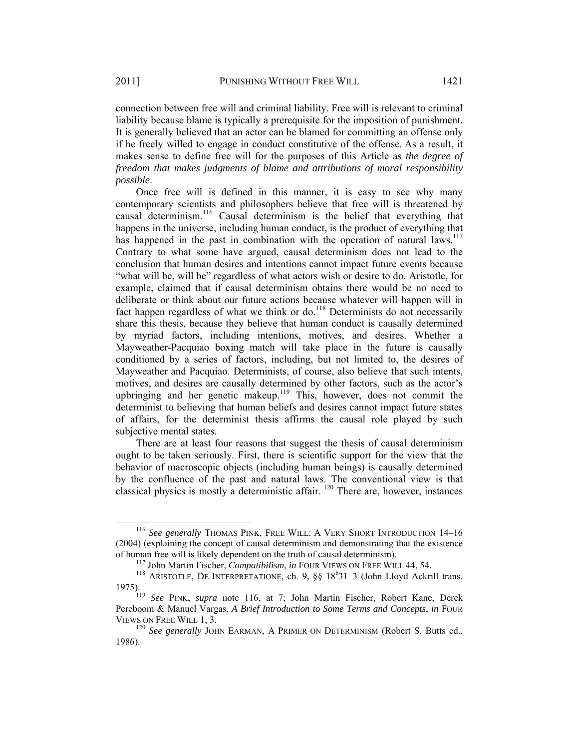connection between free will and criminal liability. Free will is relevant to criminal liability because blame is typically a prerequisite for the imposition of punishment. It is generally believed that an actor can be blamed for committing an offense only if he freely willed to engage in conduct constitutive of the offense. As a result, it makes sense to define free will for the purposes of this Article as *the degree of freedom that makes judgments of blame and attributions of moral responsibility possible*.

Once free will is defined in this manner, it is easy to see why many contemporary scientists and philosophers believe that free will is threatened by causal determinism.<sup>116</sup> Causal determinism is the belief that everything that happens in the universe, including human conduct, is the product of everything that has happened in the past in combination with the operation of natural laws. $117$ Contrary to what some have argued, causal determinism does not lead to the conclusion that human desires and intentions cannot impact future events because "what will be, will be" regardless of what actors wish or desire to do. Aristotle, for example, claimed that if causal determinism obtains there would be no need to deliberate or think about our future actions because whatever will happen will in fact happen regardless of what we think or do.<sup>118</sup> Determinists do not necessarily share this thesis, because they believe that human conduct is causally determined by myriad factors, including intentions, motives, and desires. Whether a Mayweather-Pacquiao boxing match will take place in the future is causally conditioned by a series of factors, including, but not limited to, the desires of Mayweather and Pacquiao. Determinists, of course, also believe that such intents, motives, and desires are causally determined by other factors, such as the actor's upbringing and her genetic makeup.<sup>119</sup> This, however, does not commit the determinist to believing that human beliefs and desires cannot impact future states of affairs, for the determinist thesis affirms the causal role played by such subjective mental states.

There are at least four reasons that suggest the thesis of causal determinism ought to be taken seriously. First, there is scientific support for the view that the behavior of macroscopic objects (including human beings) is causally determined by the confluence of the past and natural laws. The conventional view is that classical physics is mostly a deterministic affair. 120 There are, however, instances

<sup>&</sup>lt;sup>116</sup> See generally THOMAS PINK, FREE WILL: A VERY SHORT INTRODUCTION 14–16 (2004) (explaining the concept of causal determinism and demonstrating that the existence

of human free will is likely dependent on the truth of causal determinism).<br><sup>117</sup> John Martin Fischer, *Compatibilism*, *in* FOUR VIEWS ON FREE WILL 44, 54.<br><sup>118</sup> ARISTOTLE, DE INTERPRETATIONE, ch. 9, §§ 18<sup>b</sup>31–3 (John L 1975). 119 *See* PINK, *supra* note 116, at 7; John Martin Fischer, Robert Kane, Derek

Pereboom & Manuel Vargas, *A Brief Introduction to Some Terms and Concepts*, *in* FOUR VIEWS ON FREE WILL 1, 3. 120 *See generally* JOHN EARMAN, A PRIMER ON DETERMINISM (Robert S. Butts ed.,

<sup>1986).</sup>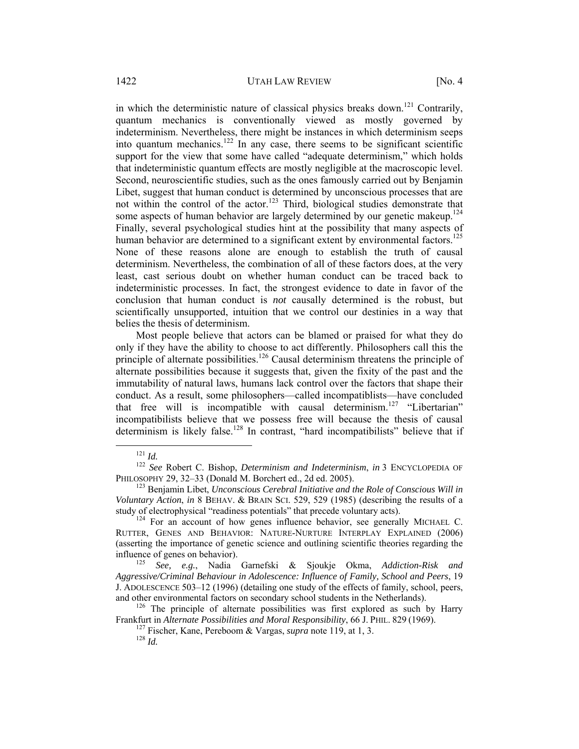in which the deterministic nature of classical physics breaks down.<sup>121</sup> Contrarily, quantum mechanics is conventionally viewed as mostly governed by indeterminism. Nevertheless, there might be instances in which determinism seeps into quantum mechanics.<sup>122</sup> In any case, there seems to be significant scientific support for the view that some have called "adequate determinism," which holds that indeterministic quantum effects are mostly negligible at the macroscopic level. Second, neuroscientific studies, such as the ones famously carried out by Benjamin Libet, suggest that human conduct is determined by unconscious processes that are not within the control of the actor.<sup>123</sup> Third, biological studies demonstrate that some aspects of human behavior are largely determined by our genetic makeup.<sup>124</sup> Finally, several psychological studies hint at the possibility that many aspects of human behavior are determined to a significant extent by environmental factors.<sup>125</sup> None of these reasons alone are enough to establish the truth of causal determinism. Nevertheless, the combination of all of these factors does, at the very least, cast serious doubt on whether human conduct can be traced back to indeterministic processes. In fact, the strongest evidence to date in favor of the conclusion that human conduct is *not* causally determined is the robust, but scientifically unsupported, intuition that we control our destinies in a way that belies the thesis of determinism.

Most people believe that actors can be blamed or praised for what they do only if they have the ability to choose to act differently. Philosophers call this the principle of alternate possibilities.<sup>126</sup> Causal determinism threatens the principle of alternate possibilities because it suggests that, given the fixity of the past and the immutability of natural laws, humans lack control over the factors that shape their conduct. As a result, some philosophers—called incompatiblists—have concluded that free will is incompatible with causal determinism.<sup>127</sup> "Libertarian" incompatibilists believe that we possess free will because the thesis of causal determinism is likely false.<sup>128</sup> In contrast, "hard incompatibilists" believe that if

<sup>&</sup>lt;sup>121</sup> *Id. In 122 See* Robert C. Bishop, *Determinism and Indeterminism*, *in* 3 ENCYCLOPEDIA OF PHILOSOPHY 29, 32–33 (Donald M. Borchert ed., 2d ed. 2005).

<sup>&</sup>lt;sup>123</sup> Benjamin Libet, *Unconscious Cerebral Initiative and the Role of Conscious Will in Voluntary Action*, *in* 8 BEHAV. & BRAIN SCI. 529, 529 (1985) (describing the results of a study of electrophysical "readiness potentials" that precede voluntary acts).<br><sup>124</sup> For an account of how genes influence behavior, see generally MICHAEL C.

RUTTER, GENES AND BEHAVIOR: NATURE-NURTURE INTERPLAY EXPLAINED (2006) (asserting the importance of genetic science and outlining scientific theories regarding the influence of genes on behavior). 125 *See, e.g.*, Nadia Garnefski & Sjoukje Okma, *Addiction-Risk and* 

*Aggressive/Criminal Behaviour in Adolescence: Influence of Family, School and Peers*, 19 J. ADOLESCENCE 503–12 (1996) (detailing one study of the effects of family, school, peers, and other environmental factors on secondary school students in the Netherlands).<br><sup>126</sup> The principle of alternate possibilities was first explored as such by Harry

Frankfurt in *Alternate Possibilities and Moral Responsibility*, 66 J. PHIL. <sup>829</sup> (1969). 127 Fischer, Kane, Pereboom & Vargas, *supra* note 119, at 1, 3. 128 *Id.*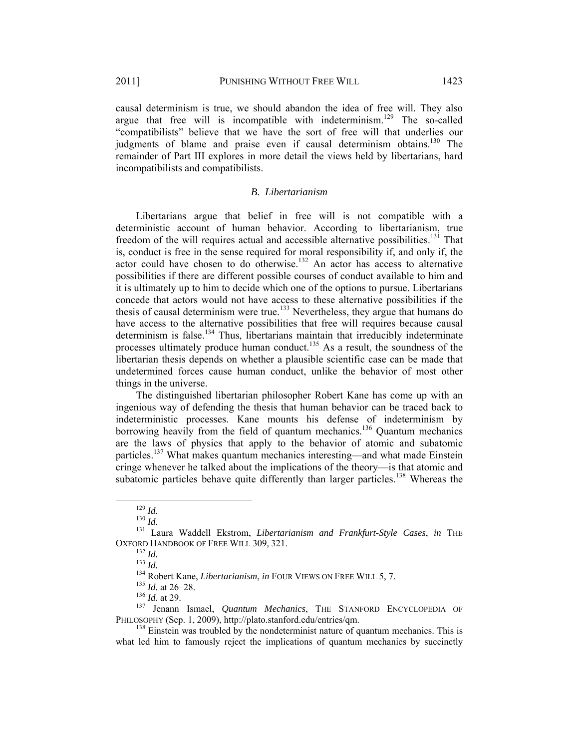causal determinism is true, we should abandon the idea of free will. They also argue that free will is incompatible with indeterminism.<sup>129</sup> The so-called "compatibilists" believe that we have the sort of free will that underlies our judgments of blame and praise even if causal determinism obtains.<sup>130</sup> The remainder of Part III explores in more detail the views held by libertarians, hard incompatibilists and compatibilists.

#### *B. Libertarianism*

Libertarians argue that belief in free will is not compatible with a deterministic account of human behavior. According to libertarianism, true freedom of the will requires actual and accessible alternative possibilities.<sup>131</sup> That is, conduct is free in the sense required for moral responsibility if, and only if, the actor could have chosen to do otherwise.<sup>132</sup> An actor has access to alternative possibilities if there are different possible courses of conduct available to him and it is ultimately up to him to decide which one of the options to pursue. Libertarians concede that actors would not have access to these alternative possibilities if the thesis of causal determinism were true.<sup>133</sup> Nevertheless, they argue that humans do have access to the alternative possibilities that free will requires because causal determinism is false.<sup>134</sup> Thus, libertarians maintain that irreducibly indeterminate processes ultimately produce human conduct.<sup>135</sup> As a result, the soundness of the libertarian thesis depends on whether a plausible scientific case can be made that undetermined forces cause human conduct, unlike the behavior of most other things in the universe.

The distinguished libertarian philosopher Robert Kane has come up with an ingenious way of defending the thesis that human behavior can be traced back to indeterministic processes. Kane mounts his defense of indeterminism by borrowing heavily from the field of quantum mechanics.<sup>136</sup> Quantum mechanics are the laws of physics that apply to the behavior of atomic and subatomic particles.<sup>137</sup> What makes quantum mechanics interesting—and what made Einstein cringe whenever he talked about the implications of the theory—is that atomic and subatomic particles behave quite differently than larger particles.<sup>138</sup> Whereas the

<sup>&</sup>lt;sup>129</sup> *Id.*<br><sup>130</sup> *Id.* Laura Waddell Ekstrom, *Libertarianism and Frankfurt-Style Cases, in* THE OXFORD HANDBOOK OF FREE WILL 309, 321.

<sup>&</sup>lt;sup>132</sup> *Id.*<br><sup>133</sup> *Id.*<br><sup>134</sup> Robert Kane, *Libertarianism*, *in* FOUR VIEWS ON FREE WILL 5, 7.<br><sup>135</sup> *Id.* at 26–28.<br><sup>136</sup> *Id.* at 29.<br><sup>137</sup> Jenann Ismael, *Quantum Mechanics*, THE STANFORD ENCYCLOPEDIA OF<br>PHILOSOPHY (S

 $138$  Einstein was troubled by the nondeterminist nature of quantum mechanics. This is what led him to famously reject the implications of quantum mechanics by succinctly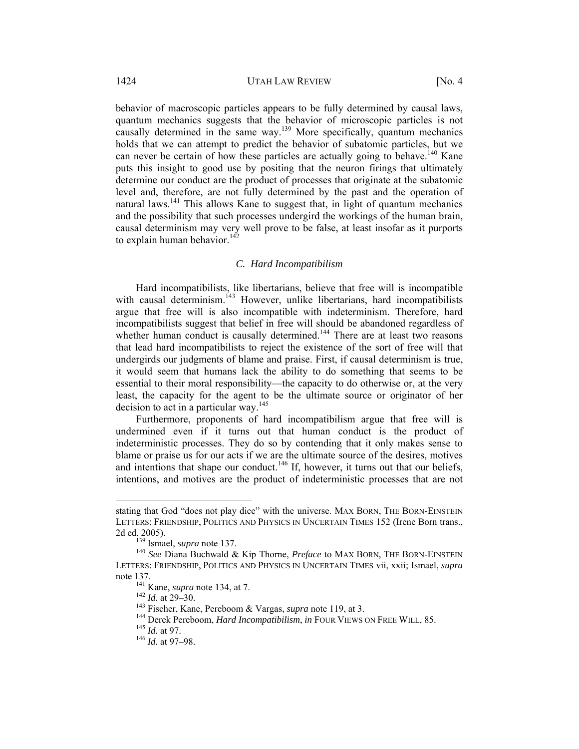behavior of macroscopic particles appears to be fully determined by causal laws, quantum mechanics suggests that the behavior of microscopic particles is not causally determined in the same way.<sup>139</sup> More specifically, quantum mechanics holds that we can attempt to predict the behavior of subatomic particles, but we can never be certain of how these particles are actually going to behave.<sup>140</sup> Kane puts this insight to good use by positing that the neuron firings that ultimately determine our conduct are the product of processes that originate at the subatomic level and, therefore, are not fully determined by the past and the operation of natural laws.<sup>141</sup> This allows Kane to suggest that, in light of quantum mechanics and the possibility that such processes undergird the workings of the human brain, causal determinism may very well prove to be false, at least insofar as it purports to explain human behavior.<sup>142</sup>

## *C. Hard Incompatibilism*

Hard incompatibilists, like libertarians, believe that free will is incompatible with causal determinism.<sup>143</sup> However, unlike libertarians, hard incompatibilists argue that free will is also incompatible with indeterminism. Therefore, hard incompatibilists suggest that belief in free will should be abandoned regardless of whether human conduct is causally determined.<sup>144</sup> There are at least two reasons that lead hard incompatibilists to reject the existence of the sort of free will that undergirds our judgments of blame and praise. First, if causal determinism is true, it would seem that humans lack the ability to do something that seems to be essential to their moral responsibility—the capacity to do otherwise or, at the very least, the capacity for the agent to be the ultimate source or originator of her decision to act in a particular way.<sup>145</sup>

Furthermore, proponents of hard incompatibilism argue that free will is undermined even if it turns out that human conduct is the product of indeterministic processes. They do so by contending that it only makes sense to blame or praise us for our acts if we are the ultimate source of the desires, motives and intentions that shape our conduct.<sup>146</sup> If, however, it turns out that our beliefs, intentions, and motives are the product of indeterministic processes that are not

 $\overline{a}$ 

stating that God "does not play dice" with the universe. MAX BORN, THE BORN-EINSTEIN LETTERS: FRIENDSHIP, POLITICS AND PHYSICS IN UNCERTAIN TIMES 152 (Irene Born trans., 2d ed. 2005).<br><sup>139</sup> Ismael, *supra* note 137.<br><sup>140</sup> *See* Diana Buchwald & Kip Thorne, *Preface* to MAX BORN, THE BORN-EINSTEIN

LETTERS: FRIENDSHIP, POLITICS AND PHYSICS IN UNCERTAIN TIMES vii, xxii; Ismael, *supra* note 137.<br>
<sup>141</sup> Kane, *supra* note 134, at 7.<br>
<sup>142</sup> *Id.* at 29–30.<br>
<sup>143</sup> Fischer, Kane, Pereboom & Vargas, *supra* note 119, at 3.<br>
<sup>144</sup> Derek Pereboom, *Hard Incompatibilism*, *in* FOUR VIEWS ON FREE WILL, 85.<br>
<sup>145</sup>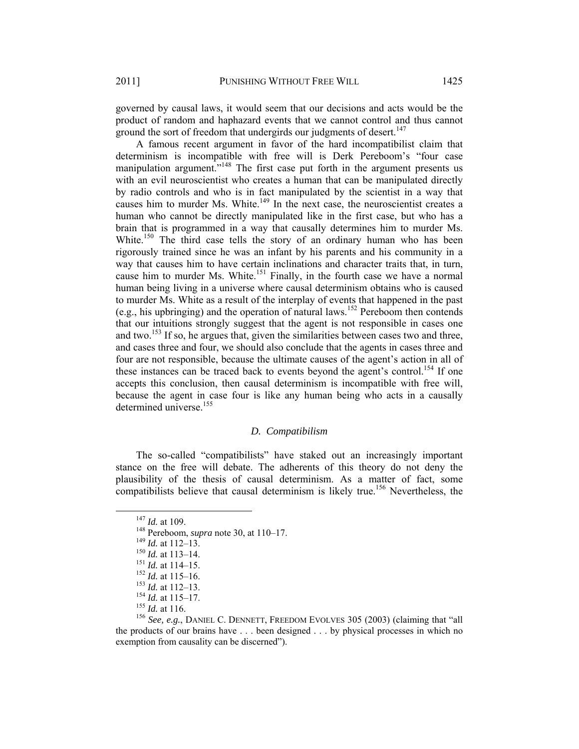governed by causal laws, it would seem that our decisions and acts would be the product of random and haphazard events that we cannot control and thus cannot ground the sort of freedom that undergirds our judgments of desert.<sup>147</sup>

A famous recent argument in favor of the hard incompatibilist claim that determinism is incompatible with free will is Derk Pereboom's "four case manipulation argument."<sup>148</sup> The first case put forth in the argument presents us with an evil neuroscientist who creates a human that can be manipulated directly by radio controls and who is in fact manipulated by the scientist in a way that causes him to murder Ms. White.<sup>149</sup> In the next case, the neuroscientist creates a human who cannot be directly manipulated like in the first case, but who has a brain that is programmed in a way that causally determines him to murder Ms. White.<sup>150</sup> The third case tells the story of an ordinary human who has been rigorously trained since he was an infant by his parents and his community in a way that causes him to have certain inclinations and character traits that, in turn, cause him to murder Ms. White.<sup>151</sup> Finally, in the fourth case we have a normal human being living in a universe where causal determinism obtains who is caused to murder Ms. White as a result of the interplay of events that happened in the past (e.g., his upbringing) and the operation of natural laws.152 Pereboom then contends that our intuitions strongly suggest that the agent is not responsible in cases one and two.<sup>153</sup> If so, he argues that, given the similarities between cases two and three, and cases three and four, we should also conclude that the agents in cases three and four are not responsible, because the ultimate causes of the agent's action in all of these instances can be traced back to events beyond the agent's control.<sup>154</sup> If one accepts this conclusion, then causal determinism is incompatible with free will, because the agent in case four is like any human being who acts in a causally determined universe.<sup>155</sup>

# *D. Compatibilism*

The so-called "compatibilists" have staked out an increasingly important stance on the free will debate. The adherents of this theory do not deny the plausibility of the thesis of causal determinism. As a matter of fact, some compatibilists believe that causal determinism is likely true.<sup>156</sup> Nevertheless, the

<sup>&</sup>lt;sup>147</sup> *Id.* at 109.<br><sup>148</sup> Pereboom, *supra* note 30, at 110–17.<br><sup>149</sup> *Id.* at 112–13.<br><sup>151</sup> *Id.* at 113–14.<br><sup>151</sup> *Id.* at 114–15.<br><sup>152</sup> *Id.* at 115–16.<br><sup>152</sup> *Id.* at 115–17.<br><sup>154</sup> *Id.* at 115–17.<br><sup>154</sup> *Id.* at 116.<br> the products of our brains have . . . been designed . . . by physical processes in which no exemption from causality can be discerned").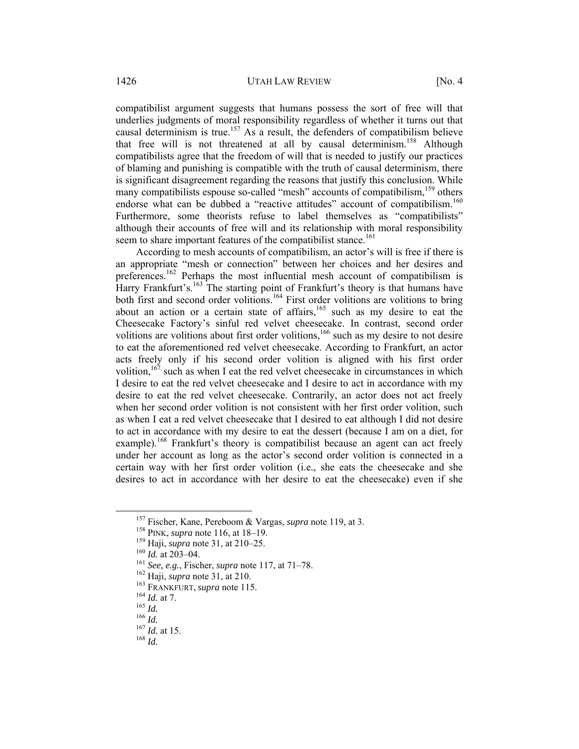compatibilist argument suggests that humans possess the sort of free will that underlies judgments of moral responsibility regardless of whether it turns out that causal determinism is true.<sup>157</sup> As a result, the defenders of compatibilism believe that free will is not threatened at all by causal determinism.<sup>158</sup> Although compatibilists agree that the freedom of will that is needed to justify our practices of blaming and punishing is compatible with the truth of causal determinism, there is significant disagreement regarding the reasons that justify this conclusion. While many compatibilists espouse so-called "mesh" accounts of compatibilism,<sup>159</sup> others endorse what can be dubbed a "reactive attitudes" account of compatibilism.<sup>160</sup> Furthermore, some theorists refuse to label themselves as "compatibilists" although their accounts of free will and its relationship with moral responsibility seem to share important features of the compatibilist stance.<sup>161</sup>

According to mesh accounts of compatibilism, an actor's will is free if there is an appropriate "mesh or connection" between her choices and her desires and preferences.<sup>162</sup> Perhaps the most influential mesh account of compatibilism is Harry Frankfurt's.<sup>163</sup> The starting point of Frankfurt's theory is that humans have both first and second order volitions.<sup>164</sup> First order volitions are volitions to bring about an action or a certain state of affairs, $165$  such as my desire to eat the Cheesecake Factory's sinful red velvet cheesecake. In contrast, second order volitions are volitions about first order volitions,<sup>166</sup> such as my desire to not desire to eat the aforementioned red velvet cheesecake. According to Frankfurt, an actor acts freely only if his second order volition is aligned with his first order volition, $167$  such as when I eat the red velvet cheesecake in circumstances in which I desire to eat the red velvet cheesecake and I desire to act in accordance with my desire to eat the red velvet cheesecake. Contrarily, an actor does not act freely when her second order volition is not consistent with her first order volition, such as when I eat a red velvet cheesecake that I desired to eat although I did not desire to act in accordance with my desire to eat the dessert (because I am on a diet, for example).<sup>168</sup> Frankfurt's theory is compatibilist because an agent can act freely under her account as long as the actor's second order volition is connected in a certain way with her first order volition (i.e., she eats the cheesecake and she desires to act in accordance with her desire to eat the cheesecake) even if she

<sup>&</sup>lt;sup>157</sup> Fischer, Kane, Pereboom & Vargas, *supra* note 119, at 3.<br>
<sup>158</sup> PINK, *supra* note 116, at 18–19.<br>
<sup>159</sup> Haji, *supra* note 31, at 210–25.<br>
<sup>161</sup> *Id.* at 203–04.<br>
<sup>161</sup> *See, e.g.*, Fischer, *supra* note 117, at 7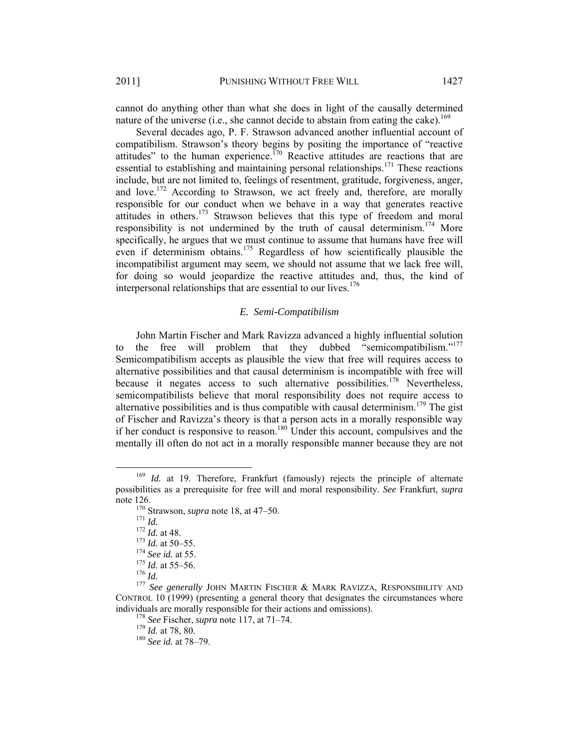cannot do anything other than what she does in light of the causally determined nature of the universe (i.e., she cannot decide to abstain from eating the cake).<sup>169</sup>

Several decades ago, P. F. Strawson advanced another influential account of compatibilism. Strawson's theory begins by positing the importance of "reactive attitudes" to the human experience.<sup>170</sup> Reactive attitudes are reactions that are essential to establishing and maintaining personal relationships.<sup>171</sup> These reactions include, but are not limited to, feelings of resentment, gratitude, forgiveness, anger, and love.<sup>172</sup> According to Strawson, we act freely and, therefore, are morally responsible for our conduct when we behave in a way that generates reactive attitudes in others.<sup>173</sup> Strawson believes that this type of freedom and moral responsibility is not undermined by the truth of causal determinism.<sup>174</sup> More specifically, he argues that we must continue to assume that humans have free will even if determinism obtains.<sup>175</sup> Regardless of how scientifically plausible the incompatibilist argument may seem, we should not assume that we lack free will, for doing so would jeopardize the reactive attitudes and, thus, the kind of interpersonal relationships that are essential to our lives.<sup>176</sup>

## *E. Semi-Compatibilism*

John Martin Fischer and Mark Ravizza advanced a highly influential solution to the free will problem that they dubbed "semicompatibilism."<sup>177</sup> Semicompatibilism accepts as plausible the view that free will requires access to alternative possibilities and that causal determinism is incompatible with free will because it negates access to such alternative possibilities.<sup>178</sup> Nevertheless, semicompatibilists believe that moral responsibility does not require access to alternative possibilities and is thus compatible with causal determinism.<sup>179</sup> The gist of Fischer and Ravizza's theory is that a person acts in a morally responsible way if her conduct is responsive to reason.<sup>180</sup> Under this account, compulsives and the mentally ill often do not act in a morally responsible manner because they are not

 <sup>169</sup> *Id.* at 19. Therefore, Frankfurt (famously) rejects the principle of alternate possibilities as a prerequisite for free will and moral responsibility. *See* Frankfurt, *supra*  note 126.<br>
<sup>170</sup> Strawson, *supra* note 18, at 47–50.<br>
<sup>171</sup> *Id.*<br>
<sup>172</sup> *Id.* at 48.<br>
<sup>173</sup> *Id.* at 50–55.<br>
<sup>174</sup> *See id.* at 55.<br>
<sup>174</sup> *See id.* at 55.<br>
<sup>175</sup> *Id.* at 55–56.<br>
<sup>176</sup> *Id.*<br>
<sup>177</sup> *See generally JOHN M* 

CONTROL 10 (1999) (presenting a general theory that designates the circumstances where individuals are morally responsible for their actions and omissions). 178 *See* Fischer, *supra* note 117, at 71–74. 179 *Id.* at 78, 80. 180 *See id.* at 78–79.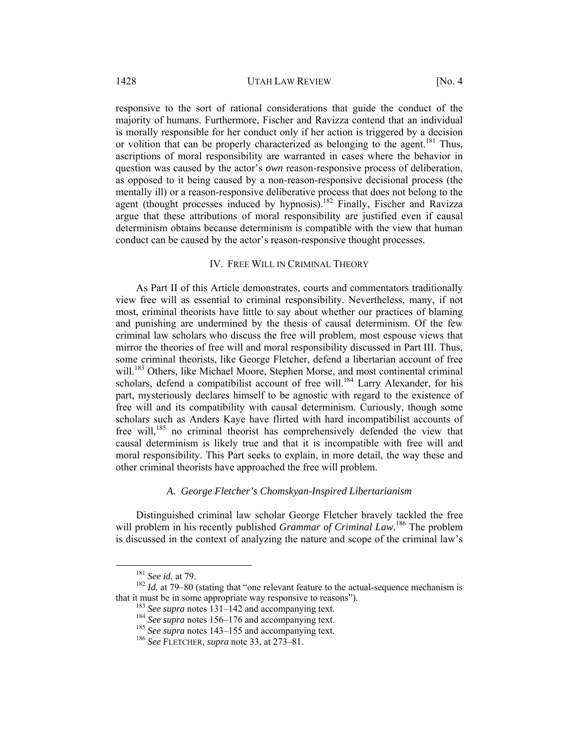responsive to the sort of rational considerations that guide the conduct of the majority of humans. Furthermore, Fischer and Ravizza contend that an individual is morally responsible for her conduct only if her action is triggered by a decision or volition that can be properly characterized as belonging to the agent.<sup>181</sup> Thus, ascriptions of moral responsibility are warranted in cases where the behavior in question was caused by the actor's *own* reason-responsive process of deliberation, as opposed to it being caused by a non-reason-responsive decisional process (the mentally ill) or a reason-responsive deliberative process that does not belong to the agent (thought processes induced by hypnosis).<sup>182</sup> Finally, Fischer and Ravizza argue that these attributions of moral responsibility are justified even if causal determinism obtains because determinism is compatible with the view that human conduct can be caused by the actor's reason-responsive thought processes.

#### IV. FREE WILL IN CRIMINAL THEORY

As Part II of this Article demonstrates, courts and commentators traditionally view free will as essential to criminal responsibility. Nevertheless, many, if not most, criminal theorists have little to say about whether our practices of blaming and punishing are undermined by the thesis of causal determinism. Of the few criminal law scholars who discuss the free will problem, most espouse views that mirror the theories of free will and moral responsibility discussed in Part III. Thus, some criminal theorists, like George Fletcher, defend a libertarian account of free will.<sup>183</sup> Others, like Michael Moore, Stephen Morse, and most continental criminal scholars, defend a compatibilist account of free will.<sup>184</sup> Larry Alexander, for his part, mysteriously declares himself to be agnostic with regard to the existence of free will and its compatibility with causal determinism. Curiously, though some scholars such as Anders Kaye have flirted with hard incompatibilist accounts of free will,<sup>185</sup> no criminal theorist has comprehensively defended the view that causal determinism is likely true and that it is incompatible with free will and moral responsibility. This Part seeks to explain, in more detail, the way these and other criminal theorists have approached the free will problem.

# *A. George Fletcher's Chomskyan-Inspired Libertarianism*

Distinguished criminal law scholar George Fletcher bravely tackled the free will problem in his recently published *Grammar of Criminal Law*.<sup>186</sup> The problem is discussed in the context of analyzing the nature and scope of the criminal law's

<sup>&</sup>lt;sup>181</sup> *See id.* at 79–80 (stating that "one relevant feature to the actual-sequence mechanism is 182 *Id.* at 79–80 (stating that "one relevant feature to the actual-sequence mechanism is that it must be in some appropriate way responsive to reasons").<br>
<sup>183</sup> See supra notes 131–142 and accompanying text.<br>
<sup>184</sup> See supra notes 156–176 and accompanying text.<br>
<sup>185</sup> See supra notes 143–155 and accompanying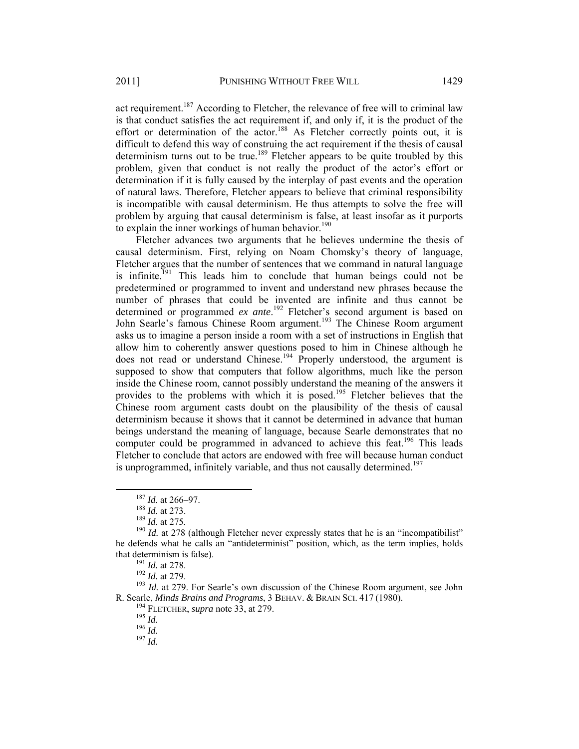act requirement.<sup>187</sup> According to Fletcher, the relevance of free will to criminal law is that conduct satisfies the act requirement if, and only if, it is the product of the effort or determination of the  $actor$ <sup>188</sup> As Fletcher correctly points out, it is difficult to defend this way of construing the act requirement if the thesis of causal determinism turns out to be true.<sup>189</sup> Fletcher appears to be quite troubled by this problem, given that conduct is not really the product of the actor's effort or determination if it is fully caused by the interplay of past events and the operation of natural laws. Therefore, Fletcher appears to believe that criminal responsibility is incompatible with causal determinism. He thus attempts to solve the free will

problem by arguing that causal determinism is false, at least insofar as it purports

to explain the inner workings of human behavior.<sup>190</sup> Fletcher advances two arguments that he believes undermine the thesis of causal determinism. First, relying on Noam Chomsky's theory of language, Fletcher argues that the number of sentences that we command in natural language is infinite.<sup>191</sup> This leads him to conclude that human beings could not be predetermined or programmed to invent and understand new phrases because the number of phrases that could be invented are infinite and thus cannot be determined or programmed *ex ante*. 192 Fletcher's second argument is based on John Searle's famous Chinese Room argument.<sup>193</sup> The Chinese Room argument asks us to imagine a person inside a room with a set of instructions in English that allow him to coherently answer questions posed to him in Chinese although he does not read or understand Chinese.<sup>194</sup> Properly understood, the argument is supposed to show that computers that follow algorithms, much like the person inside the Chinese room, cannot possibly understand the meaning of the answers it provides to the problems with which it is posed.<sup>195</sup> Fletcher believes that the Chinese room argument casts doubt on the plausibility of the thesis of causal determinism because it shows that it cannot be determined in advance that human beings understand the meaning of language, because Searle demonstrates that no computer could be programmed in advanced to achieve this feat.<sup>196</sup> This leads Fletcher to conclude that actors are endowed with free will because human conduct is unprogrammed, infinitely variable, and thus not causally determined.<sup>197</sup>

R. Searle, *Minds Brains and Programs*, 3 BEHAV. & BRAIN SCI. 417 (1980).<br><sup>194</sup> FLETCHER, *supra* note 33, at 279.<br><sup>195</sup> *Id.* <sup>196</sup> *Id.* <sup>197</sup> *Id.* 

<sup>&</sup>lt;sup>187</sup> *Id.* at 266–97.<br><sup>188</sup> *Id.* at 273.<br><sup>189</sup> *Id.* at 275.<br><sup>190</sup> *Id.* at 278 (although Fletcher never expressly states that he is an "incompatibilist" he defends what he calls an "antideterminist" position, which, as the term implies, holds that determinism is false).<br><sup>191</sup> *Id.* at 278.<br><sup>192</sup> *Id.* at 279. For Searle's own discussion of the Chinese Room argument, see John<br><sup>193</sup> *Id.* at 279. For Searle's own discussion of the Chinese Room argument, see John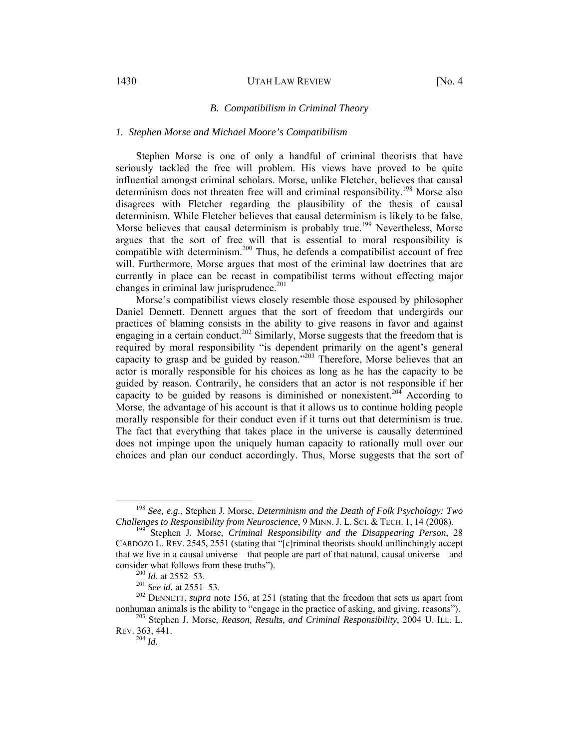#### 1430 UTAH LAW REVIEW [No. 4]

#### *B. Compatibilism in Criminal Theory*

#### *1. Stephen Morse and Michael Moore's Compatibilism*

Stephen Morse is one of only a handful of criminal theorists that have seriously tackled the free will problem. His views have proved to be quite influential amongst criminal scholars. Morse, unlike Fletcher, believes that causal determinism does not threaten free will and criminal responsibility.<sup>198</sup> Morse also disagrees with Fletcher regarding the plausibility of the thesis of causal determinism. While Fletcher believes that causal determinism is likely to be false, Morse believes that causal determinism is probably true.<sup>199</sup> Nevertheless, Morse argues that the sort of free will that is essential to moral responsibility is compatible with determinism.<sup>200</sup> Thus, he defends a compatibilist account of free will. Furthermore, Morse argues that most of the criminal law doctrines that are currently in place can be recast in compatibilist terms without effecting major changes in criminal law jurisprudence. $201$ 

Morse's compatibilist views closely resemble those espoused by philosopher Daniel Dennett. Dennett argues that the sort of freedom that undergirds our practices of blaming consists in the ability to give reasons in favor and against engaging in a certain conduct.<sup>202</sup> Similarly, Morse suggests that the freedom that is required by moral responsibility "is dependent primarily on the agent's general capacity to grasp and be guided by reason."203 Therefore, Morse believes that an actor is morally responsible for his choices as long as he has the capacity to be guided by reason. Contrarily, he considers that an actor is not responsible if her capacity to be guided by reasons is diminished or nonexistent.<sup>204</sup> According to Morse, the advantage of his account is that it allows us to continue holding people morally responsible for their conduct even if it turns out that determinism is true. The fact that everything that takes place in the universe is causally determined does not impinge upon the uniquely human capacity to rationally mull over our choices and plan our conduct accordingly. Thus, Morse suggests that the sort of

 <sup>198</sup> *See, e.g.*, Stephen J. Morse, *Determinism and the Death of Folk Psychology: Two* 

<sup>&</sup>lt;sup>199</sup> Stephen J. Morse, *Criminal Responsibility and the Disappearing Person*, 28 CARDOZO L. REV. 2545, 2551 (stating that "[c]riminal theorists should unflinchingly accept that we live in a causal universe––that people are part of that natural, causal universe—and

consider what follows from these truths").<br><sup>200</sup> *Id.* at 2552–53.<br><sup>201</sup> *See id.* at 2551–53.<br><sup>202</sup> DENNETT, *supra* note 156, at 251 (stating that the freedom that sets us apart from<br>nonhuman animals is the ability to "e

<sup>&</sup>lt;sup>203</sup> Stephen J. Morse, *Reason, Results, and Criminal Responsibility*, 2004 U. ILL. L. REV. 363, 441.

<sup>204</sup> *Id.*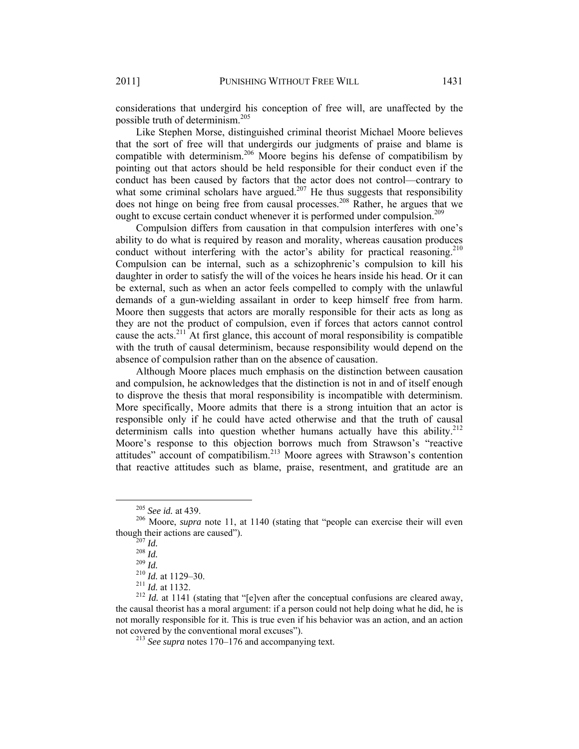considerations that undergird his conception of free will, are unaffected by the possible truth of determinism.<sup>205</sup>

Like Stephen Morse, distinguished criminal theorist Michael Moore believes that the sort of free will that undergirds our judgments of praise and blame is compatible with determinism.<sup>206</sup> Moore begins his defense of compatibilism by pointing out that actors should be held responsible for their conduct even if the conduct has been caused by factors that the actor does not control—contrary to what some criminal scholars have argued.<sup>207</sup> He thus suggests that responsibility does not hinge on being free from causal processes.208 Rather, he argues that we ought to excuse certain conduct whenever it is performed under compulsion.<sup>209</sup>

Compulsion differs from causation in that compulsion interferes with one's ability to do what is required by reason and morality, whereas causation produces conduct without interfering with the actor's ability for practical reasoning.<sup>210</sup> Compulsion can be internal, such as a schizophrenic's compulsion to kill his daughter in order to satisfy the will of the voices he hears inside his head. Or it can be external, such as when an actor feels compelled to comply with the unlawful demands of a gun-wielding assailant in order to keep himself free from harm. Moore then suggests that actors are morally responsible for their acts as long as they are not the product of compulsion, even if forces that actors cannot control cause the acts.<sup>211</sup> At first glance, this account of moral responsibility is compatible with the truth of causal determinism, because responsibility would depend on the absence of compulsion rather than on the absence of causation.

Although Moore places much emphasis on the distinction between causation and compulsion, he acknowledges that the distinction is not in and of itself enough to disprove the thesis that moral responsibility is incompatible with determinism. More specifically, Moore admits that there is a strong intuition that an actor is responsible only if he could have acted otherwise and that the truth of causal determinism calls into question whether humans actually have this ability.<sup>212</sup> Moore's response to this objection borrows much from Strawson's "reactive attitudes" account of compatibilism.<sup>213</sup> Moore agrees with Strawson's contention that reactive attitudes such as blame, praise, resentment, and gratitude are an

<sup>&</sup>lt;sup>205</sup> See *id.* at 439.<br><sup>206</sup> Moore, *supra* note 11, at 1140 (stating that "people can exercise their will even though their actions are caused").<br>
<sup>207</sup> *Id.*<br>
<sup>208</sup> *Id.*<br>
<sup>209</sup> *Id.*<br>
<sup>210</sup> *Id.* at 1129–30.<br>
<sup>211</sup> *Id.* at 1132.<br>
<sup>212</sup> *Id.* at 1141 (stating that "[e]ven after the conceptual confusions are cleared away,<br>
<sup>212</sup>

the causal theorist has a moral argument: if a person could not help doing what he did, he is not morally responsible for it. This is true even if his behavior was an action, and an action not covered by the conventional moral excuses"). 213 *See supra* notes 170–176 and accompanying text.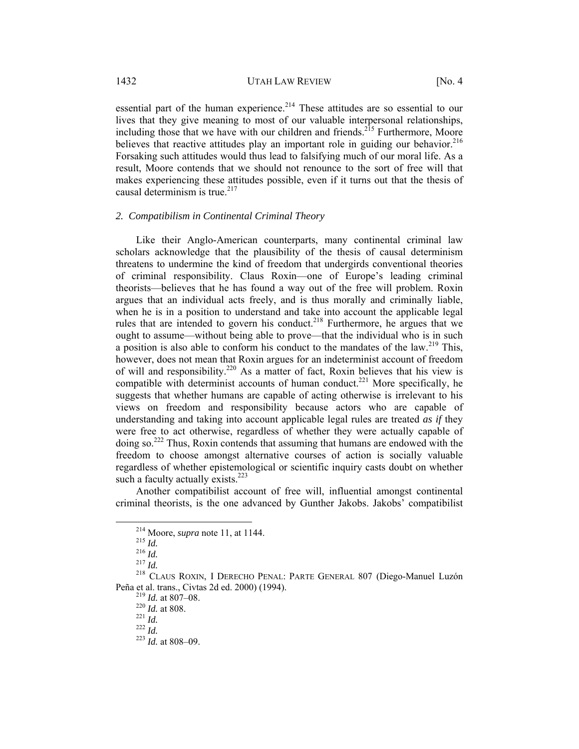essential part of the human experience.<sup>214</sup> These attitudes are so essential to our lives that they give meaning to most of our valuable interpersonal relationships, including those that we have with our children and friends.<sup>215</sup> Furthermore, Moore believes that reactive attitudes play an important role in guiding our behavior.<sup>216</sup> Forsaking such attitudes would thus lead to falsifying much of our moral life. As a result, Moore contends that we should not renounce to the sort of free will that makes experiencing these attitudes possible, even if it turns out that the thesis of causal determinism is true. $217$ 

#### *2. Compatibilism in Continental Criminal Theory*

Like their Anglo-American counterparts, many continental criminal law scholars acknowledge that the plausibility of the thesis of causal determinism threatens to undermine the kind of freedom that undergirds conventional theories of criminal responsibility. Claus Roxin—one of Europe's leading criminal theorists—believes that he has found a way out of the free will problem. Roxin argues that an individual acts freely, and is thus morally and criminally liable, when he is in a position to understand and take into account the applicable legal rules that are intended to govern his conduct.<sup>218</sup> Furthermore, he argues that we ought to assume—without being able to prove—that the individual who is in such a position is also able to conform his conduct to the mandates of the law.<sup>219</sup> This, however, does not mean that Roxin argues for an indeterminist account of freedom of will and responsibility.220 As a matter of fact, Roxin believes that his view is compatible with determinist accounts of human conduct.<sup>221</sup> More specifically, he suggests that whether humans are capable of acting otherwise is irrelevant to his views on freedom and responsibility because actors who are capable of understanding and taking into account applicable legal rules are treated *as if* they were free to act otherwise, regardless of whether they were actually capable of doing so.<sup>222</sup> Thus, Roxin contends that assuming that humans are endowed with the freedom to choose amongst alternative courses of action is socially valuable regardless of whether epistemological or scientific inquiry casts doubt on whether such a faculty actually exists. $^{223}$ 

Another compatibilist account of free will, influential amongst continental criminal theorists, is the one advanced by Gunther Jakobs. Jakobs' compatibilist

<sup>&</sup>lt;sup>214</sup> Moore, *supra* note 11, at 1144.<br><sup>215</sup> *Id.* <sup>216</sup> *Id.* <sup>217</sup> *Id.* <sup>217</sup> *Id.* <sup>218</sup> CLAUS ROXIN, I DERECHO PENAL: PARTE GENERAL 807 (Diego-Manuel Luzón Peña et al. trans., Civtas 2d ed. 2000) (1994). 219 *Id.* at 807–08. 220 *Id.* at 808. 221 *Id.* <sup>222</sup> *Id.* <sup>223</sup> *Id.* at 808–09.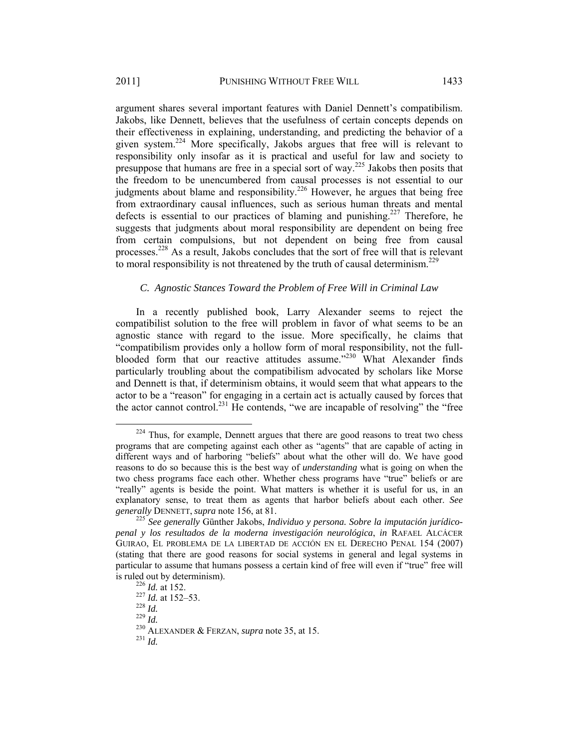argument shares several important features with Daniel Dennett's compatibilism. Jakobs, like Dennett, believes that the usefulness of certain concepts depends on their effectiveness in explaining, understanding, and predicting the behavior of a given system.224 More specifically, Jakobs argues that free will is relevant to responsibility only insofar as it is practical and useful for law and society to presuppose that humans are free in a special sort of way.225 Jakobs then posits that the freedom to be unencumbered from causal processes is not essential to our judgments about blame and responsibility.<sup>226</sup> However, he argues that being free from extraordinary causal influences, such as serious human threats and mental defects is essential to our practices of blaming and punishing.<sup>227</sup> Therefore, he suggests that judgments about moral responsibility are dependent on being free from certain compulsions, but not dependent on being free from causal processes.228 As a result, Jakobs concludes that the sort of free will that is relevant to moral responsibility is not threatened by the truth of causal determinism.<sup>229</sup>

## *C. Agnostic Stances Toward the Problem of Free Will in Criminal Law*

In a recently published book, Larry Alexander seems to reject the compatibilist solution to the free will problem in favor of what seems to be an agnostic stance with regard to the issue. More specifically, he claims that "compatibilism provides only a hollow form of moral responsibility, not the fullblooded form that our reactive attitudes assume."<sup>230</sup> What Alexander finds particularly troubling about the compatibilism advocated by scholars like Morse and Dennett is that, if determinism obtains, it would seem that what appears to the actor to be a "reason" for engaging in a certain act is actually caused by forces that the actor cannot control.<sup>231</sup> He contends, "we are incapable of resolving" the "free

<sup>&</sup>lt;sup>224</sup> Thus, for example, Dennett argues that there are good reasons to treat two chess programs that are competing against each other as "agents" that are capable of acting in different ways and of harboring "beliefs" about what the other will do. We have good reasons to do so because this is the best way of *understanding* what is going on when the two chess programs face each other. Whether chess programs have "true" beliefs or are "really" agents is beside the point. What matters is whether it is useful for us, in an explanatory sense, to treat them as agents that harbor beliefs about each other. *See generally* DENNETT, *supra* note 156, at 81. 225 *See generally* Günther Jakobs, *Individuo y persona. Sobre la imputación jurídico-*

*penal y los resultados de la moderna investigación neurológica*, *in* RAFAEL ALCÁCER GUIRAO, EL PROBLEMA DE LA LIBERTAD DE ACCIÓN EN EL DERECHO PENAL 154 (2007) (stating that there are good reasons for social systems in general and legal systems in particular to assume that humans possess a certain kind of free will even if "true" free will

is ruled out by determinism).<br>
<sup>226</sup> *Id.* at 152.<br>
<sup>227</sup> *Id.* 229 *Id.*<br>
<sup>229</sup> *Id.* <sup>230</sup> ALEXANDER & FERZAN, *supra* note 35, at 15.<br>
<sup>231</sup> *Id*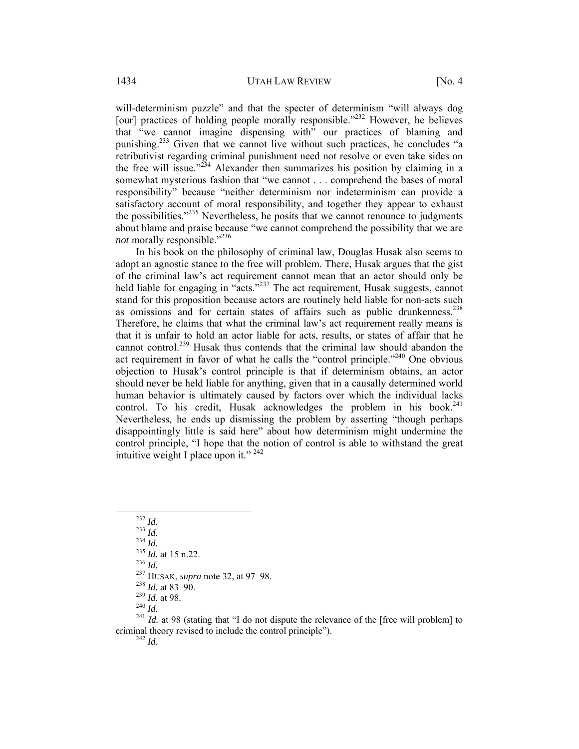will-determinism puzzle" and that the specter of determinism "will always dog [our] practices of holding people morally responsible.<sup>2232</sup> However, he believes that "we cannot imagine dispensing with" our practices of blaming and punishing.<sup>233</sup> Given that we cannot live without such practices, he concludes "a retributivist regarding criminal punishment need not resolve or even take sides on the free will issue."<sup>234</sup> Alexander then summarizes his position by claiming in a somewhat mysterious fashion that "we cannot . . . comprehend the bases of moral responsibility" because "neither determinism nor indeterminism can provide a satisfactory account of moral responsibility, and together they appear to exhaust the possibilities."<sup>235</sup> Nevertheless, he posits that we cannot renounce to judgments about blame and praise because "we cannot comprehend the possibility that we are *not* morally responsible."<sup>236</sup>

In his book on the philosophy of criminal law, Douglas Husak also seems to adopt an agnostic stance to the free will problem. There, Husak argues that the gist of the criminal law's act requirement cannot mean that an actor should only be held liable for engaging in "acts."<sup>237</sup> The act requirement, Husak suggests, cannot stand for this proposition because actors are routinely held liable for non-acts such as omissions and for certain states of affairs such as public drunkenness.<sup>238</sup> Therefore, he claims that what the criminal law's act requirement really means is that it is unfair to hold an actor liable for acts, results, or states of affair that he cannot control.<sup>239</sup> Husak thus contends that the criminal law should abandon the act requirement in favor of what he calls the "control principle."<sup>240</sup> One obvious objection to Husak's control principle is that if determinism obtains, an actor should never be held liable for anything, given that in a causally determined world human behavior is ultimately caused by factors over which the individual lacks control. To his credit, Husak acknowledges the problem in his book. $241$ Nevertheless, he ends up dismissing the problem by asserting "though perhaps disappointingly little is said here" about how determinism might undermine the control principle, "I hope that the notion of control is able to withstand the great intuitive weight I place upon it." 242

<sup>232</sup> *Id.*<br>
<sup>233</sup> *Id.*<br>
<sup>233</sup> *Id.*<br>
<sup>235</sup> *Id.* at 15 n.22.<br>
<sup>236</sup> *Id.*<br>
<sup>237</sup> HUSAK, *supra* note 32, at 97–98.<br>
<sup>238</sup> *Id.* at 83–90.<br>
<sup>238</sup> *Id.* at 88.<br>
<sup>240</sup> *Id.* at 98.<br>
<sup>240</sup> *Id.*<br>
<sup>241</sup> *Id.* at 98 (stating criminal theory revised to include the control principle"). 242 *Id.*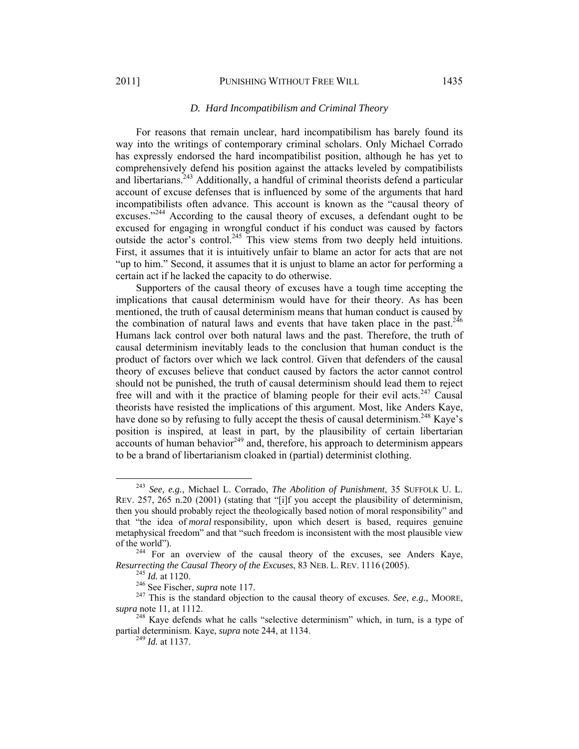#### 2011] PUNISHING WITHOUT FREE WILL 1435

# *D. Hard Incompatibilism and Criminal Theory*

For reasons that remain unclear, hard incompatibilism has barely found its way into the writings of contemporary criminal scholars. Only Michael Corrado has expressly endorsed the hard incompatibilist position, although he has yet to comprehensively defend his position against the attacks leveled by compatibilists and libertarians.<sup>243</sup> Additionally, a handful of criminal theorists defend a particular account of excuse defenses that is influenced by some of the arguments that hard incompatibilists often advance. This account is known as the "causal theory of excuses."<sup>244</sup> According to the causal theory of excuses, a defendant ought to be excused for engaging in wrongful conduct if his conduct was caused by factors outside the actor's control.<sup>245</sup> This view stems from two deeply held intuitions. First, it assumes that it is intuitively unfair to blame an actor for acts that are not "up to him." Second, it assumes that it is unjust to blame an actor for performing a certain act if he lacked the capacity to do otherwise.

Supporters of the causal theory of excuses have a tough time accepting the implications that causal determinism would have for their theory. As has been mentioned, the truth of causal determinism means that human conduct is caused by the combination of natural laws and events that have taken place in the past.<sup>246</sup> Humans lack control over both natural laws and the past. Therefore, the truth of causal determinism inevitably leads to the conclusion that human conduct is the product of factors over which we lack control. Given that defenders of the causal theory of excuses believe that conduct caused by factors the actor cannot control should not be punished, the truth of causal determinism should lead them to reject free will and with it the practice of blaming people for their evil acts.<sup>247</sup> Causal theorists have resisted the implications of this argument. Most, like Anders Kaye, have done so by refusing to fully accept the thesis of causal determinism.<sup>248</sup> Kaye's position is inspired, at least in part, by the plausibility of certain libertarian  $\alpha$  accounts of human behavior<sup>249</sup> and, therefore, his approach to determinism appears to be a brand of libertarianism cloaked in (partial) determinist clothing.

 <sup>243</sup> *See, e.g.*, Michael L. Corrado, *The Abolition of Punishment*, 35 SUFFOLK U. L. REV. 257, 265 n.20 (2001) (stating that "[i]f you accept the plausibility of determinism, then you should probably reject the theologically based notion of moral responsibility" and that "the idea of *moral* responsibility, upon which desert is based, requires genuine metaphysical freedom" and that "such freedom is inconsistent with the most plausible view

of the world").<br><sup>244</sup> For an overview of the causal theory of the excuses, see Anders Kaye, Resurrecting the Causal Theory of the Excuses, 83 NEB. L. REV. 1116 (2005).<br><sup>245</sup> *Id.* at 1120.<br><sup>246</sup> See Fischer, *supra* note 117.<br><sup>247</sup> This is the standard objection to the causal theory of excuses. *See, e.g.*, MOOR

*supra* note 11, at 1112.

 $248$  Kave defends what he calls "selective determinism" which, in turn, is a type of partial determinism. Kaye, *supra* note 244, at 1134. 249 *Id.* at 1137.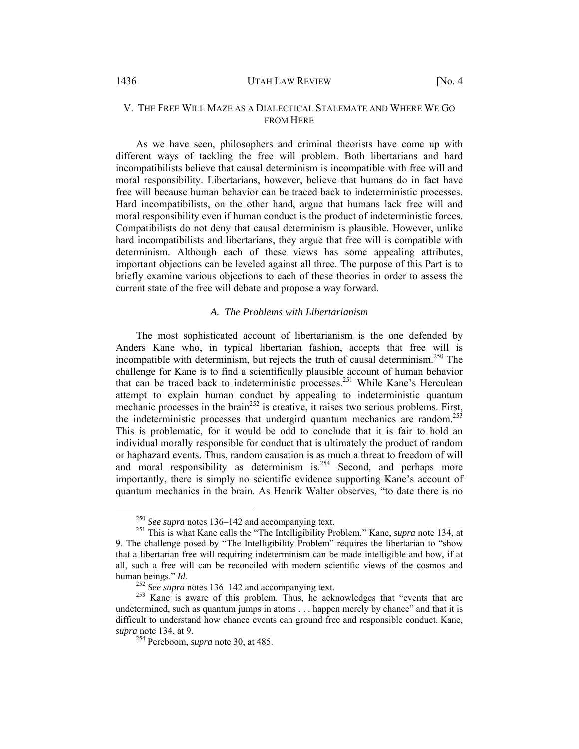#### 1436 **UTAH LAW REVIEW** [No. 4]

# V. THE FREE WILL MAZE AS A DIALECTICAL STALEMATE AND WHERE WE GO FROM HERE

As we have seen, philosophers and criminal theorists have come up with different ways of tackling the free will problem. Both libertarians and hard incompatibilists believe that causal determinism is incompatible with free will and moral responsibility. Libertarians, however, believe that humans do in fact have free will because human behavior can be traced back to indeterministic processes. Hard incompatibilists, on the other hand, argue that humans lack free will and moral responsibility even if human conduct is the product of indeterministic forces. Compatibilists do not deny that causal determinism is plausible. However, unlike hard incompatibilists and libertarians, they argue that free will is compatible with determinism. Although each of these views has some appealing attributes, important objections can be leveled against all three. The purpose of this Part is to briefly examine various objections to each of these theories in order to assess the current state of the free will debate and propose a way forward.

# *A. The Problems with Libertarianism*

The most sophisticated account of libertarianism is the one defended by Anders Kane who, in typical libertarian fashion, accepts that free will is incompatible with determinism, but rejects the truth of causal determinism.<sup>250</sup> The challenge for Kane is to find a scientifically plausible account of human behavior that can be traced back to indeterministic processes.<sup>251</sup> While Kane's Herculean attempt to explain human conduct by appealing to indeterministic quantum mechanic processes in the brain<sup>252</sup> is creative, it raises two serious problems. First, the indeterministic processes that undergird quantum mechanics are random.<sup>253</sup> This is problematic, for it would be odd to conclude that it is fair to hold an individual morally responsible for conduct that is ultimately the product of random or haphazard events. Thus, random causation is as much a threat to freedom of will and moral responsibility as determinism is.<sup>254</sup> Second, and perhaps more importantly, there is simply no scientific evidence supporting Kane's account of quantum mechanics in the brain. As Henrik Walter observes, "to date there is no

<sup>250</sup> *See supra* notes 136–142 and accompanying text. 251 This is what Kane calls the "The Intelligibility Problem." Kane, *supra* note 134, at 9. The challenge posed by "The Intelligibility Problem" requires the libertarian to "show that a libertarian free will requiring indeterminism can be made intelligible and how, if at all, such a free will can be reconciled with modern scientific views of the cosmos and human beings." *Id.* <sup>252</sup> *See supra* notes 136–142 and accompanying text. <sup>253</sup> Kane is aware of this problem. Thus, he acknowledges that "events that are

undetermined, such as quantum jumps in atoms . . . happen merely by chance" and that it is difficult to understand how chance events can ground free and responsible conduct. Kane, *supra* note 134, at 9.

<sup>254</sup> Pereboom, *supra* note 30, at 485.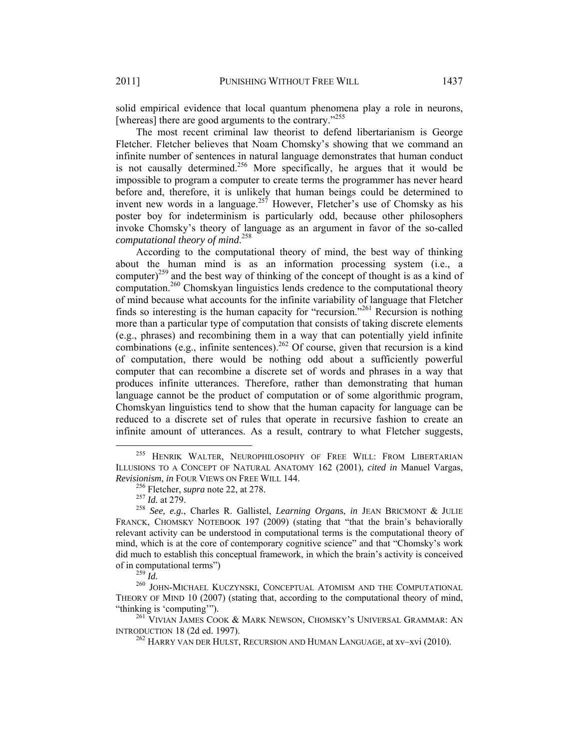solid empirical evidence that local quantum phenomena play a role in neurons, [whereas] there are good arguments to the contrary."<sup>255</sup>

The most recent criminal law theorist to defend libertarianism is George Fletcher. Fletcher believes that Noam Chomsky's showing that we command an infinite number of sentences in natural language demonstrates that human conduct is not causally determined.<sup>256</sup> More specifically, he argues that it would be impossible to program a computer to create terms the programmer has never heard before and, therefore, it is unlikely that human beings could be determined to invent new words in a language.<sup>257</sup> However, Fletcher's use of Chomsky as his poster boy for indeterminism is particularly odd, because other philosophers invoke Chomsky's theory of language as an argument in favor of the so-called *computational theory of mind*. 258

According to the computational theory of mind, the best way of thinking about the human mind is as an information processing system (i.e., a computer)<sup>259</sup> and the best way of thinking of the concept of thought is as a kind of computation.<sup>260</sup> Chomskyan linguistics lends credence to the computational theory of mind because what accounts for the infinite variability of language that Fletcher finds so interesting is the human capacity for "recursion."261 Recursion is nothing more than a particular type of computation that consists of taking discrete elements (e.g., phrases) and recombining them in a way that can potentially yield infinite combinations (e.g., infinite sentences).<sup>262</sup> Of course, given that recursion is a kind of computation, there would be nothing odd about a sufficiently powerful computer that can recombine a discrete set of words and phrases in a way that produces infinite utterances. Therefore, rather than demonstrating that human language cannot be the product of computation or of some algorithmic program, Chomskyan linguistics tend to show that the human capacity for language can be reduced to a discrete set of rules that operate in recursive fashion to create an infinite amount of utterances. As a result, contrary to what Fletcher suggests,

 <sup>255</sup> HENRIK WALTER, NEUROPHILOSOPHY OF FREE WILL: FROM LIBERTARIAN ILLUSIONS TO A CONCEPT OF NATURAL ANATOMY 162 (2001), *cited in* Manuel Vargas, *Revisionism, in FOUR VIEWS ON FREE WILL 144.*<br><sup>256</sup> Fletcher, *supra* note 22, at 278.<br><sup>257</sup> Id. at 279.<br><sup>258</sup> See, e.g., Charles R. Gallistel, *Learning Organs*, *in* JEAN BRICMONT & JULIE

FRANCK, CHOMSKY NOTEBOOK 197 (2009) (stating that "that the brain's behaviorally relevant activity can be understood in computational terms is the computational theory of mind, which is at the core of contemporary cognitive science" and that "Chomsky's work did much to establish this conceptual framework, in which the brain's activity is conceived

of in computational terms")<br><sup>259</sup> *Id.* 260 JOHN-MICHAEL KUCZYNSKI, CONCEPTUAL ATOMISM AND THE COMPUTATIONAL THEORY OF MIND 10 (2007) (stating that, according to the computational theory of mind, "thinking is 'computing'").

<sup>&</sup>lt;sup>261</sup> VIVIAN JAMES COOK & MARK NEWSON, CHOMSKY'S UNIVERSAL GRAMMAR: AN INTRODUCTION 18 (2d ed. 1997).

 $^{262}$  Harry van der Hulst. Recursion and Human Language, at xv–xvi (2010).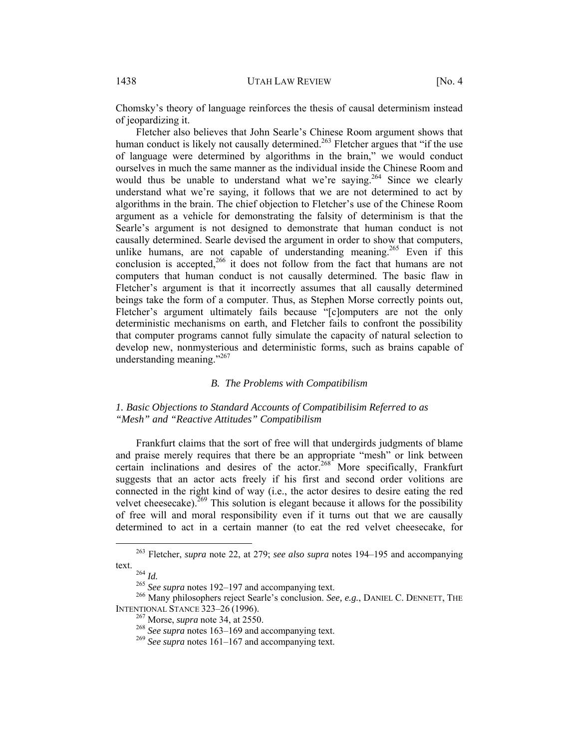Chomsky's theory of language reinforces the thesis of causal determinism instead of jeopardizing it.

Fletcher also believes that John Searle's Chinese Room argument shows that human conduct is likely not causally determined.<sup>263</sup> Fletcher argues that "if the use of language were determined by algorithms in the brain," we would conduct ourselves in much the same manner as the individual inside the Chinese Room and would thus be unable to understand what we're saying.<sup>264</sup> Since we clearly understand what we're saying, it follows that we are not determined to act by algorithms in the brain. The chief objection to Fletcher's use of the Chinese Room argument as a vehicle for demonstrating the falsity of determinism is that the Searle's argument is not designed to demonstrate that human conduct is not causally determined. Searle devised the argument in order to show that computers, unlike humans, are not capable of understanding meaning.<sup>265</sup> Even if this conclusion is accepted,<sup>266</sup> it does not follow from the fact that humans are not computers that human conduct is not causally determined. The basic flaw in Fletcher's argument is that it incorrectly assumes that all causally determined beings take the form of a computer. Thus, as Stephen Morse correctly points out, Fletcher's argument ultimately fails because "[c]omputers are not the only deterministic mechanisms on earth, and Fletcher fails to confront the possibility that computer programs cannot fully simulate the capacity of natural selection to develop new, nonmysterious and deterministic forms, such as brains capable of understanding meaning."<sup>267</sup>

#### *B. The Problems with Compatibilism*

# *1. Basic Objections to Standard Accounts of Compatibilisim Referred to as "Mesh" and "Reactive Attitudes" Compatibilism*

Frankfurt claims that the sort of free will that undergirds judgments of blame and praise merely requires that there be an appropriate "mesh" or link between certain inclinations and desires of the actor.<sup>268</sup> More specifically, Frankfurt suggests that an actor acts freely if his first and second order volitions are connected in the right kind of way (i.e., the actor desires to desire eating the red velvet cheesecake).<sup>269</sup> This solution is elegant because it allows for the possibility of free will and moral responsibility even if it turns out that we are causally determined to act in a certain manner (to eat the red velvet cheesecake, for

 <sup>263</sup> Fletcher, *supra* note 22, at 279; *see also supra* notes 194–195 and accompanying

text. 264 *Id.* <sup>265</sup> *See supra* notes 192–197 and accompanying text. 266 Many philosophers reject Searle's conclusion. *See, e.g.*, DANIEL C. DENNETT, THE INTENTIONAL STANCE 323–26 (1996).<br><sup>267</sup> Morse, *supra* note 34, at 2550.<br><sup>268</sup> *See supra* notes 163–169 and accompanying text.<br><sup>269</sup> *See supra* notes 161–167 and accompanying text.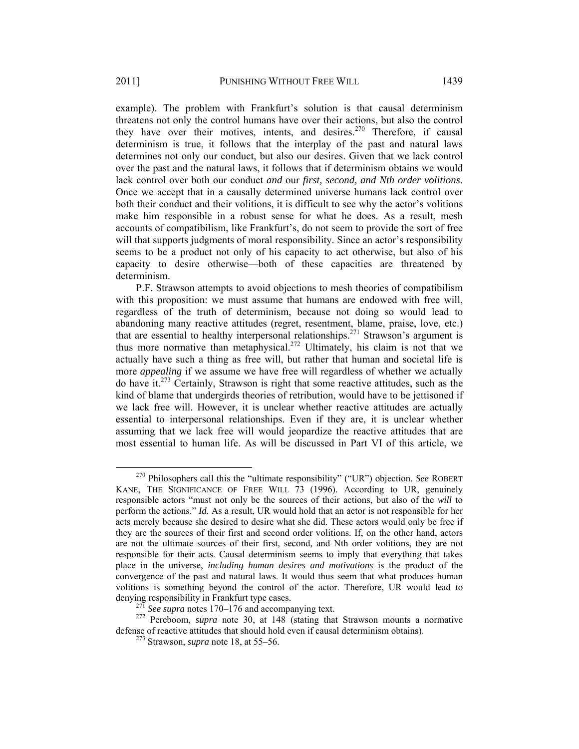example). The problem with Frankfurt's solution is that causal determinism threatens not only the control humans have over their actions, but also the control they have over their motives, intents, and desires.<sup>270</sup> Therefore, if causal determinism is true, it follows that the interplay of the past and natural laws determines not only our conduct, but also our desires. Given that we lack control over the past and the natural laws, it follows that if determinism obtains we would lack control over both our conduct *and* our *first, second, and Nth order volitions*. Once we accept that in a causally determined universe humans lack control over both their conduct and their volitions, it is difficult to see why the actor's volitions make him responsible in a robust sense for what he does. As a result, mesh accounts of compatibilism, like Frankfurt's, do not seem to provide the sort of free will that supports judgments of moral responsibility. Since an actor's responsibility seems to be a product not only of his capacity to act otherwise, but also of his capacity to desire otherwise—both of these capacities are threatened by determinism.

P.F. Strawson attempts to avoid objections to mesh theories of compatibilism with this proposition: we must assume that humans are endowed with free will, regardless of the truth of determinism, because not doing so would lead to abandoning many reactive attitudes (regret, resentment, blame, praise, love, etc.) that are essential to healthy interpersonal relationships.<sup>271</sup> Strawson's argument is thus more normative than metaphysical.<sup>272</sup> Ultimately, his claim is not that we actually have such a thing as free will, but rather that human and societal life is more *appealing* if we assume we have free will regardless of whether we actually do have it.273 Certainly, Strawson is right that some reactive attitudes, such as the kind of blame that undergirds theories of retribution, would have to be jettisoned if we lack free will. However, it is unclear whether reactive attitudes are actually essential to interpersonal relationships. Even if they are, it is unclear whether assuming that we lack free will would jeopardize the reactive attitudes that are most essential to human life. As will be discussed in Part VI of this article, we

 <sup>270</sup> Philosophers call this the "ultimate responsibility" ("UR") objection. *See* ROBERT KANE, THE SIGNIFICANCE OF FREE WILL 73 (1996). According to UR, genuinely responsible actors "must not only be the sources of their actions, but also of the *will* to perform the actions." *Id.* As a result, UR would hold that an actor is not responsible for her acts merely because she desired to desire what she did. These actors would only be free if they are the sources of their first and second order volitions. If, on the other hand, actors are not the ultimate sources of their first, second, and Nth order volitions, they are not responsible for their acts. Causal determinism seems to imply that everything that takes place in the universe, *including human desires and motivations* is the product of the convergence of the past and natural laws. It would thus seem that what produces human volitions is something beyond the control of the actor. Therefore, UR would lead to denying responsibility in Frankfurt type cases.<br><sup>271</sup> *See supra* notes 170–176 and accompanying text.<br><sup>272</sup> Pereboom, *supra* note 30, at 148 (stating that Strawson mounts a normative

defense of reactive attitudes that should hold even if causal determinism obtains). 273 Strawson, *supra* note 18, at 55–56.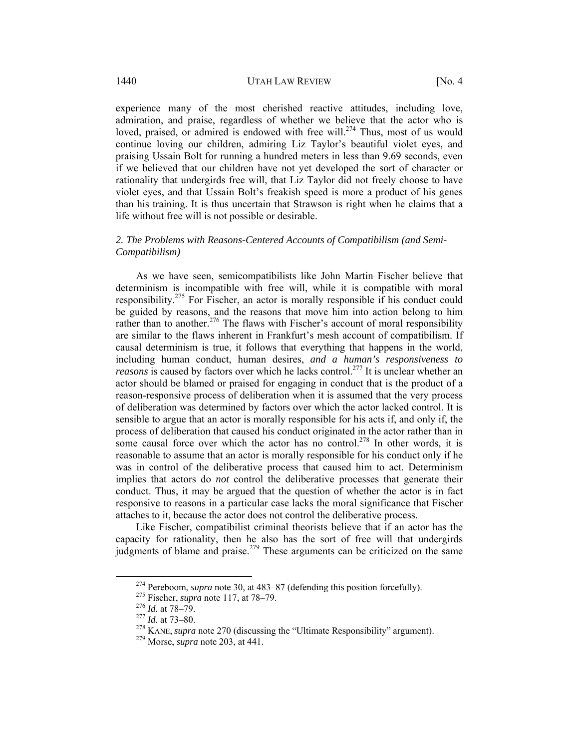experience many of the most cherished reactive attitudes, including love, admiration, and praise, regardless of whether we believe that the actor who is loved, praised, or admired is endowed with free will.<sup>274</sup> Thus, most of us would continue loving our children, admiring Liz Taylor's beautiful violet eyes, and praising Ussain Bolt for running a hundred meters in less than 9.69 seconds, even if we believed that our children have not yet developed the sort of character or rationality that undergirds free will, that Liz Taylor did not freely choose to have violet eyes, and that Ussain Bolt's freakish speed is more a product of his genes than his training. It is thus uncertain that Strawson is right when he claims that a life without free will is not possible or desirable.

# *2. The Problems with Reasons-Centered Accounts of Compatibilism (and Semi-Compatibilism)*

As we have seen, semicompatibilists like John Martin Fischer believe that determinism is incompatible with free will, while it is compatible with moral responsibility.275 For Fischer, an actor is morally responsible if his conduct could be guided by reasons, and the reasons that move him into action belong to him rather than to another.<sup>276</sup> The flaws with Fischer's account of moral responsibility are similar to the flaws inherent in Frankfurt's mesh account of compatibilism. If causal determinism is true, it follows that everything that happens in the world, including human conduct, human desires, *and a human's responsiveness to reasons* is caused by factors over which he lacks control.<sup>277</sup> It is unclear whether an actor should be blamed or praised for engaging in conduct that is the product of a reason-responsive process of deliberation when it is assumed that the very process of deliberation was determined by factors over which the actor lacked control. It is sensible to argue that an actor is morally responsible for his acts if, and only if, the process of deliberation that caused his conduct originated in the actor rather than in some causal force over which the actor has no control.<sup>278</sup> In other words, it is reasonable to assume that an actor is morally responsible for his conduct only if he was in control of the deliberative process that caused him to act. Determinism implies that actors do *not* control the deliberative processes that generate their conduct. Thus, it may be argued that the question of whether the actor is in fact responsive to reasons in a particular case lacks the moral significance that Fischer attaches to it, because the actor does not control the deliberative process.

Like Fischer, compatibilist criminal theorists believe that if an actor has the capacity for rationality, then he also has the sort of free will that undergirds judgments of blame and praise.<sup>279</sup> These arguments can be criticized on the same

<sup>&</sup>lt;sup>274</sup> Pereboom, *supra* note 30, at 483–87 (defending this position forcefully).<br><sup>275</sup> Fischer, *supra* note 117, at 78–79.<br><sup>276</sup> *Id.* at 78–79.<br><sup>276</sup> *Id.* at 73–80.<br><sup>278</sup> KANE, *supra* note 270 (discussing the "Ultimat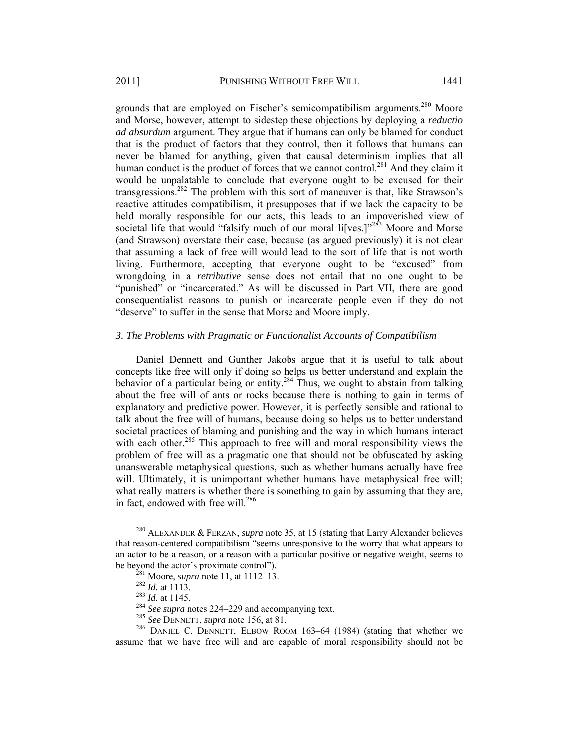grounds that are employed on Fischer's semicompatibilism arguments.<sup>280</sup> Moore and Morse, however, attempt to sidestep these objections by deploying a *reductio ad absurdum* argument. They argue that if humans can only be blamed for conduct that is the product of factors that they control, then it follows that humans can never be blamed for anything, given that causal determinism implies that all human conduct is the product of forces that we cannot control.<sup>281</sup> And they claim it would be unpalatable to conclude that everyone ought to be excused for their transgressions.<sup>282</sup> The problem with this sort of maneuver is that, like Strawson's reactive attitudes compatibilism, it presupposes that if we lack the capacity to be held morally responsible for our acts, this leads to an impoverished view of societal life that would "falsify much of our moral li<sup>[</sup>ves.]"<sup>283</sup> Moore and Morse (and Strawson) overstate their case, because (as argued previously) it is not clear that assuming a lack of free will would lead to the sort of life that is not worth living. Furthermore, accepting that everyone ought to be "excused" from wrongdoing in a *retributive* sense does not entail that no one ought to be "punished" or "incarcerated." As will be discussed in Part VII, there are good consequentialist reasons to punish or incarcerate people even if they do not "deserve" to suffer in the sense that Morse and Moore imply.

#### *3. The Problems with Pragmatic or Functionalist Accounts of Compatibilism*

Daniel Dennett and Gunther Jakobs argue that it is useful to talk about concepts like free will only if doing so helps us better understand and explain the behavior of a particular being or entity.<sup>284</sup> Thus, we ought to abstain from talking about the free will of ants or rocks because there is nothing to gain in terms of explanatory and predictive power. However, it is perfectly sensible and rational to talk about the free will of humans, because doing so helps us to better understand societal practices of blaming and punishing and the way in which humans interact with each other.<sup>285</sup> This approach to free will and moral responsibility views the problem of free will as a pragmatic one that should not be obfuscated by asking unanswerable metaphysical questions, such as whether humans actually have free will. Ultimately, it is unimportant whether humans have metaphysical free will; what really matters is whether there is something to gain by assuming that they are, in fact, endowed with free will.<sup>286</sup>

 <sup>280</sup> ALEXANDER & FERZAN, *supra* note 35, at 15 (stating that Larry Alexander believes that reason-centered compatibilism "seems unresponsive to the worry that what appears to an actor to be a reason, or a reason with a particular positive or negative weight, seems to be beyond the actor's proximate control").<br>
<sup>281</sup> Moore, *supra* note 11, at 1112–13.<br>
<sup>282</sup> Id. at 1113.<br>
<sup>283</sup> Id. at 1145.<br>
<sup>284</sup> See supra notes 224–229 and accompanying text.<br>
<sup>285</sup> See DENNETT, *supra* note 156, at

assume that we have free will and are capable of moral responsibility should not be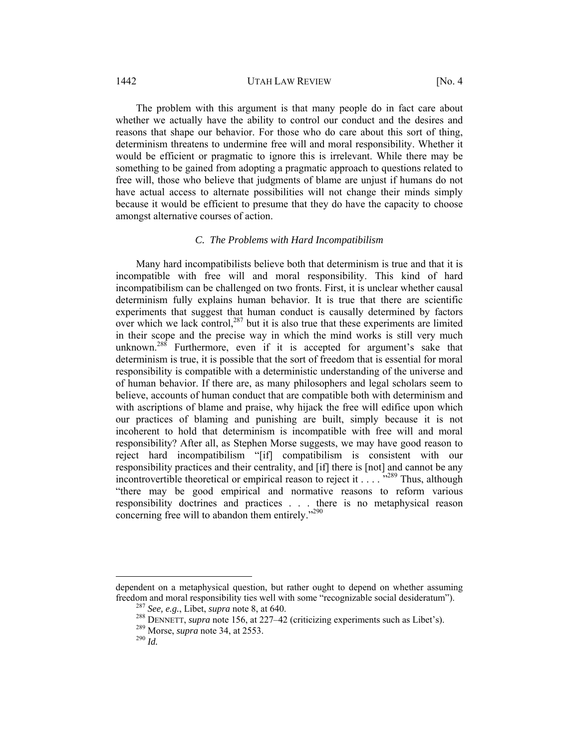#### 1442 UTAH LAW REVIEW [No. 4]

The problem with this argument is that many people do in fact care about whether we actually have the ability to control our conduct and the desires and reasons that shape our behavior. For those who do care about this sort of thing, determinism threatens to undermine free will and moral responsibility. Whether it would be efficient or pragmatic to ignore this is irrelevant. While there may be something to be gained from adopting a pragmatic approach to questions related to free will, those who believe that judgments of blame are unjust if humans do not have actual access to alternate possibilities will not change their minds simply because it would be efficient to presume that they do have the capacity to choose amongst alternative courses of action.

#### *C. The Problems with Hard Incompatibilism*

Many hard incompatibilists believe both that determinism is true and that it is incompatible with free will and moral responsibility. This kind of hard incompatibilism can be challenged on two fronts. First, it is unclear whether causal determinism fully explains human behavior. It is true that there are scientific experiments that suggest that human conduct is causally determined by factors over which we lack control, $287$  but it is also true that these experiments are limited in their scope and the precise way in which the mind works is still very much unknown.<sup>288</sup> Furthermore, even if it is accepted for argument's sake that determinism is true, it is possible that the sort of freedom that is essential for moral responsibility is compatible with a deterministic understanding of the universe and of human behavior. If there are, as many philosophers and legal scholars seem to believe, accounts of human conduct that are compatible both with determinism and with ascriptions of blame and praise, why hijack the free will edifice upon which our practices of blaming and punishing are built, simply because it is not incoherent to hold that determinism is incompatible with free will and moral responsibility? After all, as Stephen Morse suggests, we may have good reason to reject hard incompatibilism "[if] compatibilism is consistent with our responsibility practices and their centrality, and [if] there is [not] and cannot be any incontrovertible theoretical or empirical reason to reject it . . . . .<sup>"289</sup> Thus, although "there may be good empirical and normative reasons to reform various responsibility doctrines and practices . . . there is no metaphysical reason concerning free will to abandon them entirely."<sup>290</sup>

 $\overline{a}$ 

dependent on a metaphysical question, but rather ought to depend on whether assuming freedom and moral responsibility ties well with some "recognizable social desideratum").<br><sup>287</sup> *See, e.g.*, Libet, *supra* note 8, at 640.<br><sup>288</sup> DENNETT, *supra* note 156, at 227–42 (criticizing experiments such as Libet'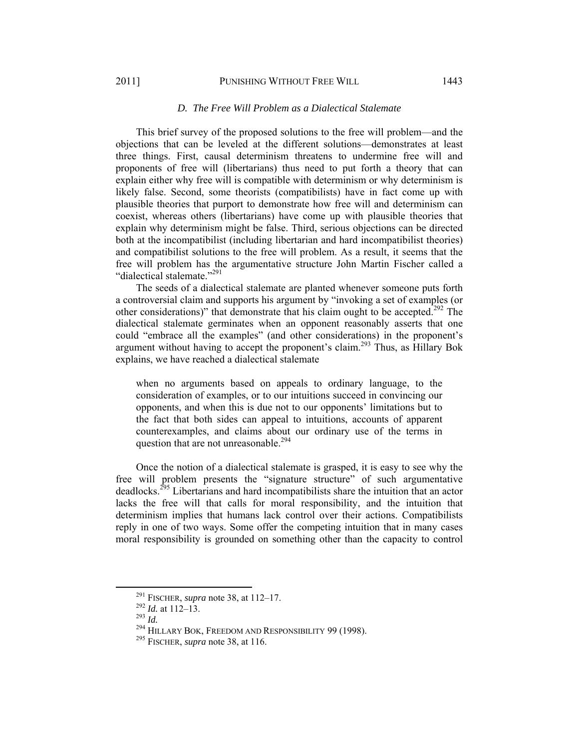#### 2011] PUNISHING WITHOUT FREE WILL 1443

This brief survey of the proposed solutions to the free will problem—and the objections that can be leveled at the different solutions—demonstrates at least three things. First, causal determinism threatens to undermine free will and proponents of free will (libertarians) thus need to put forth a theory that can explain either why free will is compatible with determinism or why determinism is likely false. Second, some theorists (compatibilists) have in fact come up with plausible theories that purport to demonstrate how free will and determinism can coexist, whereas others (libertarians) have come up with plausible theories that explain why determinism might be false. Third, serious objections can be directed both at the incompatibilist (including libertarian and hard incompatibilist theories) and compatibilist solutions to the free will problem. As a result, it seems that the free will problem has the argumentative structure John Martin Fischer called a "dialectical stalemate."<sup>291</sup>

The seeds of a dialectical stalemate are planted whenever someone puts forth a controversial claim and supports his argument by "invoking a set of examples (or other considerations)" that demonstrate that his claim ought to be accepted.<sup>292</sup> The dialectical stalemate germinates when an opponent reasonably asserts that one could "embrace all the examples" (and other considerations) in the proponent's argument without having to accept the proponent's claim.<sup>293</sup> Thus, as Hillary Bok explains, we have reached a dialectical stalemate

when no arguments based on appeals to ordinary language, to the consideration of examples, or to our intuitions succeed in convincing our opponents, and when this is due not to our opponents' limitations but to the fact that both sides can appeal to intuitions, accounts of apparent counterexamples, and claims about our ordinary use of the terms in question that are not unreasonable.<sup>294</sup>

Once the notion of a dialectical stalemate is grasped, it is easy to see why the free will problem presents the "signature structure" of such argumentative deadlocks.295 Libertarians and hard incompatibilists share the intuition that an actor lacks the free will that calls for moral responsibility, and the intuition that determinism implies that humans lack control over their actions. Compatibilists reply in one of two ways. Some offer the competing intuition that in many cases moral responsibility is grounded on something other than the capacity to control

<sup>&</sup>lt;sup>291</sup> FISCHER, *supra* note 38, at 112–17.<br><sup>292</sup> *Id.* at 112–13.<br><sup>293</sup> *Id.* <sup>294</sup> HILLARY BOK, FREEDOM AND RESPONSIBILITY 99 (1998).<br><sup>295</sup> FISCHER, *supra* note 38, at 116.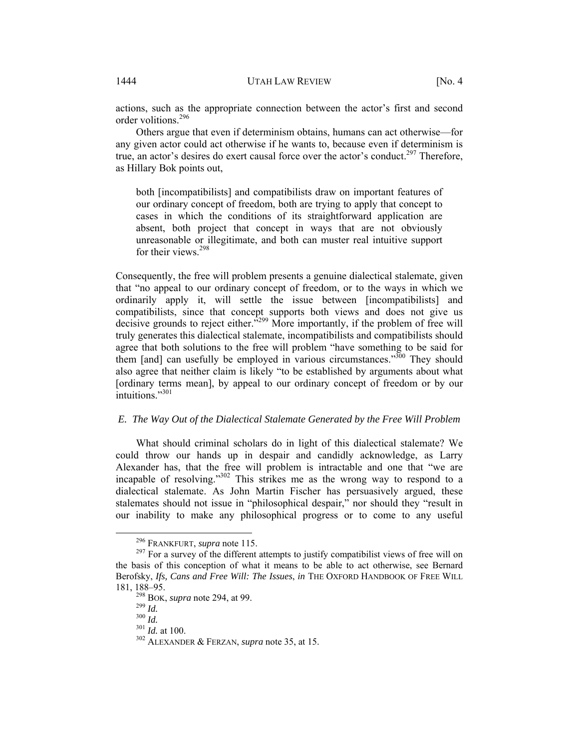actions, such as the appropriate connection between the actor's first and second order volitions.296

Others argue that even if determinism obtains, humans can act otherwise—for any given actor could act otherwise if he wants to, because even if determinism is true, an actor's desires do exert causal force over the actor's conduct.<sup>297</sup> Therefore, as Hillary Bok points out,

both [incompatibilists] and compatibilists draw on important features of our ordinary concept of freedom, both are trying to apply that concept to cases in which the conditions of its straightforward application are absent, both project that concept in ways that are not obviously unreasonable or illegitimate, and both can muster real intuitive support for their views<sup>298</sup>

Consequently, the free will problem presents a genuine dialectical stalemate, given that "no appeal to our ordinary concept of freedom, or to the ways in which we ordinarily apply it, will settle the issue between [incompatibilists] and compatibilists, since that concept supports both views and does not give us decisive grounds to reject either.<sup>3299</sup> More importantly, if the problem of free will truly generates this dialectical stalemate, incompatibilists and compatibilists should agree that both solutions to the free will problem "have something to be said for them [and] can usefully be employed in various circumstances.<sup> $300$ </sup> They should also agree that neither claim is likely "to be established by arguments about what [ordinary terms mean], by appeal to our ordinary concept of freedom or by our  $intuitions$ <sup>301</sup>

# *E. The Way Out of the Dialectical Stalemate Generated by the Free Will Problem*

What should criminal scholars do in light of this dialectical stalemate? We could throw our hands up in despair and candidly acknowledge, as Larry Alexander has, that the free will problem is intractable and one that "we are incapable of resolving."302 This strikes me as the wrong way to respond to a dialectical stalemate. As John Martin Fischer has persuasively argued, these stalemates should not issue in "philosophical despair," nor should they "result in our inability to make any philosophical progress or to come to any useful

<sup>&</sup>lt;sup>296</sup> FRANKFURT, *supra* note 115.<br><sup>297</sup> For a survey of the different attempts to justify compatibilist views of free will on the basis of this conception of what it means to be able to act otherwise, see Bernard Berofsky, *Ifs, Cans and Free Will: The Issues*, *in* THE OXFORD HANDBOOK OF FREE WILL 181, 188–95.<br>
<sup>298</sup> BOK, *supra* note 294, at 99.<br>
<sup>309</sup> *Id.* 300 *Id.* at 100.<br>
<sup>302</sup> ALEXANDER & FERZAN, *supra* note 35, at 15.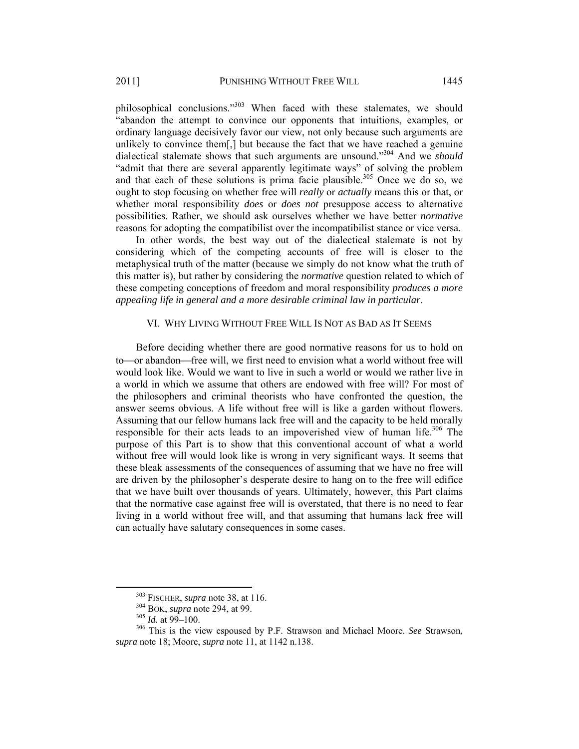philosophical conclusions."<sup>303</sup> When faced with these stalemates, we should "abandon the attempt to convince our opponents that intuitions, examples, or ordinary language decisively favor our view, not only because such arguments are unlikely to convince them[,] but because the fact that we have reached a genuine dialectical stalemate shows that such arguments are unsound."304 And we *should*  "admit that there are several apparently legitimate ways" of solving the problem and that each of these solutions is prima facie plausible.<sup>305</sup> Once we do so, we ought to stop focusing on whether free will *really* or *actually* means this or that, or whether moral responsibility *does* or *does not* presuppose access to alternative possibilities. Rather, we should ask ourselves whether we have better *normative*  reasons for adopting the compatibilist over the incompatibilist stance or vice versa.

In other words, the best way out of the dialectical stalemate is not by considering which of the competing accounts of free will is closer to the metaphysical truth of the matter (because we simply do not know what the truth of this matter is), but rather by considering the *normative* question related to which of these competing conceptions of freedom and moral responsibility *produces a more appealing life in general and a more desirable criminal law in particular*.

# VI. WHY LIVING WITHOUT FREE WILL IS NOT AS BAD AS IT SEEMS

Before deciding whether there are good normative reasons for us to hold on to—or abandon—free will, we first need to envision what a world without free will would look like. Would we want to live in such a world or would we rather live in a world in which we assume that others are endowed with free will? For most of the philosophers and criminal theorists who have confronted the question, the answer seems obvious. A life without free will is like a garden without flowers. Assuming that our fellow humans lack free will and the capacity to be held morally responsible for their acts leads to an impoverished view of human life.<sup>306</sup> The purpose of this Part is to show that this conventional account of what a world without free will would look like is wrong in very significant ways. It seems that these bleak assessments of the consequences of assuming that we have no free will are driven by the philosopher's desperate desire to hang on to the free will edifice that we have built over thousands of years. Ultimately, however, this Part claims that the normative case against free will is overstated, that there is no need to fear living in a world without free will, and that assuming that humans lack free will can actually have salutary consequences in some cases.

<sup>&</sup>lt;sup>303</sup> FISCHER, *supra* note 38, at 116.<br><sup>304</sup> BOK, *supra* note 294, at 99.<br><sup>305</sup> *Id.* at 99–100.<br><sup>306</sup> This is the view espoused by P.F. Strawson and Michael Moore. *See* Strawson, *supra* note 18; Moore, *supra* note 11, at 1142 n.138.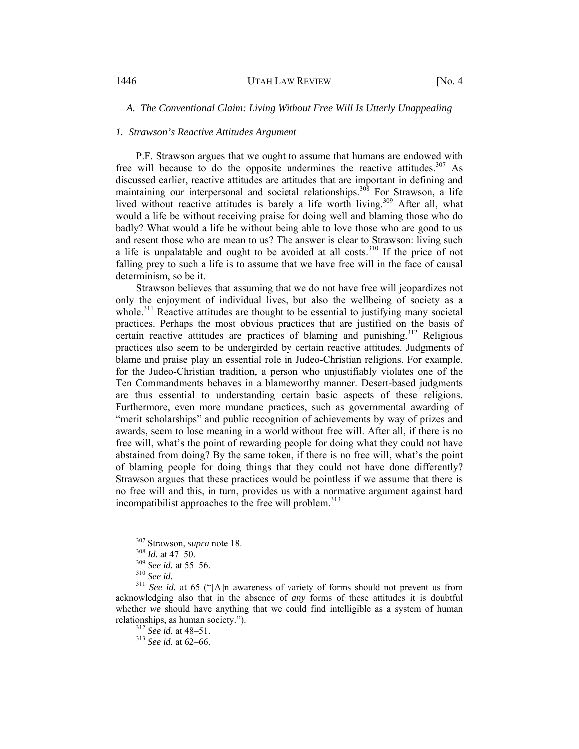# *A. The Conventional Claim: Living Without Free Will Is Utterly Unappealing*

#### *1. Strawson's Reactive Attitudes Argument*

P.F. Strawson argues that we ought to assume that humans are endowed with free will because to do the opposite undermines the reactive attitudes.<sup>307</sup> As discussed earlier, reactive attitudes are attitudes that are important in defining and maintaining our interpersonal and societal relationships.<sup>308</sup> For Strawson, a life lived without reactive attitudes is barely a life worth living.<sup>309</sup> After all, what would a life be without receiving praise for doing well and blaming those who do badly? What would a life be without being able to love those who are good to us and resent those who are mean to us? The answer is clear to Strawson: living such a life is unpalatable and ought to be avoided at all costs.<sup>310</sup> If the price of not falling prey to such a life is to assume that we have free will in the face of causal determinism, so be it.

Strawson believes that assuming that we do not have free will jeopardizes not only the enjoyment of individual lives, but also the wellbeing of society as a whole.<sup>311</sup> Reactive attitudes are thought to be essential to justifying many societal practices. Perhaps the most obvious practices that are justified on the basis of certain reactive attitudes are practices of blaming and punishing.<sup>312</sup> Religious practices also seem to be undergirded by certain reactive attitudes. Judgments of blame and praise play an essential role in Judeo-Christian religions. For example, for the Judeo-Christian tradition, a person who unjustifiably violates one of the Ten Commandments behaves in a blameworthy manner. Desert-based judgments are thus essential to understanding certain basic aspects of these religions. Furthermore, even more mundane practices, such as governmental awarding of "merit scholarships" and public recognition of achievements by way of prizes and awards, seem to lose meaning in a world without free will. After all, if there is no free will, what's the point of rewarding people for doing what they could not have abstained from doing? By the same token, if there is no free will, what's the point of blaming people for doing things that they could not have done differently? Strawson argues that these practices would be pointless if we assume that there is no free will and this, in turn, provides us with a normative argument against hard incompatibilist approaches to the free will problem. $313$ 

<sup>&</sup>lt;sup>307</sup> Strawson, *supra* note 18.<br><sup>308</sup> *Id.* at 47–50.<br><sup>310</sup> *See id.* at 55–56.<br><sup>311</sup> *See id.* at 65 ("[A]n awareness of variety of forms should not prevent us from acknowledging also that in the absence of *any* forms of these attitudes it is doubtful whether *we* should have anything that we could find intelligible as a system of human relationships, as human society."). 312 *See id.* at 48–51. 313 *See id.* at 62–66.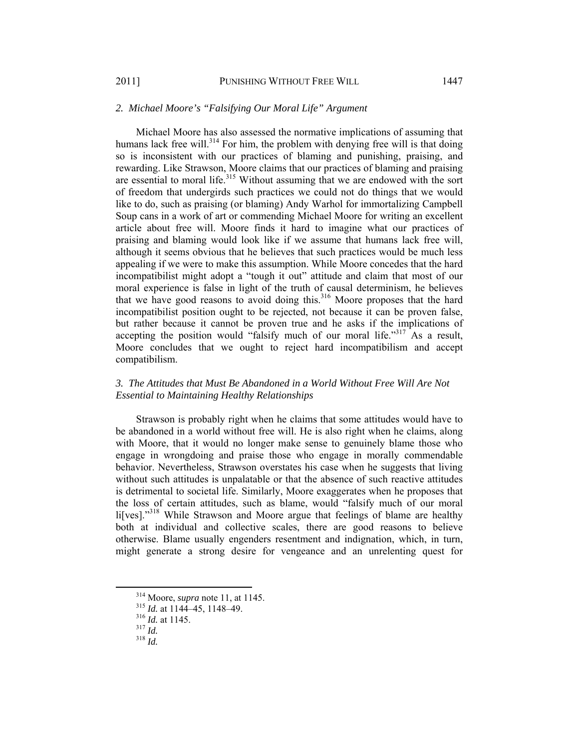# *2. Michael Moore's "Falsifying Our Moral Life" Argument*

Michael Moore has also assessed the normative implications of assuming that humans lack free will. $314$  For him, the problem with denying free will is that doing so is inconsistent with our practices of blaming and punishing, praising, and rewarding. Like Strawson, Moore claims that our practices of blaming and praising are essential to moral life.<sup>315</sup> Without assuming that we are endowed with the sort of freedom that undergirds such practices we could not do things that we would like to do, such as praising (or blaming) Andy Warhol for immortalizing Campbell Soup cans in a work of art or commending Michael Moore for writing an excellent article about free will. Moore finds it hard to imagine what our practices of praising and blaming would look like if we assume that humans lack free will, although it seems obvious that he believes that such practices would be much less appealing if we were to make this assumption. While Moore concedes that the hard incompatibilist might adopt a "tough it out" attitude and claim that most of our moral experience is false in light of the truth of causal determinism, he believes that we have good reasons to avoid doing this.<sup>316</sup> Moore proposes that the hard incompatibilist position ought to be rejected, not because it can be proven false, but rather because it cannot be proven true and he asks if the implications of accepting the position would "falsify much of our moral life."<sup>317</sup> As a result, Moore concludes that we ought to reject hard incompatibilism and accept compatibilism.

# *3. The Attitudes that Must Be Abandoned in a World Without Free Will Are Not Essential to Maintaining Healthy Relationships*

Strawson is probably right when he claims that some attitudes would have to be abandoned in a world without free will. He is also right when he claims, along with Moore, that it would no longer make sense to genuinely blame those who engage in wrongdoing and praise those who engage in morally commendable behavior. Nevertheless, Strawson overstates his case when he suggests that living without such attitudes is unpalatable or that the absence of such reactive attitudes is detrimental to societal life. Similarly, Moore exaggerates when he proposes that the loss of certain attitudes, such as blame, would "falsify much of our moral li[ves]."<sup>318</sup> While Strawson and Moore argue that feelings of blame are healthy both at individual and collective scales, there are good reasons to believe otherwise. Blame usually engenders resentment and indignation, which, in turn, might generate a strong desire for vengeance and an unrelenting quest for

 <sup>314</sup> Moore, *supra* note 11, at 1145. 315 *Id.* at 1144–45, 1148–49. 316 *Id.* at 1145. 317 *Id.* <sup>318</sup> *Id.*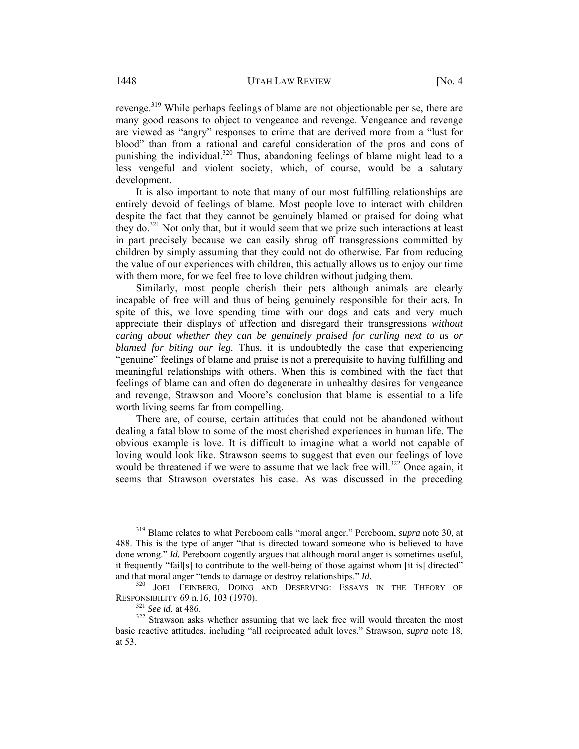revenge.<sup>319</sup> While perhaps feelings of blame are not objectionable per se, there are many good reasons to object to vengeance and revenge. Vengeance and revenge are viewed as "angry" responses to crime that are derived more from a "lust for blood" than from a rational and careful consideration of the pros and cons of punishing the individual.<sup>320</sup> Thus, abandoning feelings of blame might lead to a less vengeful and violent society, which, of course, would be a salutary development.

It is also important to note that many of our most fulfilling relationships are entirely devoid of feelings of blame. Most people love to interact with children despite the fact that they cannot be genuinely blamed or praised for doing what they do. $321$  Not only that, but it would seem that we prize such interactions at least in part precisely because we can easily shrug off transgressions committed by children by simply assuming that they could not do otherwise. Far from reducing the value of our experiences with children, this actually allows us to enjoy our time with them more, for we feel free to love children without judging them.

Similarly, most people cherish their pets although animals are clearly incapable of free will and thus of being genuinely responsible for their acts. In spite of this, we love spending time with our dogs and cats and very much appreciate their displays of affection and disregard their transgressions *without caring about whether they can be genuinely praised for curling next to us or blamed for biting our leg.* Thus, it is undoubtedly the case that experiencing "genuine" feelings of blame and praise is not a prerequisite to having fulfilling and meaningful relationships with others. When this is combined with the fact that feelings of blame can and often do degenerate in unhealthy desires for vengeance and revenge, Strawson and Moore's conclusion that blame is essential to a life worth living seems far from compelling.

There are, of course, certain attitudes that could not be abandoned without dealing a fatal blow to some of the most cherished experiences in human life. The obvious example is love. It is difficult to imagine what a world not capable of loving would look like. Strawson seems to suggest that even our feelings of love would be threatened if we were to assume that we lack free will.<sup>322</sup> Once again, it seems that Strawson overstates his case. As was discussed in the preceding

 <sup>319</sup> Blame relates to what Pereboom calls "moral anger." Pereboom, *supra* note 30, at 488. This is the type of anger "that is directed toward someone who is believed to have done wrong." *Id.* Pereboom cogently argues that although moral anger is sometimes useful, it frequently "fail[s] to contribute to the well-being of those against whom [it is] directed" and that moral anger "tends to damage or destroy relationships." *Id.* 320 JOEL FEINBERG, DOING AND DESERVING: ESSAYS IN THE THEORY OF

RESPONSIBILITY 69 n.16, 103 (1970).<br><sup>321</sup> *See id.* at 486.<br><sup>322</sup> Strawson asks whether assuming that we lack free will would threaten the most

basic reactive attitudes, including "all reciprocated adult loves." Strawson, *supra* note 18, at 53.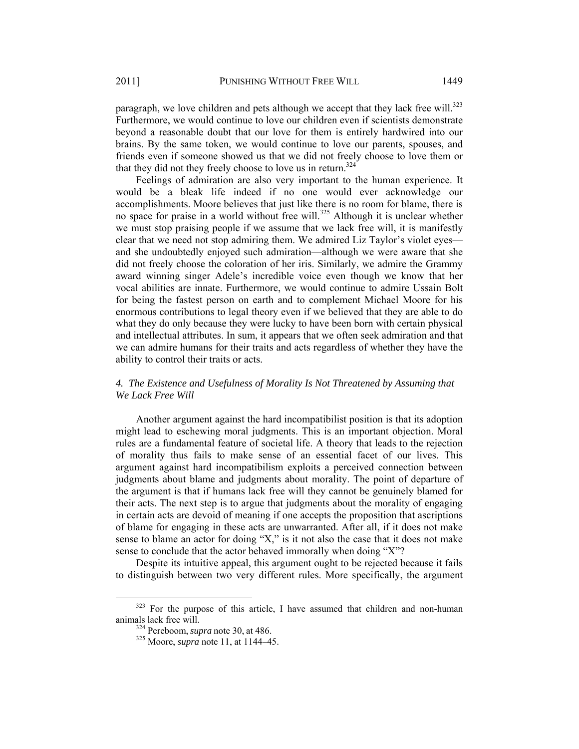paragraph, we love children and pets although we accept that they lack free will.<sup>323</sup> Furthermore, we would continue to love our children even if scientists demonstrate beyond a reasonable doubt that our love for them is entirely hardwired into our brains. By the same token, we would continue to love our parents, spouses, and friends even if someone showed us that we did not freely choose to love them or that they did not they freely choose to love us in return.<sup>324</sup>

Feelings of admiration are also very important to the human experience. It would be a bleak life indeed if no one would ever acknowledge our accomplishments. Moore believes that just like there is no room for blame, there is no space for praise in a world without free will.<sup>325</sup> Although it is unclear whether we must stop praising people if we assume that we lack free will, it is manifestly clear that we need not stop admiring them. We admired Liz Taylor's violet eyes and she undoubtedly enjoyed such admiration—although we were aware that she did not freely choose the coloration of her iris. Similarly, we admire the Grammy award winning singer Adele's incredible voice even though we know that her vocal abilities are innate. Furthermore, we would continue to admire Ussain Bolt for being the fastest person on earth and to complement Michael Moore for his enormous contributions to legal theory even if we believed that they are able to do what they do only because they were lucky to have been born with certain physical and intellectual attributes. In sum, it appears that we often seek admiration and that we can admire humans for their traits and acts regardless of whether they have the ability to control their traits or acts.

# *4. The Existence and Usefulness of Morality Is Not Threatened by Assuming that We Lack Free Will*

Another argument against the hard incompatibilist position is that its adoption might lead to eschewing moral judgments. This is an important objection. Moral rules are a fundamental feature of societal life. A theory that leads to the rejection of morality thus fails to make sense of an essential facet of our lives. This argument against hard incompatibilism exploits a perceived connection between judgments about blame and judgments about morality. The point of departure of the argument is that if humans lack free will they cannot be genuinely blamed for their acts. The next step is to argue that judgments about the morality of engaging in certain acts are devoid of meaning if one accepts the proposition that ascriptions of blame for engaging in these acts are unwarranted. After all, if it does not make sense to blame an actor for doing "X," is it not also the case that it does not make sense to conclude that the actor behaved immorally when doing "X"?

Despite its intuitive appeal, this argument ought to be rejected because it fails to distinguish between two very different rules. More specifically, the argument

<sup>&</sup>lt;sup>323</sup> For the purpose of this article, I have assumed that children and non-human animals lack free will. 324 Pereboom, *supra* note 30, at 486. 325 Moore, *supra* note 11, at 1144–45.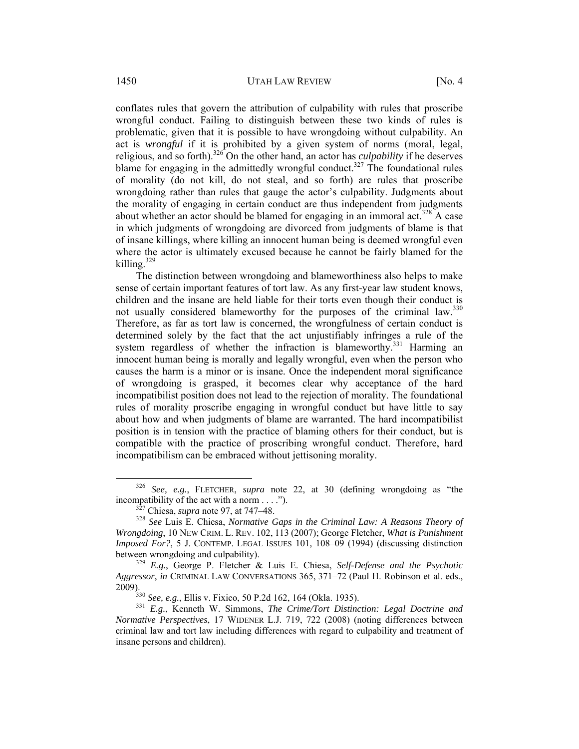conflates rules that govern the attribution of culpability with rules that proscribe wrongful conduct. Failing to distinguish between these two kinds of rules is problematic, given that it is possible to have wrongdoing without culpability. An act is *wrongful* if it is prohibited by a given system of norms (moral, legal, religious, and so forth).<sup>326</sup> On the other hand, an actor has *culpability* if he deserves blame for engaging in the admittedly wrongful conduct.<sup>327</sup> The foundational rules of morality (do not kill, do not steal, and so forth) are rules that proscribe wrongdoing rather than rules that gauge the actor's culpability. Judgments about the morality of engaging in certain conduct are thus independent from judgments about whether an actor should be blamed for engaging in an immoral act.<sup>328</sup> A case in which judgments of wrongdoing are divorced from judgments of blame is that of insane killings, where killing an innocent human being is deemed wrongful even where the actor is ultimately excused because he cannot be fairly blamed for the killing.<sup>329</sup>

The distinction between wrongdoing and blameworthiness also helps to make sense of certain important features of tort law. As any first-year law student knows, children and the insane are held liable for their torts even though their conduct is not usually considered blameworthy for the purposes of the criminal law.<sup>330</sup> Therefore, as far as tort law is concerned, the wrongfulness of certain conduct is determined solely by the fact that the act unjustifiably infringes a rule of the system regardless of whether the infraction is blameworthy.<sup>331</sup> Harming an innocent human being is morally and legally wrongful, even when the person who causes the harm is a minor or is insane. Once the independent moral significance of wrongdoing is grasped, it becomes clear why acceptance of the hard incompatibilist position does not lead to the rejection of morality. The foundational rules of morality proscribe engaging in wrongful conduct but have little to say about how and when judgments of blame are warranted. The hard incompatibilist position is in tension with the practice of blaming others for their conduct, but is compatible with the practice of proscribing wrongful conduct. Therefore, hard incompatibilism can be embraced without jettisoning morality.

 <sup>326</sup> *See, e.g.*, FLETCHER, *supra* note 22, at 30 (defining wrongdoing as "the incompatibility of the act with a norm . . . .").<br><sup>327</sup> Chiesa, *supra* note 97, at 747–48.<br><sup>328</sup> *See* Luis E. Chiesa, *Normative Gaps in the Criminal Law: A Reasons Theory of* 

*Wrongdoing*, 10 NEW CRIM. L. REV. 102, 113 (2007); George Fletcher, *What is Punishment Imposed For?*, 5 J. CONTEMP. LEGAL ISSUES 101, 108–09 (1994) (discussing distinction between wrongdoing and culpability). 329 *E.g.*, George P. Fletcher & Luis E. Chiesa, *Self-Defense and the Psychotic* 

*Aggressor*, *in* CRIMINAL LAW CONVERSATIONS 365, 371–72 (Paul H. Robinson et al. eds., 2009). 330 *See, e.g.*, Ellis v. Fixico, 50 P.2d 162, 164 (Okla. 1935). 331 *E.g.*, Kenneth W. Simmons, *The Crime/Tort Distinction: Legal Doctrine and* 

*Normative Perspectives*, 17 WIDENER L.J. 719, 722 (2008) (noting differences between criminal law and tort law including differences with regard to culpability and treatment of insane persons and children).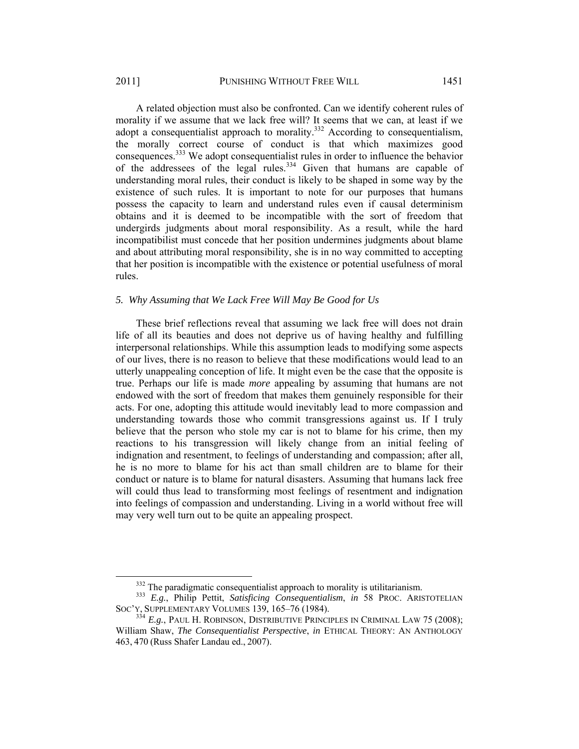A related objection must also be confronted. Can we identify coherent rules of morality if we assume that we lack free will? It seems that we can, at least if we adopt a consequentialist approach to morality.<sup>332</sup> According to consequentialism, the morally correct course of conduct is that which maximizes good consequences.<sup>333</sup> We adopt consequentialist rules in order to influence the behavior of the addressees of the legal rules. $334$  Given that humans are capable of understanding moral rules, their conduct is likely to be shaped in some way by the existence of such rules. It is important to note for our purposes that humans possess the capacity to learn and understand rules even if causal determinism obtains and it is deemed to be incompatible with the sort of freedom that undergirds judgments about moral responsibility. As a result, while the hard incompatibilist must concede that her position undermines judgments about blame and about attributing moral responsibility, she is in no way committed to accepting that her position is incompatible with the existence or potential usefulness of moral rules.

#### *5. Why Assuming that We Lack Free Will May Be Good for Us*

These brief reflections reveal that assuming we lack free will does not drain life of all its beauties and does not deprive us of having healthy and fulfilling interpersonal relationships. While this assumption leads to modifying some aspects of our lives, there is no reason to believe that these modifications would lead to an utterly unappealing conception of life. It might even be the case that the opposite is true. Perhaps our life is made *more* appealing by assuming that humans are not endowed with the sort of freedom that makes them genuinely responsible for their acts. For one, adopting this attitude would inevitably lead to more compassion and understanding towards those who commit transgressions against us. If I truly believe that the person who stole my car is not to blame for his crime, then my reactions to his transgression will likely change from an initial feeling of indignation and resentment, to feelings of understanding and compassion; after all, he is no more to blame for his act than small children are to blame for their conduct or nature is to blame for natural disasters. Assuming that humans lack free will could thus lead to transforming most feelings of resentment and indignation into feelings of compassion and understanding. Living in a world without free will may very well turn out to be quite an appealing prospect.

<sup>&</sup>lt;sup>332</sup> The paradigmatic consequentialist approach to morality is utilitarianism.<br><sup>333</sup> *E.g.*, Philip Pettit, *Satisficing Consequentialism*, *in* 58 PROC. ARISTOTELIAN<br>SOC'Y, SUPPLEMENTARY VOLUMES 139, 165–76 (1984).

<sup>&</sup>lt;sup>334</sup> E.g., PAUL H. ROBINSON, DISTRIBUTIVE PRINCIPLES IN CRIMINAL LAW 75 (2008); William Shaw, *The Consequentialist Perspective*, *in* ETHICAL THEORY: AN ANTHOLOGY 463, 470 (Russ Shafer Landau ed., 2007).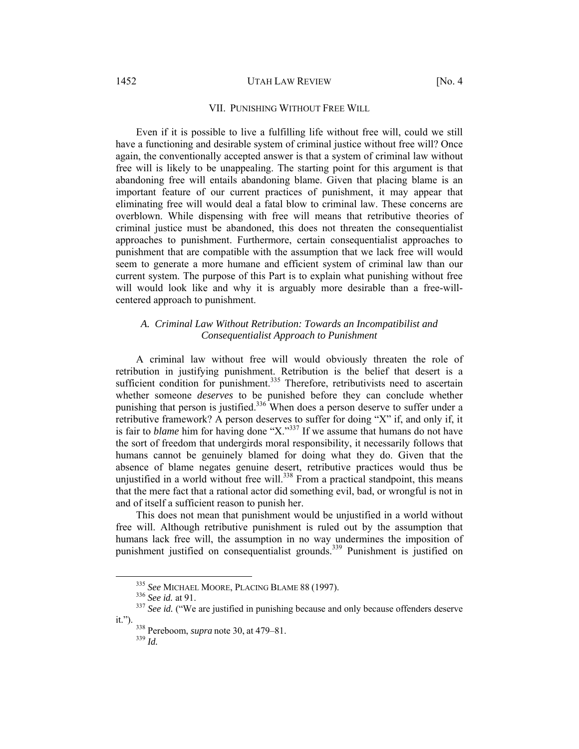#### 1452 UTAH LAW REVIEW [No. 4]

# VII. PUNISHING WITHOUT FREE WILL

Even if it is possible to live a fulfilling life without free will, could we still have a functioning and desirable system of criminal justice without free will? Once again, the conventionally accepted answer is that a system of criminal law without free will is likely to be unappealing. The starting point for this argument is that abandoning free will entails abandoning blame. Given that placing blame is an important feature of our current practices of punishment, it may appear that eliminating free will would deal a fatal blow to criminal law. These concerns are overblown. While dispensing with free will means that retributive theories of criminal justice must be abandoned, this does not threaten the consequentialist approaches to punishment. Furthermore, certain consequentialist approaches to punishment that are compatible with the assumption that we lack free will would seem to generate a more humane and efficient system of criminal law than our current system. The purpose of this Part is to explain what punishing without free will would look like and why it is arguably more desirable than a free-willcentered approach to punishment.

# *A. Criminal Law Without Retribution: Towards an Incompatibilist and Consequentialist Approach to Punishment*

A criminal law without free will would obviously threaten the role of retribution in justifying punishment. Retribution is the belief that desert is a sufficient condition for punishment.<sup>335</sup> Therefore, retributivists need to ascertain whether someone *deserves* to be punished before they can conclude whether punishing that person is justified.<sup>336</sup> When does a person deserve to suffer under a retributive framework? A person deserves to suffer for doing "X" if, and only if, it is fair to *blame* him for having done "X."<sup>337</sup> If we assume that humans do not have the sort of freedom that undergirds moral responsibility, it necessarily follows that humans cannot be genuinely blamed for doing what they do. Given that the absence of blame negates genuine desert, retributive practices would thus be unjustified in a world without free will. $338$  From a practical standpoint, this means that the mere fact that a rational actor did something evil, bad, or wrongful is not in and of itself a sufficient reason to punish her.

This does not mean that punishment would be unjustified in a world without free will. Although retributive punishment is ruled out by the assumption that humans lack free will, the assumption in no way undermines the imposition of punishment justified on consequentialist grounds.<sup>339</sup> Punishment is justified on

<sup>&</sup>lt;sup>335</sup> *See* MICHAEL MOORE, PLACING BLAME 88 (1997).<br><sup>336</sup> *See id.* at 91. 337 *See id.* ("We are justified in punishing because and only because offenders deserve it.").

<sup>&</sup>lt;sup>338</sup> Pereboom, *supra* note 30, at 479–81.<br><sup>339</sup> *Id*.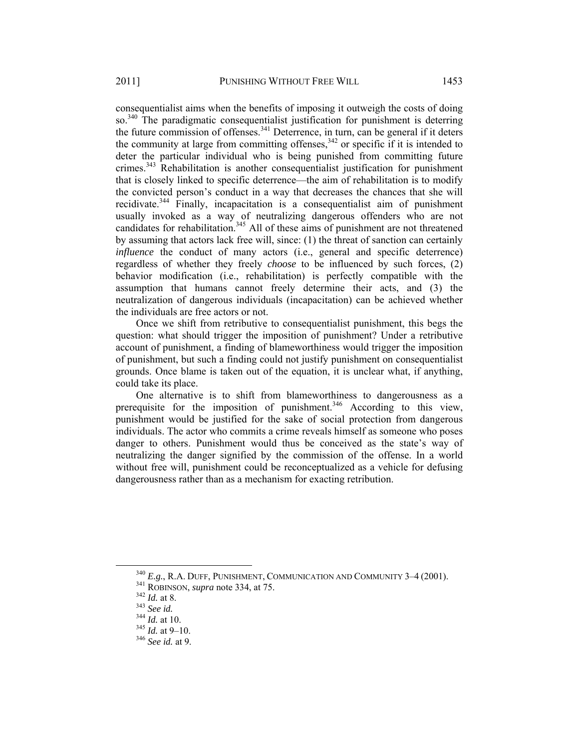consequentialist aims when the benefits of imposing it outweigh the costs of doing so.<sup>340</sup> The paradigmatic consequentialist justification for punishment is deterring the future commission of offenses.<sup>341</sup> Deterrence, in turn, can be general if it deters the community at large from committing offenses,  $342$  or specific if it is intended to deter the particular individual who is being punished from committing future crimes. $343$  Rehabilitation is another consequentialist justification for punishment that is closely linked to specific deterrence—the aim of rehabilitation is to modify the convicted person's conduct in a way that decreases the chances that she will recidivate.<sup>344</sup> Finally, incapacitation is a consequentialist aim of punishment usually invoked as a way of neutralizing dangerous offenders who are not candidates for rehabilitation.<sup>345</sup> All of these aims of punishment are not threatened by assuming that actors lack free will, since: (1) the threat of sanction can certainly *influence* the conduct of many actors (i.e., general and specific deterrence) regardless of whether they freely *choose* to be influenced by such forces, (2) behavior modification (i.e., rehabilitation) is perfectly compatible with the assumption that humans cannot freely determine their acts, and (3) the neutralization of dangerous individuals (incapacitation) can be achieved whether the individuals are free actors or not.

Once we shift from retributive to consequentialist punishment, this begs the question: what should trigger the imposition of punishment? Under a retributive account of punishment, a finding of blameworthiness would trigger the imposition of punishment, but such a finding could not justify punishment on consequentialist grounds. Once blame is taken out of the equation, it is unclear what, if anything, could take its place.

One alternative is to shift from blameworthiness to dangerousness as a prerequisite for the imposition of punishment.<sup>346</sup> According to this view, punishment would be justified for the sake of social protection from dangerous individuals. The actor who commits a crime reveals himself as someone who poses danger to others. Punishment would thus be conceived as the state's way of neutralizing the danger signified by the commission of the offense. In a world without free will, punishment could be reconceptualized as a vehicle for defusing dangerousness rather than as a mechanism for exacting retribution.

<sup>&</sup>lt;sup>340</sup> E.g., R.A. DUFF, PUNISHMENT, COMMUNICATION AND COMMUNITY 3-4 (2001).<br><sup>341</sup> ROBINSON, *supra* note 334, at 75.<br><sup>342</sup> Id. at 8.<br><sup>343</sup> Id. at 10.<br><sup>344</sup> Id. at 10.<br><sup>345</sup> Id. at 9-10.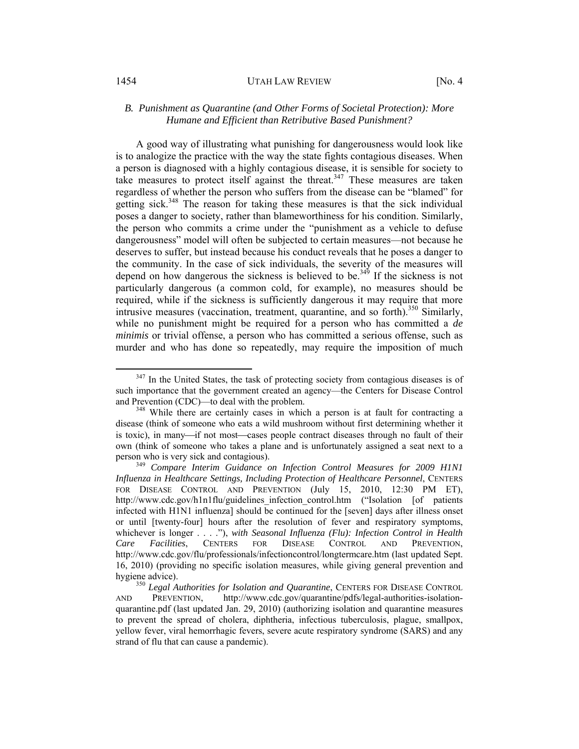# *B. Punishment as Quarantine (and Other Forms of Societal Protection): More Humane and Efficient than Retributive Based Punishment?*

A good way of illustrating what punishing for dangerousness would look like is to analogize the practice with the way the state fights contagious diseases. When a person is diagnosed with a highly contagious disease, it is sensible for society to take measures to protect itself against the threat.<sup>347</sup> These measures are taken regardless of whether the person who suffers from the disease can be "blamed" for getting sick.<sup>348</sup> The reason for taking these measures is that the sick individual poses a danger to society, rather than blameworthiness for his condition. Similarly, the person who commits a crime under the "punishment as a vehicle to defuse dangerousness" model will often be subjected to certain measures—not because he deserves to suffer, but instead because his conduct reveals that he poses a danger to the community. In the case of sick individuals, the severity of the measures will depend on how dangerous the sickness is believed to be.<sup>349</sup> If the sickness is not particularly dangerous (a common cold, for example), no measures should be required, while if the sickness is sufficiently dangerous it may require that more intrusive measures (vaccination, treatment, quarantine, and so forth).<sup>350</sup> Similarly, while no punishment might be required for a person who has committed a *de minimis* or trivial offense, a person who has committed a serious offense, such as murder and who has done so repeatedly, may require the imposition of much

 $347$  In the United States, the task of protecting society from contagious diseases is of such importance that the government created an agency—the Centers for Disease Control and Prevention (CDC)—to deal with the problem.<br><sup>348</sup> While there are certainly cases in which a person is at fault for contracting a

disease (think of someone who eats a wild mushroom without first determining whether it is toxic), in many—if not most—cases people contract diseases through no fault of their own (think of someone who takes a plane and is unfortunately assigned a seat next to a person who is very sick and contagious). 349 *Compare Interim Guidance on Infection Control Measures for 2009 H1N1* 

*Influenza in Healthcare Settings, Including Protection of Healthcare Personnel*, CENTERS FOR DISEASE CONTROL AND PREVENTION (July 15, 2010, 12:30 PM ET), http://www.cdc.gov/h1n1flu/guidelines infection control.htm ("Isolation [of patients infected with H1N1 influenza] should be continued for the [seven] days after illness onset or until [twenty-four] hours after the resolution of fever and respiratory symptoms, whichever is longer . . . ."), *with Seasonal Influenza (Flu): Infection Control in Health Care Facilities*, CENTERS FOR DISEASE CONTROL AND PREVENTION, http://www.cdc.gov/flu/professionals/infectioncontrol/longtermcare.htm (last updated Sept. 16, 2010) (providing no specific isolation measures, while giving general prevention and

hygiene advice). 350 *Legal Authorities for Isolation and Quarantine*, CENTERS FOR DISEASE CONTROL AND PREVENTION, http://www.cdc.gov/quarantine/pdfs/legal-authorities-isolationquarantine.pdf (last updated Jan. 29, 2010) (authorizing isolation and quarantine measures to prevent the spread of cholera, diphtheria, infectious tuberculosis, plague, smallpox, yellow fever, viral hemorrhagic fevers, severe acute respiratory syndrome (SARS) and any strand of flu that can cause a pandemic).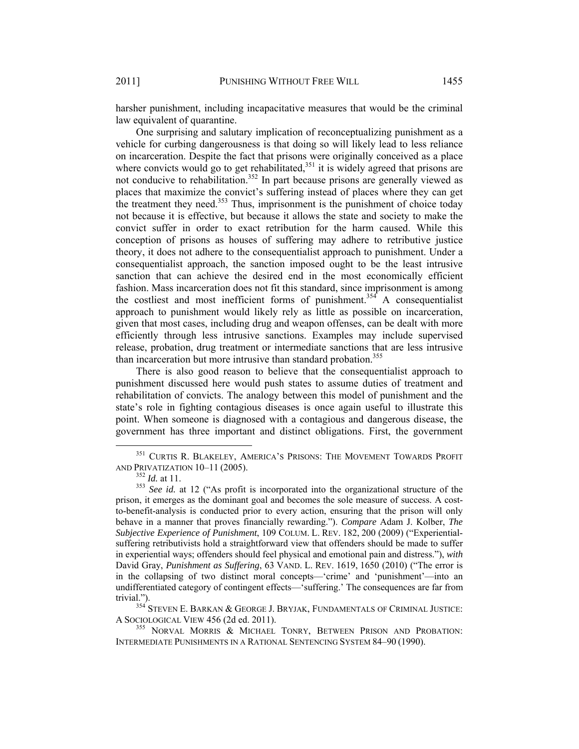harsher punishment, including incapacitative measures that would be the criminal law equivalent of quarantine.

One surprising and salutary implication of reconceptualizing punishment as a vehicle for curbing dangerousness is that doing so will likely lead to less reliance on incarceration. Despite the fact that prisons were originally conceived as a place where convicts would go to get rehabilitated, $351$  it is widely agreed that prisons are not conducive to rehabilitation.<sup>352</sup> In part because prisons are generally viewed as places that maximize the convict's suffering instead of places where they can get the treatment they need. $353$  Thus, imprisonment is the punishment of choice today not because it is effective, but because it allows the state and society to make the convict suffer in order to exact retribution for the harm caused. While this conception of prisons as houses of suffering may adhere to retributive justice theory, it does not adhere to the consequentialist approach to punishment. Under a consequentialist approach, the sanction imposed ought to be the least intrusive sanction that can achieve the desired end in the most economically efficient fashion. Mass incarceration does not fit this standard, since imprisonment is among the costliest and most inefficient forms of punishment.<sup>354</sup> A consequentialist approach to punishment would likely rely as little as possible on incarceration, given that most cases, including drug and weapon offenses, can be dealt with more efficiently through less intrusive sanctions. Examples may include supervised release, probation, drug treatment or intermediate sanctions that are less intrusive than incarceration but more intrusive than standard probation.<sup>355</sup>

There is also good reason to believe that the consequentialist approach to punishment discussed here would push states to assume duties of treatment and rehabilitation of convicts. The analogy between this model of punishment and the state's role in fighting contagious diseases is once again useful to illustrate this point. When someone is diagnosed with a contagious and dangerous disease, the government has three important and distinct obligations. First, the government

trivial."). 354 STEVEN E. BARKAN & GEORGE J. BRYJAK, FUNDAMENTALS OF CRIMINAL JUSTICE: A SOCIOLOGICAL VIEW 456 (2d ed. 2011).<br><sup>355</sup> NORVAL MORRIS & MICHAEL TONRY, BETWEEN PRISON AND PROBATION:

 $^{351}$  CURTIS R. BLAKELEY, AMERICA'S PRISONS: THE MOVEMENT TOWARDS PROFIT AND PRIVATIZATION 10–11 (2005).

<sup>&</sup>lt;sup>352</sup> *Id.* at 11.<br><sup>353</sup> *See id.* at 12 ("As profit is incorporated into the organizational structure of the prison, it emerges as the dominant goal and becomes the sole measure of success. A costto-benefit-analysis is conducted prior to every action, ensuring that the prison will only behave in a manner that proves financially rewarding."). *Compare* Adam J. Kolber, *The Subjective Experience of Punishment*, 109 COLUM. L. REV. 182, 200 (2009) ("Experientialsuffering retributivists hold a straightforward view that offenders should be made to suffer in experiential ways; offenders should feel physical and emotional pain and distress."), *with*  David Gray, *Punishment as Suffering*, 63 VAND. L. REV. 1619, 1650 (2010) ("The error is in the collapsing of two distinct moral concepts—'crime' and 'punishment'—into an undifferentiated category of contingent effects—'suffering.' The consequences are far from

INTERMEDIATE PUNISHMENTS IN A RATIONAL SENTENCING SYSTEM 84–90 (1990).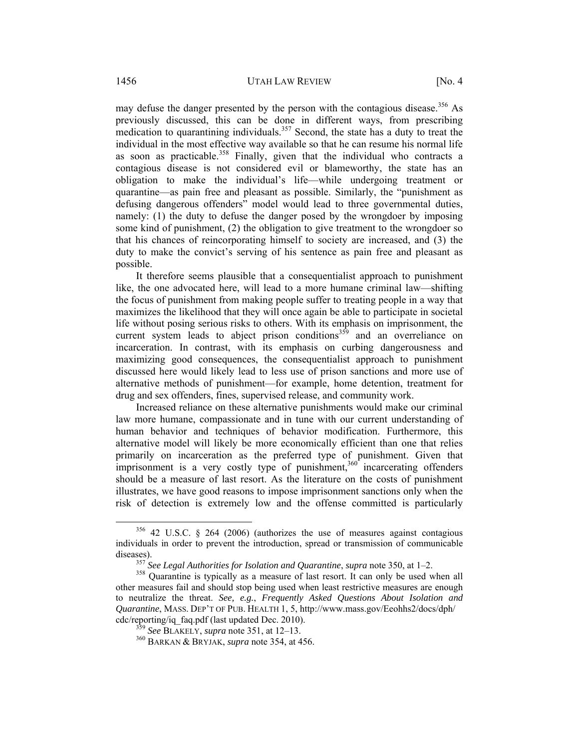may defuse the danger presented by the person with the contagious disease.<sup>356</sup> As previously discussed, this can be done in different ways, from prescribing medication to quarantining individuals.<sup>357</sup> Second, the state has a duty to treat the individual in the most effective way available so that he can resume his normal life as soon as practicable.<sup>358</sup> Finally, given that the individual who contracts a contagious disease is not considered evil or blameworthy, the state has an obligation to make the individual's life—while undergoing treatment or quarantine—as pain free and pleasant as possible. Similarly, the "punishment as defusing dangerous offenders" model would lead to three governmental duties, namely: (1) the duty to defuse the danger posed by the wrongdoer by imposing some kind of punishment, (2) the obligation to give treatment to the wrongdoer so that his chances of reincorporating himself to society are increased, and (3) the duty to make the convict's serving of his sentence as pain free and pleasant as possible.

It therefore seems plausible that a consequentialist approach to punishment like, the one advocated here, will lead to a more humane criminal law—shifting the focus of punishment from making people suffer to treating people in a way that maximizes the likelihood that they will once again be able to participate in societal life without posing serious risks to others. With its emphasis on imprisonment, the current system leads to abject prison conditions<sup>359</sup> and an overreliance on incarceration. In contrast, with its emphasis on curbing dangerousness and maximizing good consequences, the consequentialist approach to punishment discussed here would likely lead to less use of prison sanctions and more use of alternative methods of punishment—for example, home detention, treatment for drug and sex offenders, fines, supervised release, and community work.

Increased reliance on these alternative punishments would make our criminal law more humane, compassionate and in tune with our current understanding of human behavior and techniques of behavior modification. Furthermore, this alternative model will likely be more economically efficient than one that relies primarily on incarceration as the preferred type of punishment. Given that  $\frac{1}{2}$  imprisonment is a very costly type of punishment,<sup>360</sup> incarcerating offenders should be a measure of last resort. As the literature on the costs of punishment illustrates, we have good reasons to impose imprisonment sanctions only when the risk of detection is extremely low and the offense committed is particularly

 <sup>356 42</sup> U.S.C. § <sup>264</sup> (2006) (authorizes the use of measures against contagious individuals in order to prevent the introduction, spread or transmission of communicable

diseases).<br><sup>357</sup> *See Legal Authorities for Isolation and Quarantine*, *supra* note 350, at 1–2.<br><sup>358</sup> Quarantine is typically as a measure of last resort. It can only be used when all other measures fail and should stop being used when least restrictive measures are enough to neutralize the threat. *See, e.g.*, *Frequently Asked Questions About Isolation and Quarantine*, MASS. DEP'T OF PUB. HEALTH 1, 5, http://www.mass.gov/Eeohhs2/docs/dph/ cdc/reporting/iq\_faq.pdf (last updated Dec. 2010). 359 *See* BLAKELY, *supra* note 351, at 12–13. 360 BARKAN & BRYJAK, *supra* note 354, at 456.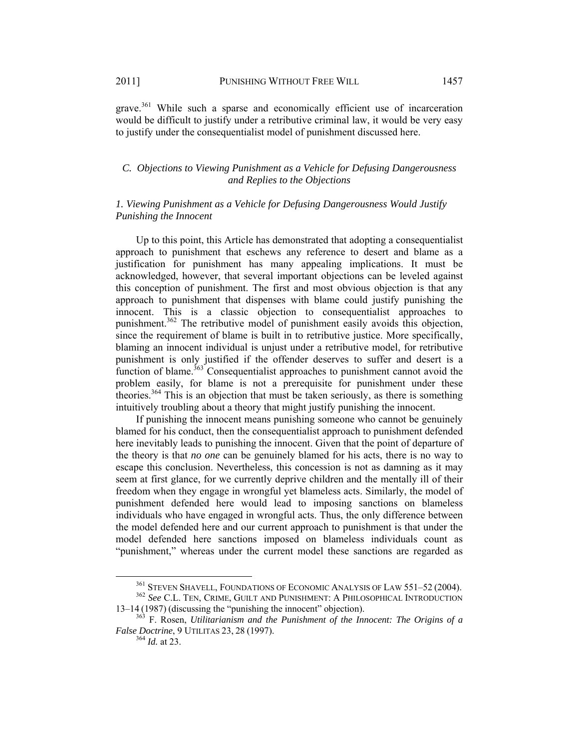grave.<sup>361</sup> While such a sparse and economically efficient use of incarceration would be difficult to justify under a retributive criminal law, it would be very easy to justify under the consequentialist model of punishment discussed here.

# *C. Objections to Viewing Punishment as a Vehicle for Defusing Dangerousness and Replies to the Objections*

# *1. Viewing Punishment as a Vehicle for Defusing Dangerousness Would Justify Punishing the Innocent*

Up to this point, this Article has demonstrated that adopting a consequentialist approach to punishment that eschews any reference to desert and blame as a justification for punishment has many appealing implications. It must be acknowledged, however, that several important objections can be leveled against this conception of punishment. The first and most obvious objection is that any approach to punishment that dispenses with blame could justify punishing the innocent. This is a classic objection to consequentialist approaches to punishment.<sup>362</sup> The retributive model of punishment easily avoids this objection, since the requirement of blame is built in to retributive justice. More specifically, blaming an innocent individual is unjust under a retributive model, for retributive punishment is only justified if the offender deserves to suffer and desert is a function of blame.<sup>363</sup> Consequentialist approaches to punishment cannot avoid the problem easily, for blame is not a prerequisite for punishment under these theories.364 This is an objection that must be taken seriously, as there is something intuitively troubling about a theory that might justify punishing the innocent.

If punishing the innocent means punishing someone who cannot be genuinely blamed for his conduct, then the consequentialist approach to punishment defended here inevitably leads to punishing the innocent. Given that the point of departure of the theory is that *no one* can be genuinely blamed for his acts, there is no way to escape this conclusion. Nevertheless, this concession is not as damning as it may seem at first glance, for we currently deprive children and the mentally ill of their freedom when they engage in wrongful yet blameless acts. Similarly, the model of punishment defended here would lead to imposing sanctions on blameless individuals who have engaged in wrongful acts. Thus, the only difference between the model defended here and our current approach to punishment is that under the model defended here sanctions imposed on blameless individuals count as "punishment," whereas under the current model these sanctions are regarded as

<sup>&</sup>lt;sup>361</sup> STEVEN SHAVELL, FOUNDATIONS OF ECONOMIC ANALYSIS OF LAW 551–52 (2004).<br><sup>362</sup> *See* C.L. TEN, CRIME, GUILT AND PUNISHMENT: A PHILOSOPHICAL INTRODUCTION<br>13–14 (1987) (discussing the "punishing the innocent" objection).

 $163$ <sub>F.</sub> Rosen, *Utilitarianism and the Punishment of the Innocent: The Origins of a False Doctrine*, 9 UTILITAS 23, 28 (1997).<br><sup>364</sup> *Id.* at 23.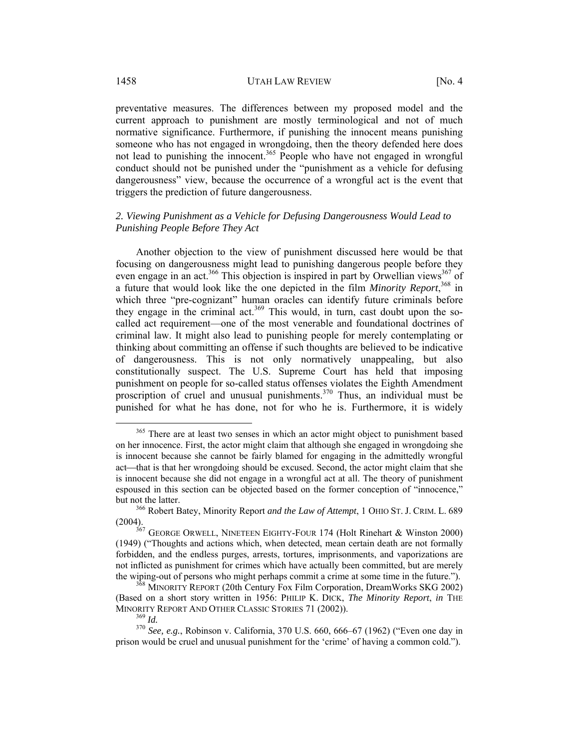preventative measures. The differences between my proposed model and the current approach to punishment are mostly terminological and not of much normative significance. Furthermore, if punishing the innocent means punishing someone who has not engaged in wrongdoing, then the theory defended here does not lead to punishing the innocent.<sup>365</sup> People who have not engaged in wrongful conduct should not be punished under the "punishment as a vehicle for defusing dangerousness" view, because the occurrence of a wrongful act is the event that triggers the prediction of future dangerousness.

# *2. Viewing Punishment as a Vehicle for Defusing Dangerousness Would Lead to Punishing People Before They Act*

Another objection to the view of punishment discussed here would be that focusing on dangerousness might lead to punishing dangerous people before they even engage in an act.<sup>366</sup> This objection is inspired in part by Orwellian views<sup>367</sup> of a future that would look like the one depicted in the film *Minority Report*, 368 in which three "pre-cognizant" human oracles can identify future criminals before they engage in the criminal act.<sup>369</sup> This would, in turn, cast doubt upon the socalled act requirement—one of the most venerable and foundational doctrines of criminal law. It might also lead to punishing people for merely contemplating or thinking about committing an offense if such thoughts are believed to be indicative of dangerousness. This is not only normatively unappealing, but also constitutionally suspect. The U.S. Supreme Court has held that imposing punishment on people for so-called status offenses violates the Eighth Amendment proscription of cruel and unusual punishments.<sup>370</sup> Thus, an individual must be punished for what he has done, not for who he is. Furthermore, it is widely

<sup>&</sup>lt;sup>365</sup> There are at least two senses in which an actor might object to punishment based on her innocence. First, the actor might claim that although she engaged in wrongdoing she is innocent because she cannot be fairly blamed for engaging in the admittedly wrongful act—that is that her wrongdoing should be excused. Second, the actor might claim that she is innocent because she did not engage in a wrongful act at all. The theory of punishment espoused in this section can be objected based on the former conception of "innocence," but not the latter. 366 Robert Batey, Minority Report *and the Law of Attempt*, 1 OHIO ST. J. CRIM. L. <sup>689</sup>

<sup>(2004). 367</sup> GEORGE ORWELL, NINETEEN EIGHTY-FOUR 174 (Holt Rinehart & Winston 2000)

<sup>(1949) (&</sup>quot;Thoughts and actions which, when detected, mean certain death are not formally forbidden, and the endless purges, arrests, tortures, imprisonments, and vaporizations are not inflicted as punishment for crimes which have actually been committed, but are merely the wiping-out of persons who might perhaps commit a crime at some time in the future."). 368 MINORITY REPORT (20th Century Fox Film Corporation, DreamWorks SKG 2002)

<sup>(</sup>Based on a short story written in 1956: PHILIP K. DICK, *The Minority Report*, *in* THE MINORITY REPORT AND OTHER CLASSIC STORIES 71 (2002)).<br><sup>369</sup> *Id.* <sup>370</sup> *See, e.g.*, Robinson v. California, 370 U.S. 660, 666–67 (1962) ("Even one day in

prison would be cruel and unusual punishment for the 'crime' of having a common cold.").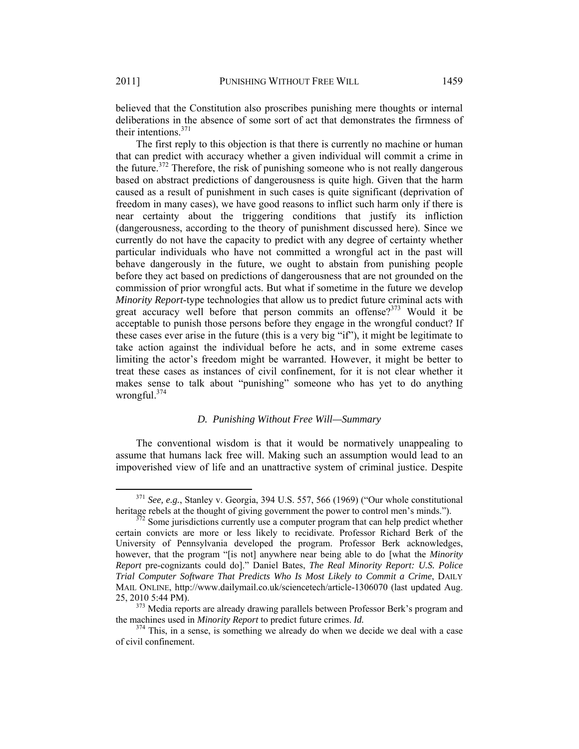believed that the Constitution also proscribes punishing mere thoughts or internal deliberations in the absence of some sort of act that demonstrates the firmness of their intentions  $371$ 

The first reply to this objection is that there is currently no machine or human that can predict with accuracy whether a given individual will commit a crime in the future.<sup>372</sup> Therefore, the risk of punishing someone who is not really dangerous based on abstract predictions of dangerousness is quite high. Given that the harm caused as a result of punishment in such cases is quite significant (deprivation of freedom in many cases), we have good reasons to inflict such harm only if there is near certainty about the triggering conditions that justify its infliction (dangerousness, according to the theory of punishment discussed here). Since we currently do not have the capacity to predict with any degree of certainty whether particular individuals who have not committed a wrongful act in the past will behave dangerously in the future, we ought to abstain from punishing people before they act based on predictions of dangerousness that are not grounded on the commission of prior wrongful acts. But what if sometime in the future we develop *Minority Report*-type technologies that allow us to predict future criminal acts with great accuracy well before that person commits an offense?<sup>373</sup> Would it be acceptable to punish those persons before they engage in the wrongful conduct? If these cases ever arise in the future (this is a very big "if"), it might be legitimate to take action against the individual before he acts, and in some extreme cases limiting the actor's freedom might be warranted. However, it might be better to treat these cases as instances of civil confinement, for it is not clear whether it makes sense to talk about "punishing" someone who has yet to do anything wrongful. $374$ 

# *D. Punishing Without Free Will—Summary*

The conventional wisdom is that it would be normatively unappealing to assume that humans lack free will. Making such an assumption would lead to an impoverished view of life and an unattractive system of criminal justice. Despite

 $371$  *See, e.g.*, Stanley v. Georgia, 394 U.S. 557, 566 (1969) ("Our whole constitutional heritage rebels at the thought of giving government the power to control men's minds.").

 $\frac{72}{2}$  Some jurisdictions currently use a computer program that can help predict whether certain convicts are more or less likely to recidivate. Professor Richard Berk of the University of Pennsylvania developed the program. Professor Berk acknowledges, however, that the program "[is not] anywhere near being able to do [what the *Minority Report* pre-cognizants could do]." Daniel Bates, *The Real Minority Report: U.S. Police Trial Computer Software That Predicts Who Is Most Likely to Commit a Crime*, DAILY MAIL ONLINE, http://www.dailymail.co.uk/sciencetech/article-1306070 (last updated Aug. 25, 2010 5:44 PM).<br> $373$  Media reports are already drawing parallels between Professor Berk's program and

the machines used in *Minority Report* to predict future crimes. *Id.* <sup>374</sup> This, in a sense, is something we already do when we decide we deal with a case

of civil confinement.